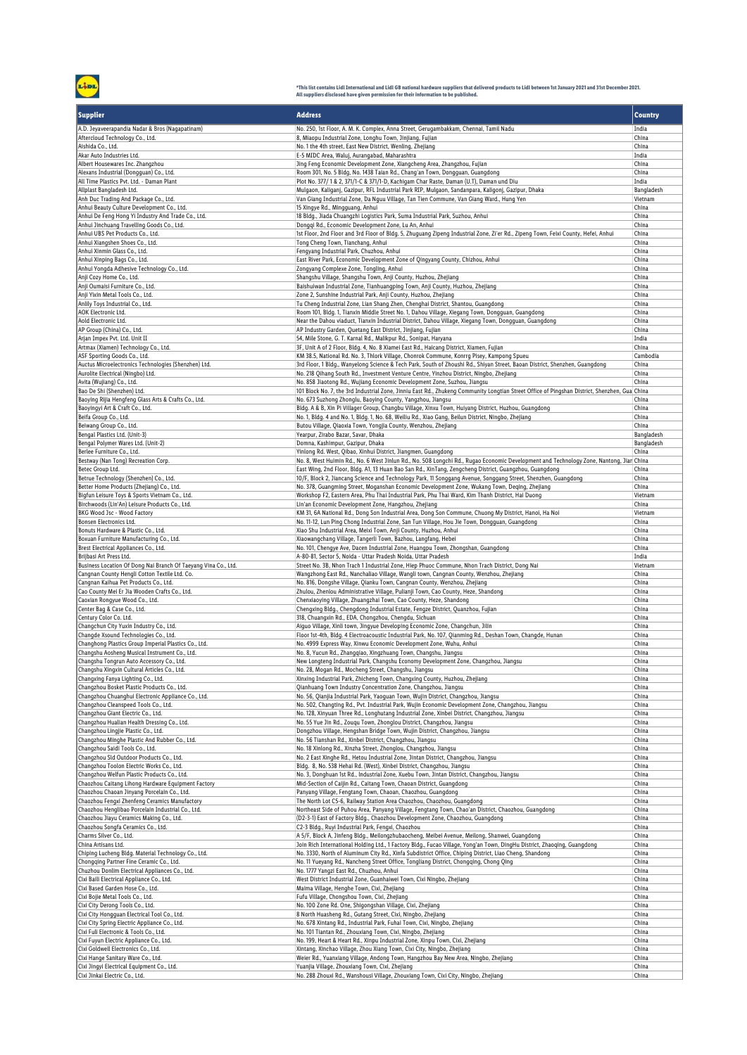3

## \*This list contains Lidl International and Lidl GB national hardware suppliers that delivered products to Lidl between 1st January 2021 and 31st December 2021.<br>All suppliers disclosed have given permission for their inform

| <b>Supplier</b>                                                                                       | <b>Address</b>                                                                                                                                                                                                            | <b>Country</b>      |
|-------------------------------------------------------------------------------------------------------|---------------------------------------------------------------------------------------------------------------------------------------------------------------------------------------------------------------------------|---------------------|
| A.D. Jeyaveerapandia Nadar & Bros (Nagapatinam)                                                       | No. 250, 1st Floor, A. M. K. Complex, Anna Street, Gerugambakkam, Chennai, Tamil Nadu                                                                                                                                     | India               |
| Aftercloud Technology Co., Ltd.                                                                       | 8, Miaopu Industrial Zone, Longhu Town, Jinjiang, Fujian                                                                                                                                                                  | China               |
| Aishida Co., Ltd.                                                                                     | No. 1 the 4th street, East New District, Wenling, Zhejiang                                                                                                                                                                | China               |
| Akar Auto Industries Ltd.                                                                             | E-5 MIDC Area, Waluj, Aurangabad, Maharashtra                                                                                                                                                                             | India               |
| Albert Housewares Inc. Zhangzhou                                                                      | Jing Feng Economic Development Zone, Xiangcheng Area, Zhangzhou, Fujian                                                                                                                                                   | China               |
| Alexans Industrial (Dongquan) Co., Ltd.                                                               | Room 301, No. 5 Bldg, No. 1438 Taian Rd., Chang'an Town, Dongguan, Guangdong                                                                                                                                              | China               |
| All Time Plastics Pvt. Ltd. - Daman Plant<br>Allplast Bangladesh Ltd.                                 | Plot No. 377/ 1 & 2, 371/1-C & 371/1-D, Kachigam Char Raste, Daman (U.T), Daman und Diu<br>Mulgaon, Kaliganj, Gazipur, RFL Industrial Park RIP, Mulgaon, Sandanpara, Kaligonj, Gazipur, Dhaka                             | India<br>Bangladesh |
| Anh Duc Trading And Package Co., Ltd.                                                                 | Van Giang Industrial Zone, Da Nguu Village, Tan Tien Commune, Van Giang Ward., Hung Yen                                                                                                                                   | Vietnam             |
| Anhui Beauty Culture Development Co., Ltd.                                                            | 15 Xingye Rd., Mingguang, Anhui                                                                                                                                                                                           | China               |
| Anhui De Feng Hong Yi Industry And Trade Co., Ltd.                                                    | 18 Bldg., Jiada Chuangzhi Logistics Park, Suma Industrial Park, Suzhou, Anhui                                                                                                                                             | China               |
| Anhui Jinchuang Travelling Goods Co., Ltd.                                                            | Donggi Rd., Economic Development Zone, Lu An, Anhui                                                                                                                                                                       | China               |
| Anhui UBS Pet Products Co., Ltd.                                                                      | 1st Floor, 2nd Floor and 3rd Floor of Bldg. 5, Zhuguang Zipeng Industrial Zone, Zi'er Rd., Zipeng Town, Feixi County, Hefei, Anhui                                                                                        | China               |
| Anhui Xiangshen Shoes Co., Ltd.                                                                       | Tong Cheng Town, Tianchang, Anhui<br>Fengyang Industrial Park, Chuzhou, Anhui                                                                                                                                             | China               |
| Anhui Xinmin Glass Co., Ltd.<br>Anhui Xinping Bags Co., Ltd.                                          | East River Park, Economic Development Zone of Qingyang County, Chizhou, Anhui                                                                                                                                             | China<br>China      |
| Anhui Yongda Adhesive Technology Co., Ltd.                                                            | Zongyang Complexe Zone, Tongling, Anhui                                                                                                                                                                                   | China               |
| Anji Cozy Home Co., Ltd.                                                                              | Shangshu Village, Shangshu Town, Anji County, Huzhou, Zhejiang                                                                                                                                                            | China               |
| Anji Oumaisi Furniture Co., Ltd.                                                                      | Baishuiwan Industrial Zone, Tianhuangping Town, Anji County, Huzhou, Zhejiang                                                                                                                                             | China               |
| Anji Yixin Metal Tools Co., Ltd.                                                                      | Zone 2, Sunshine Industrial Park, Anji County, Huzhou, Zhejiang                                                                                                                                                           | China               |
| Anlily Toys Industrial Co., Ltd.                                                                      | Tu Cheng Industrial Zone, Lian Shang Zhen, Chenghai District, Shantou, Guangdong                                                                                                                                          | China               |
| <b>AOK Electronic Ltd.</b><br>Aold Electronic Ltd.                                                    | Room 101, Bldg. 1, Tianxin Middle Street No. 1, Dahou Village, Xiegang Town, Dongguan, Guangdong                                                                                                                          | China<br>China      |
| AP Group (China) Co., Ltd.                                                                            | Near the Dahou viaduct, Tianxin Industrial District, Dahou Village, Xiegang Town, Dongguan, Guangdong<br>AP Industry Garden, Quetang East District, Jinjiang, Fujian                                                      | China               |
| Arjan Impex Pvt. Ltd. Unit II                                                                         | 54, Mile Stone, G. T. Karnal Rd., Malikpur Rd., Sonipat, Haryana                                                                                                                                                          | India               |
| Artmax (Xiamen) Technology Co., Ltd.                                                                  | 3F, Unit A of 2 Floor, Bldg. 4, No. 8 Xiamei East Rd., Haicang District, Xiamen, Fujian                                                                                                                                   | China               |
| ASF Sporting Goods Co., Ltd.                                                                          | KM 38.5, National Rd. No. 3, Thlork Village, Chonrok Commune, Konrrg Pisey, Kampong Spueu                                                                                                                                 | Cambodia            |
| Auctus Microelectronics Technologies (Shenzhen) Ltd.                                                  | 3rd Floor, 1 Bldg., Wanyelong Science & Tech Park, South of Zhoushi Rd., Shiyan Street, Baoan District, Shenzhen, Guangdong                                                                                               | China               |
| Aurolite Electrical (Ningbo) Ltd.                                                                     | No. 218 Qihang South Rd., Investment Venture Centre, Yinzhou District, Ningbo, Zhejiang                                                                                                                                   | China               |
| Avita (Wujiang) Co., Ltd.<br>Bao De Shi (Shenzhen) Ltd.                                               | No. 858 Jiaotong Rd., Wujiang Economic Development Zone, Suzhou, Jiangsu<br>101 Block No. 7, the 3rd Industrial Zone, Jinniu East Rd., Zhukeng Community Longtian Street Office of Pingshan District, Shenzhen, Gua China | China               |
| Baoying Rijia Hengfeng Glass Arts & Crafts Co., Ltd.                                                  | No. 673 Suzhong Zhonglu, Baoying County, Yangzhou, Jiangsu                                                                                                                                                                | China               |
| Baoyingyi Art & Craft Co., Ltd.                                                                       | Bldg. A & B, Xin Pi Villager Group, Changbu Village, Xinxu Town, Huiyang District, Huzhou, Guangdong                                                                                                                      | China               |
| Beifa Group Co., Ltd.                                                                                 | No. 1, Bldg. 4 and No. 1, Bldg. 1, No. 68, Weiliu Rd., Xiao Gang, Beilun District, Ningbo, Zhejiang                                                                                                                       | China               |
| Beiwang Group Co., Ltd.                                                                               | Butou Village, Qiaoxia Town, Yongjia County, Wenzhou, Zhejiang                                                                                                                                                            | China               |
| Bengal Plastics Ltd. (Unit-3)                                                                         | Yearpur, Zirabo Bazar, Savar, Dhaka                                                                                                                                                                                       | Bangladesh          |
| Bengal Polymer Wares Ltd. (Unit-2)                                                                    | Domna, Kashimpur, Gazipur, Dhaka                                                                                                                                                                                          | Bangladesh          |
| Berlee Furniture Co., Ltd.<br>Bestway (Nan Tong) Recreation Corp.                                     | Yinlong Rd. West, Qibao, Xinhui District, Jiangmen, Guangdong<br>No. 8, West Huimin Rd., No. 6 West Jinlun Rd., No. 508 Longchi Rd., Rugao Economic Development and Technology Zone, Nantong, Jian China                  | China               |
| Betec Group Ltd.                                                                                      | East Wing, 2nd Floor, Bldg. A1, 13 Huan Bao San Rd., XinTang, Zengcheng District, Guangzhou, Guangdong                                                                                                                    | China               |
| Betrue Technology (Shenzhen) Co., Ltd.                                                                | 10/F, Block 2, Jiancang Science and Technology Park, 11 Songgang Avenue, Songgang Street, Shenzhen, Guangdong                                                                                                             | China               |
| Better Home Products (Zhejiang) Co., Ltd.                                                             | No. 378, Guangming Street, Moganshan Economic Development Zone, Wukang Town, Deqing, Zhejiang                                                                                                                             | China               |
| Bigfun Leisure Toys & Sports Vietnam Co., Ltd.                                                        | Workshop F2, Eastern Area, Phu Thai Industrial Park, Phu Thai Ward, Kim Thanh District, Hai Duong                                                                                                                         | Vietnam             |
| Birchwoods (Lin'An) Leisure Products Co., Ltd.                                                        | Lin'an Economic Development Zone, Hangzhou, Zhejiang                                                                                                                                                                      | China               |
| BKG Wood Jsc - Wood Factory                                                                           | KM 31, 6A National Rd., Dong Son Industrial Area, Dong Son Commune, Chuong My District, Hanoi, Ha Noi                                                                                                                     | Vietnam             |
| Bonsen Electronics Ltd.<br>Bonuts Hardware & Plastic Co., Ltd.                                        | No. 11-12, Lun Ping Chong Industrial Zone, San Tun Village, Hou Jie Town, Dongguan, Guangdong<br>Xiao Shu Industrial Area, Meixi Town, Anji County, Huzhou, Anhui                                                         | China<br>China      |
| Boxuan Furniture Manufacturing Co., Ltd.                                                              | Xiaowangchang Village, Tangerli Town, Bazhou, Langfang, Hebei                                                                                                                                                             | China               |
| Brest Electrical Appliances Co., Ltd.                                                                 | No. 101, Chengye Ave, Dacen Industrial Zone, Huangpu Town, Zhongshan, Guangdong                                                                                                                                           | China               |
| Brijbasi Art Press Ltd.                                                                               | A-80-81, Sector 5, Noida - Uttar Pradesh Noida, Uttar Pradesh                                                                                                                                                             | India               |
| Business Location Of Dong Nai Branch Of Taeyang Vina Co., Ltd.                                        | Street No. 3B, Nhon Trach 1 Industrial Zone, Hiep Phuoc Commune, Nhon Trach District, Dong Nai                                                                                                                            | Vietnam             |
| Cangnan County Hengli Cotton Textile Ltd. Co.                                                         | Wangzhong East Rd., Nanchaliao Village, Wangli town, Cangnan County, Wenzhou, Zhejiang                                                                                                                                    | China               |
| Cangnan Kaihua Pet Products Co., Ltd.<br>Cao County Mei Er Jia Wooden Crafts Co., Ltd.                | No. 816, Dongshe Village, Qianku Town, Cangnan County, Wenzhou, Zhejiang<br>Zhulou, Zhenlou Administrative Village, Pulianji Town, Cao County, Heze, Shandong                                                             | China<br>China      |
| Caoxian Rongyue Wood Co., Ltd.                                                                        | Chenxiaoying Village, Zhuangzhai Town, Cao County, Heze, Shandong                                                                                                                                                         | China               |
| Center Bag & Case Co., Ltd.                                                                           | Chengxing Bldg., Chengdong Industrial Estate, Fengze District, Quanzhou, Fujian                                                                                                                                           | China               |
| Century Color Co. Ltd.                                                                                | 318, Chuangxin Rd., EDA, Chongzhou, Chengdu, Sichuan                                                                                                                                                                      | China               |
| Changchun City Yuxin Industry Co., Ltd.                                                               | Aiquo Village, Xinli town, Jingyue Developing Economic Zone, Changchun, Jilin                                                                                                                                             | China               |
| Changde Xsound Technologies Co., Ltd.                                                                 | Floor 1st-4th, Bldg. 4 Electroacoustic Industrial Park, No. 107, Qianming Rd., Deshan Town, Changde, Hunan                                                                                                                | China               |
| Changhong Plastics Group Imperial Plastics Co., Ltd.<br>Changshu Aosheng Musical Instrument Co., Ltd. | No. 4999 Express Way, Xinwu Economic Development Zone, Wuhu, Anhui<br>No. 8, Yucun Rd., Zhangqiao, Xingzhuang Town, Changshu, Jiangsu                                                                                     | China<br>China      |
| Changshu Tongrun Auto Accessory Co., Ltd.                                                             | New Longteng Industrial Park, Changshu Economy Development Zone, Changzhou, Jiangsu                                                                                                                                       | China               |
| Changshu Xingxin Cultural Articles Co., Ltd.                                                          | No. 28, Mogan Rd., Mocheng Street, Changshu, Jiangsu                                                                                                                                                                      | China               |
| Changxing Fanya Lighting Co., Ltd.                                                                    | Xinxing Industrial Park, Zhicheng Town, Changxing County, Huzhou, Zhejiang                                                                                                                                                | China               |
| Changzhou Bosket Plastic Products Co., Ltd.                                                           | Qianhuang Town Industry Concentration Zone, Changzhou, Jiangsu                                                                                                                                                            | China               |
| Changzhou Chuanghui Electronic Appliance Co., Ltd.                                                    | No. 56, Qianjia Industrial Park, Yaoguan Town, Wujin District, Changzhou, Jiangsu                                                                                                                                         | China               |
| Changzhou Cleanspeed Tools Co., Ltd.<br>Changzhou Giant Electric Co., Ltd.                            | No. 502, Changting Rd., Pvt. Industrial Park, Wujin Economic Development Zone, Changzhou, Jiangsu<br>No. 128, Xinyuan Three Rd., Longhutang Industrial Zone, Xinbei District, Changzhou, Jiangsu                          | China<br>China      |
| Changzhou Hualian Health Dressing Co., Ltd.                                                           | No. 55 Yue Jin Rd., Zougu Town, Zhonglou District, Changzhou, Jiangsu                                                                                                                                                     | China               |
| Changzhou Lingjie Plastic Co., Ltd.                                                                   | Dongzhou Village, Hengshan Bridge Town, Wujin District, Changzhou, Jiangsu                                                                                                                                                | China               |
| Changzhou Minghe Plastic And Rubber Co., Ltd.                                                         | No. 56 Tianshan Rd., Xinbei District, Changzhou, Jiangsu                                                                                                                                                                  | China               |
| Changzhou Saidi Tools Co., Ltd.                                                                       | No. 18 Xinlong Rd., Xinzha Street, Zhonglou, Changzhou, Jiangsu                                                                                                                                                           | China               |
| Changzhou Sld Outdoor Products Co., Ltd.                                                              | No. 2 East Xinghe Rd., Hetou Industrial Zone, Jintan District, Changzhou, Jiangsu                                                                                                                                         | China               |
| Changzhou Toolon Electric Works Co., Ltd.                                                             | Bldg. 8, No. 538 Hehai Rd. (West), Xinbei District, Changzhou, Jiangsu                                                                                                                                                    | China               |
| Changzhou Welfun Plastic Products Co., Ltd.<br>Chaozhou Caitang Lihong Hardware Equipment Factory     | No. 3, Donghuan 1st Rd., Industrial Zone, Xuebu Town, Jintan District, Changzhou, Jiangsu<br>Mid-Section of Caijin Rd., Caitang Town, Chaoan District, Guangdong                                                          | China<br>China      |
| Chaozhou Chaoan Jinyang Porcelain Co., Ltd.                                                           | Panyang Village, Fengtang Town, Chaoan, Chaozhou, Guangdong                                                                                                                                                               | China               |
| Chaozhou Fengxi Zhenfeng Ceramics Manufactory                                                         | The North Lot C5-6, Railway Station Area Chaozhou, Chaozhou, Guangdong                                                                                                                                                    | China               |
| Chaozhou Henglibao Porcelain Industrial Co., Ltd.                                                     | Northeast Side of Puhou Area, Panyang Village, Fengtang Town, Chao'an District, Chaozhou, Guangdong                                                                                                                       | China               |
| Chaozhou Jiayu Ceramics Making Co., Ltd.                                                              | (D2-3-1) East of Factory Bldg., Chaozhou Development Zone, Chaozhou, Guangdong                                                                                                                                            | China               |
| Chaozhou Songfa Ceramics Co., Ltd.                                                                    | C2-3 Bldg., Ruyi Industrial Park, Fengxi, Chaozhou                                                                                                                                                                        | China               |
| Charms Silver Co., Ltd.<br>China Artisans Ltd.                                                        | A 5/F, Block A, Jinfeng Bldg., Meilongzhubaocheng, Meibei Avenue, Meilong, Shanwei, Guangdong<br>Join Rich International Holding Ltd., 1 Factory Bldg., Fucao Village, Yong'an Town, DingHu District, Zhaoqing, Guangdong | China<br>China      |
| Chiping Lucheng Bldg. Material Technology Co., Ltd.                                                   | No. 3330, North of Aluminum City Rd., Xinfa Subdistrict Office, Chiping District, Liao Cheng, Shandong                                                                                                                    | China               |
| Chongqing Partner Fine Ceramic Co., Ltd.                                                              | No. 11 Yueyang Rd., Nancheng Street Office, Tongliang District, Chongqing, Chong Qing                                                                                                                                     | China               |
| Chuzhou Donlim Electrical Appliances Co., Ltd.                                                        | No. 1777 Yangzi East Rd., Chuzhou, Anhui                                                                                                                                                                                  | China               |
| Cixi Baili Electrical Appliance Co., Ltd.                                                             | West District Industrial Zone, Guanhaiwei Town, Cixi Ningbo, Zhejiang                                                                                                                                                     | China               |
| Cixi Based Garden Hose Co., Ltd.                                                                      | Maima Village, Henghe Town, Cixi, Zhejiang                                                                                                                                                                                | China               |
| Cixi Bojie Metal Tools Co., Ltd.                                                                      | Fufu Village, Chongshou Town, Cixi, Zhejiang                                                                                                                                                                              | China<br>China      |
| Cixi City Derong Tools Co., Ltd.<br>Cixi City Hongguan Electrical Tool Co., Ltd.                      | No. 100 Zone Rd. One, Shigongshan Village, Cixi, Zhejiang<br>8 North Huasheng Rd., Gutang Street, Cixi, Ningbo, Zhejiang                                                                                                  | China               |
| Cixi City Spring Electric Appliance Co., Ltd.                                                         | No. 678 Xintang Rd., Industrial Park, Fuhai Town, Cixi, Ningbo, Zhejiang                                                                                                                                                  | China               |
| Cixi Fuli Electronic & Tools Co., Ltd.                                                                | No. 101 Tiantan Rd., Zhouxiang Town, Cixi, Ningbo, Zhejiang                                                                                                                                                               | China               |
| Cixi Fuyun Electric Appliance Co., Ltd.                                                               | No. 199, Heart & Heart Rd., Xinpu Industrial Zone, Xinpu Town, Cixi, Zhejiang                                                                                                                                             | China               |
| Cixi Goldwell Electronics Co., Ltd.                                                                   | Xintang, Xinchao Village, Zhou Xiang Town, Cixi City, Ningbo, Zhejiang                                                                                                                                                    | China               |
| Cixi Hange Sanitary Ware Co., Ltd.                                                                    | Weier Rd., Yuanxiang Village, Andong Town, Hangzhou Bay New Area, Ningbo, Zhejiang                                                                                                                                        | China               |
| Cixi Jingyi Electrical Equipment Co., Ltd.<br>Cixi Jinkai Electric Co., Ltd.                          | Yuanjia Village, Zhouxiang Town, Cixi, Zhejiang<br>No. 288 Zhouxi Rd., Wanshousi Village, Zhouxiang Town, Cixi City, Ningbo, Zhejiang                                                                                     | China<br>China      |
|                                                                                                       |                                                                                                                                                                                                                           |                     |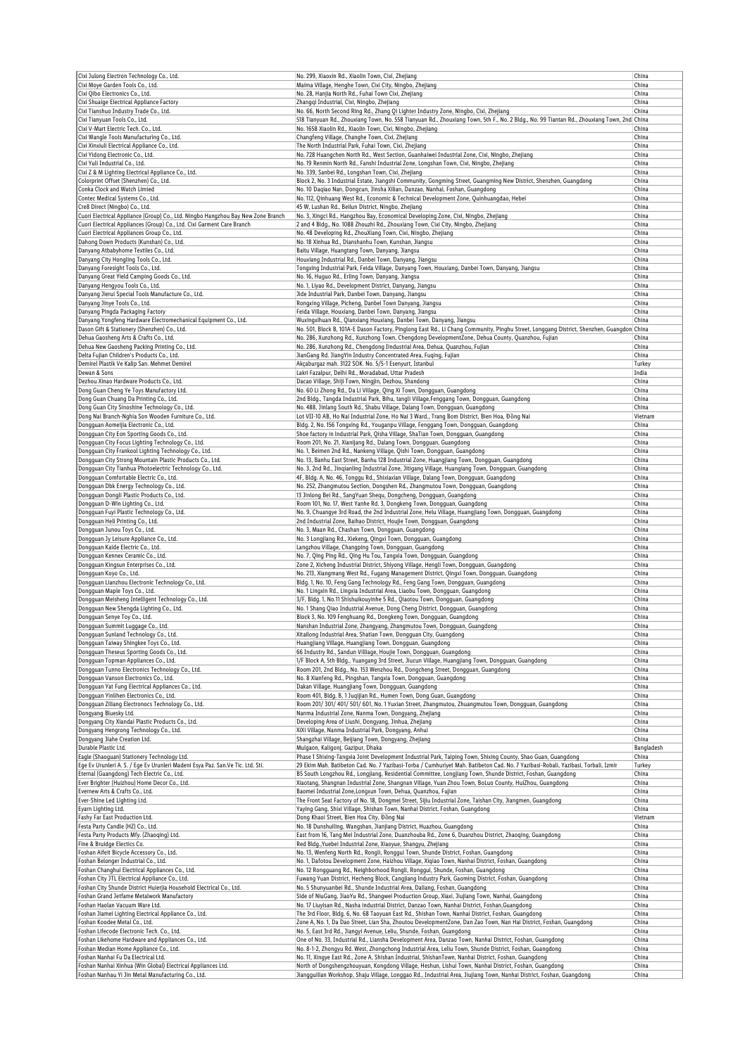| Cixi Julong Electron Technology Co., Ltd.                                                                          | No. 299, Xiaoxin Rd., Xiaolin Town, Cixi, Zhejiang                                                                                                                                                                             | China          |
|--------------------------------------------------------------------------------------------------------------------|--------------------------------------------------------------------------------------------------------------------------------------------------------------------------------------------------------------------------------|----------------|
| Cixi Moye Garden Tools Co., Ltd.                                                                                   | Maima Village, Henghe Town, Cixi City, Ningbo, Zhejiang                                                                                                                                                                        | China          |
| Cixi Qibo Electronics Co., Ltd.                                                                                    | No. 28, Hanjia North Rd., Fuhai Town Cixi, Zhejiang                                                                                                                                                                            | China          |
| Cixi Shuaige Electrical Appliance Factory                                                                          | Zhangqi Industrial, Cixi, Ningbo, Zhejiang                                                                                                                                                                                     | China          |
| Cixi Tianshuo Industry Trade Co., Ltd.                                                                             | No. 66, North Second Ring Rd., Zhang Qi Lighter Industry Zone, Ningbo, Cixi, Zhejiang                                                                                                                                          | China          |
|                                                                                                                    |                                                                                                                                                                                                                                |                |
| Cixi Tianyuan Tools Co., Ltd.                                                                                      | 518 Tianyuan Rd., Zhouxiang Town, No. 558 Tianyuan Rd., Zhouxiang Town, 5th F., No. 2 Bldg., No. 99 Tiantan Rd., Zhouxiang Town, 2nd China<br>No. 1658 Xiaolin Rd., Xiaolin Town, Cixi, Ningbo, Zhejiang                       | China          |
| Cixi V-Mart Electric Tech. Co., Ltd.                                                                               |                                                                                                                                                                                                                                |                |
| Cixi Wangle Tools Manufacturing Co., Ltd.                                                                          | Changfeng Village, Changhe Town, Cixi, Zhejiang                                                                                                                                                                                | China          |
| Cixi Xinxiuli Electrical Appliance Co., Ltd.                                                                       | The North Industrial Park, Fuhai Town, Cixi, Zhejiang                                                                                                                                                                          | China          |
| Cixi Yidong Electronic Co., Ltd.                                                                                   | No. 728 Huangchen North Rd., West Section, Guanhaiwei Industrial Zone, Cixi, Ningbo, Zhejiang                                                                                                                                  | China          |
| Cixi Yuli Industrial Co., Ltd.                                                                                     | No. 19 Renmin North Rd., Fanshi Industrial Zone, Longshan Town, Cixi, Ningbo, Zhejiang                                                                                                                                         | China          |
| Cixi Z & M Lighting Electrical Appliance Co., Ltd.                                                                 | No. 339, Sanbei Rd., Longshan Town, Cixi, Zhejiang                                                                                                                                                                             | China          |
| Colorprint Offset (Shenzhen) Co., Ltd.                                                                             | Block 2, No. 3 Industrial Estate, Jiangshi Community, Gongming Street, Guangming New District, Shenzhen, Guangdong                                                                                                             | China          |
| Conka Clock and Watch Limied                                                                                       | No. 10 Dagiao Nan, Dongcun, Jinsha Xilian, Danzao, Nanhai, Foshan, Guangdong                                                                                                                                                   | China          |
| Contec Medical Systems Co., Ltd.                                                                                   | No. 112, Qinhuang West Rd., Economic & Technical Development Zone, Quinhuangdao, Hebei                                                                                                                                         | China          |
| Cre8 Direct (Ningbo) Co., Ltd.                                                                                     | 45 W, Lushan Rd., Beilun District, Ningbo, Zhejiang                                                                                                                                                                            | China          |
| Cuori Electrical Appliance (Group) Co., Ltd. Ningbo Hangzhou Bay New Zone Branch                                   | No. 3, Xingci Rd., Hangzhou Bay, Economical Developing Zone, Cixi, Ningbo, Zhejiang                                                                                                                                            | China          |
| Cuori Electrical Appliances (Group) Co., Ltd. Cixi Garment Care Branch                                             | 2 and 4 Bldg., No. 1088 Zhouzhi Rd., Zhouxiang Town, Cixi City, Ningbo, Zhejiang                                                                                                                                               | China          |
| Cuori Electrical Appliances Group Co., Ltd.                                                                        | No. 48 Developing Rd., ZhouXiang Town, Cixi, Ningbo, Zhejiang                                                                                                                                                                  | China          |
|                                                                                                                    | No. 18 Xinhua Rd., Dianshanhu Town, Kunshan, Jiangsu                                                                                                                                                                           |                |
| Dahong Down Products (Kunshan) Co., Ltd.                                                                           |                                                                                                                                                                                                                                | China          |
| Danyang Atbabyhome Textiles Co., Ltd.                                                                              | Baitu Village, Huangtang Town, Danyang, Jiangsu                                                                                                                                                                                | China          |
| Danyang City Hongling Tools Co., Ltd.                                                                              | Houxiang Industrial Rd., Danbei Town, Danyang, Jiangsu                                                                                                                                                                         | China          |
| Danyang Foresight Tools Co., Ltd.                                                                                  | Tongxing Industrial Park, Feida Village, Danyang Town, Houxiang, Danbei Town, Danyang, Jiangsu                                                                                                                                 | China          |
| Danyang Great Yield Camping Goods Co., Ltd.                                                                        | No. 16, Huguo Rd., Erling Town, Danyang, Jiangsu                                                                                                                                                                               | China          |
| Danyang Hengyou Tools Co., Ltd.                                                                                    | No. 1, Liyao Rd., Development District, Danyang, Jiangsu                                                                                                                                                                       | China          |
| Danyang Jierui Special Tools Manufacture Co., Ltd.                                                                 | Jide Industrial Park, Danbei Town, Danyang, Jiangsu                                                                                                                                                                            | China          |
| Danyang Jinye Tools Co., Ltd.                                                                                      | Rongxing Village, Picheng, Danbei Town Danyang, Jiangsu                                                                                                                                                                        | China          |
| Danyang Pingda Packaging Factory                                                                                   | Feida Village, Houxiang, Danbei Town, Danyang, Jiangsu                                                                                                                                                                         | China          |
| Danyang Yongfeng Hardware Electromechanical Equipment Co., Ltd.                                                    | Wuxingxihuan Rd., Qianxiang Houxiang, Danbei Town, Danyang, Jiangsu                                                                                                                                                            | China          |
| Dason Gift & Stationery (Shenzhen) Co., Ltd.                                                                       | No. 501, Block B, 101A-E Dason Factory, Pinglong East Rd., Li Chang Community, Pinghu Street, Longgang District, Shenzhen, Guangdon China                                                                                      |                |
|                                                                                                                    |                                                                                                                                                                                                                                |                |
| Dehua Gaosheng Arts & Crafts Co., Ltd.                                                                             | No. 286, Xunzhong Rd., Xunzhong Town, Chengdong DevelopmentZone, Dehua County, Quanzhou, Fujian                                                                                                                                | China          |
| Dehua New Gaosheng Packing Printing Co., Ltd.                                                                      | No. 286, Xunzhong Rd., Chengdong Iindustrial Area, Dehua, Quanzhou, Fujian                                                                                                                                                     | China          |
| Delta Fujian Children's Products Co., Ltd.                                                                         | JianGang Rd. JiangYin Industry Concentrated Area, Fuqing, Fujian                                                                                                                                                               | China          |
| Demirel Plastik Ve Kalip San. Mehmet Demirel                                                                       | Akçaburgaz mah. 3122 SOK. No. 5/5-1 Esenyurt, Istanbul                                                                                                                                                                         | Turkey         |
| Dewan & Sons                                                                                                       | Lakri Fazalpur, Delhi Rd., Moradabad, Uttar Pradesh                                                                                                                                                                            | India          |
| Dezhou Xinao Hardware Products Co., Ltd.                                                                           | Dacao Village, Shiji Town, Ningjin, Dezhou, Shandong                                                                                                                                                                           | China          |
| Dong Guan Cheng Ye Toys Manufactory Ltd.                                                                           | No. 60 Li Zhong Rd., Da Li Village, Qing Xi Town, Dongguan, Guangdong                                                                                                                                                          | China          |
| Dong Guan Chuang Da Printing Co., Ltd.                                                                             | 2nd Bldg., Tangda Industrial Park, Bihu, tangli Village, Fenggang Town, Dongguan, Guangdong                                                                                                                                    | China          |
| Dong Guan City Sinoshine Technology Co., Ltd.                                                                      | No. 488, Jinlang South Rd., Shabu Village, Dalang Town, Dongguan, Guangdong                                                                                                                                                    | China          |
|                                                                                                                    |                                                                                                                                                                                                                                | Vietnam        |
| Dong Nai Branch-Nghia Son Wooden Furniture Co., Ltd.                                                               | Lot VII-10 AB, Ho Nai Industrial Zone, Ho Nai 3 Ward., Trang Bom District, Bien Hoa, Đồng Nai                                                                                                                                  |                |
| Dongguan Aomeijia Electronic Co., Ltd.                                                                             | Bldg. 2, No. 156 Tongxing Rd., Youganpu Village, Fenggang Town, Dongguan, Guangdong                                                                                                                                            | China          |
| Dongquan City Eon Sporting Goods Co., Ltd.                                                                         | Shoe factory in Industrial Park, Qisha Village, ShaTian Town, Dongguan, Guangdong                                                                                                                                              | China          |
| Dongguan City Focus Lighting Technology Co., Ltd.                                                                  | Room 201, No. 21, Xianijang Rd., Dalang Town, Dongguan, Guangdong                                                                                                                                                              | China          |
| Dongguan City Frankool Lighting Technology Co., Ltd.                                                               | No. 1, Beimen 2nd Rd., Nankeng Village, Qishi Town, Dongguan, Guangdong                                                                                                                                                        | China          |
| Dongguan City Strong Mountain Plastic Products Co., Ltd.                                                           | No. 13, Banhu East Street, Banhu 128 Industrial Zone, Huangjiang Town, Dongguan, Guangdong                                                                                                                                     | China          |
| Dongguan City Tianhua Photoelectric Technology Co., Ltd.                                                           | No. 3, 2nd Rd., Jinqianling Industrial Zone, Jitigang Village, Huangiang Town, Dongguan, Guangdong                                                                                                                             | China          |
| Dongguan Comfortable Electric Co., Ltd.                                                                            | 4F, Bldg. A, No. 46, Tonggu Rd., Shixiaxian Village, Dalang Town, Dongguan, Guangdong                                                                                                                                          | China          |
| Dongguan Dbk Energy Technology Co., Ltd.                                                                           | No. 252, Zhangmutou Section, Dongshen Rd., Zhangmutou Town, Dongguan, Guangdong                                                                                                                                                | China          |
| Dongguan Dongli Plastic Products Co., Ltd.                                                                         | 13 Jinlong Bei Rd., SangYuan Shequ, Dongcheng, Dongguan, Guangdong                                                                                                                                                             | China          |
|                                                                                                                    |                                                                                                                                                                                                                                |                |
| Dongguan D-Win Lighting Co., Ltd.                                                                                  | Room 101, No. 17, West Yanhe Rd. 3, Dongkeng Town, Dongguan, Guangdong                                                                                                                                                         | China          |
| Dongguan Fuyi Plastic Technology Co., Ltd.                                                                         | No. 9, Chuangye 3rd Road, the 2nd Industrial Zone, Helu Village, Huangjiang Town, Dongguan, Guangdong                                                                                                                          | China          |
| Dongguan Heli Printing Co., Ltd.                                                                                   | 2nd Industrial Zone, Baihao District, Houjie Town, Dongguan, Guangdong                                                                                                                                                         | China          |
| Dongguan Junou Toys Co., Ltd.                                                                                      | No. 3, Maan Rd., Chashan Town, Dongguan, Guangdong                                                                                                                                                                             | China          |
| Dongguan Jy Leisure Appliance Co., Ltd.                                                                            | No. 3 Longjiang Rd., Xiekeng, Qingxi Town, Dongguan, Guangdong                                                                                                                                                                 | China          |
| Dongguan Kaide Electric Co., Ltd.                                                                                  | Langzhou Village, Changping Town, Dongguan, Guangdong                                                                                                                                                                          | China          |
| Dongguan Kennex Ceramic Co., Ltd.                                                                                  | No. 7, Qing Ping Rd., Qing Hu Tou, Tangxia Town, Dongguan, Guangdong                                                                                                                                                           | China          |
| Dongguan Kingsun Enterprises Co., Ltd.                                                                             | Zone 2, Xicheng Industrial District, Shiyong Village, Hengli Town, Dongguan, Guangdong                                                                                                                                         | China          |
|                                                                                                                    | No. 213, Xiangmang West Rd., Fugang Management District, Qingxi Town, Dongguan, Guangdong                                                                                                                                      | China          |
| Dongguan Koyo Co., Ltd.                                                                                            |                                                                                                                                                                                                                                |                |
| Dongguan Lianzhou Electronic Technology Co., Ltd.                                                                  | Bldg. 1, No. 10, Feng Gang Technology Rd., Feng Gang Town, Dongguan, Guangdong                                                                                                                                                 | China          |
| Dongquan Maple Toys Co., Ltd.                                                                                      | No. 1 Lingxin Rd., Lingxia Industrial Area, Liaobu Town, Dongguan, Guangdong                                                                                                                                                   | China          |
| Dongquan Meisheng Intelligent Technology Co., Ltd.                                                                 | 3/F, Bldg. 1, No.11 Shishuikouyinhe 5 Rd., Qiaotou Town, Dongguan, Guangdong                                                                                                                                                   | China          |
| Dongguan New Shengda Lighting Co., Ltd.                                                                            | No. 1 Shang Qiao Industrial Avenue, Dong Cheng District, Dongguan, Guangdong                                                                                                                                                   | China          |
| Dongguan Senye Toy Co., Ltd.                                                                                       | Block 3, No. 109 Fenghuang Rd., Dongkeng Town, Dongguan, Guangdong                                                                                                                                                             | China          |
| Dongquan Summit Luggage Co., Ltd.                                                                                  |                                                                                                                                                                                                                                |                |
|                                                                                                                    |                                                                                                                                                                                                                                |                |
|                                                                                                                    | Nanshan Industrial Zone, Zhangyang, Zhangmutou Town, Dongguan, Guangdong                                                                                                                                                       | China          |
| Dongguan Sunland Technology Co., Ltd.                                                                              | Xitailong Industrial Area, Shatian Town, Dongguan City, Guangdong                                                                                                                                                              | China          |
| Dongguan Taiway Shingkee Toys Co., Ltd.                                                                            | Huangjiang Village, Huangjiang Town, Dongguan, Guangdong                                                                                                                                                                       | China          |
| Dongguan Theseus Sporting Goods Co., Ltd.                                                                          | 66 Industry Rd., Sandun Villiage, Houjie Town, Dongguan, Guangdong                                                                                                                                                             | China          |
| Dongguan Topman Appliances Co., Ltd.                                                                               | 1/F Block A, 5th Bldg., Yuangang 3rd Street, Jiucun Village, Huangjiang Town, Dongguan, Guangdong                                                                                                                              | China          |
| Dongguan Tunno Electronics Technology Co., Ltd.                                                                    | Room 201, 2nd Bldg., No. 153 Wenzhou Rd., Dongcheng Street, Dongguan, Guangdong                                                                                                                                                | China          |
| Dongquan Vanson Electronics Co., Ltd.                                                                              | No. 8 Xianfeng Rd., Pingshan, Tangxia Town, Dongquan, Guangdong                                                                                                                                                                | China          |
| Dongguan Yat Fung Electrical Appliances Co., Ltd.                                                                  | Dakan Village, Huangjiang Town, Dongguan, Guangdong                                                                                                                                                                            | China          |
| Dongquan Yinlihen Electronics Co., Ltd.                                                                            | Room 401, Bldg. B, 1 Jugijian Rd., Humen Town, Dong Guan, Guangdong                                                                                                                                                            |                |
|                                                                                                                    |                                                                                                                                                                                                                                | China          |
| Dongguan Ziliang Electronocs Technology Co., Ltd.                                                                  | Room 201/301/401/501/601, No. 1 Yuxian Street, Zhangmutou, Zhuangmutou Town, Dongguan, Guangdong                                                                                                                               | China          |
| Dongyang Bluesky Ltd.                                                                                              | Nanma Industrial Zone, Nanma Town, Dongyang, Zhejiang                                                                                                                                                                          | China          |
| Dongyang City Xiandai Plastic Products Co., Ltd.                                                                   | Developing Area of Liushi, Dongyang, Jinhua, Zhejiang                                                                                                                                                                          | China          |
| Dongyang Hengrong Technology Co., Ltd.                                                                             | XiXi Village, Nanma Industrial Park, Dongyang, Anhui                                                                                                                                                                           | China          |
| Dongyang Jiahe Creation Ltd.                                                                                       | Shanqzhai Village, Beijiang Town, Dongyang, Zhejiang                                                                                                                                                                           | China          |
| Durable Plastic Ltd.                                                                                               | Mulgaon, Kaligonj, Gazipur, Dhaka                                                                                                                                                                                              | Bangladesh     |
| Eagle (Shaoguan) Stationery Technology Ltd.                                                                        | Phase 1 Shixing-Tangxia Joint Development Industrial Park, Taiping Town, Shixing County, Shao Guan, Guangdong                                                                                                                  | China          |
| Ege Ev Urunleri A. S. / Ege Ev Urunleri Madeni Esya Paz. San.Ve Tic. Ltd. Sti.                                     | 29 Ekim Mah. Batibeton Cad. No. 7 Yazibasi-Torba / Cumhuriyet Mah. Batibeton Cad. No. 7 Yazibasi-Robali, Yazibasi, Torbali, Izmir                                                                                              | Turkey         |
|                                                                                                                    | B5 South Longzhou Rd., Longjiang, Residential Committee, Longjiang Town, Shunde District, Foshan, Guangdong                                                                                                                    | China          |
|                                                                                                                    |                                                                                                                                                                                                                                |                |
| Ever Brighter (Huizhou) Home Decor Co., Ltd.                                                                       | Xiaotang, Shangnan Industrial Zone, Shangnan Village, Yuan Zhou Town, BoLuo County, HuiZhou, Guangdong                                                                                                                         | China          |
| Evernew Arts & Crafts Co., Ltd.                                                                                    | Baomei Industrial Zone, Longxun Town, Dehua, Quanzhou, Fujian                                                                                                                                                                  | China          |
| Ever-Shine Led Lighting Ltd.                                                                                       | The Front Seat Factory of No. 18, Dongmei Street, Sijiu Industrial Zone, Taishan City, Jiangmen, Guangdong                                                                                                                     | China          |
| Eyarn Lighting Ltd.                                                                                                | Yaying Gang, Shixi Village, Shishan Town, Nanhai District, Foshan, Guangdong                                                                                                                                                   | China          |
| Fashy Far East Production Ltd.                                                                                     | Dong Khaoi Street, Bien Hoa City, Đồng Nai                                                                                                                                                                                     | Vietnam        |
| Festa Party Candle (HZ) Co., Ltd.                                                                                  | No. 18 Dunshuiling, Wangshan, Jianjiang District, Huazhou, Guangdong                                                                                                                                                           | China          |
| Festa Party Products Mfy. (Zhaoqing) Ltd.                                                                          | East from 16, Tang Mei Industrial Zone, Duanzhouba Rd., Zone 6, Duanzhou District, Zhaoqing, Guangdong                                                                                                                         | China          |
| Fine & Bruidge Electics Co.                                                                                        | Red Bldg., Yuebei Industrial Zone, Xiaoyue, Shangyu, Zhejiang                                                                                                                                                                  | China          |
| Foshan Aifeit Bicycle Accessory Co., Ltd.                                                                          | No. 13, Wenfeng North Rd., Rongli, Ronggui Town, Shunde District, Foshan, Guangdong                                                                                                                                            | China          |
| Foshan Belonger Industrial Co., Ltd.                                                                               | No. 1, Dafotou Development Zone, Haizhou Village, Xiqiao Town, Nanhai District, Foshan, Guangdong                                                                                                                              | China          |
|                                                                                                                    |                                                                                                                                                                                                                                |                |
| Foshan Changhui Electrical Appliances Co., Ltd.                                                                    | No. 12 Rongguang Rd., Neighborhood Rongli, Ronggui, Shunde, Foshan, Guangdong                                                                                                                                                  | China          |
| Foshan City JTL Electrical Appliance Co., Ltd.                                                                     | Fuwang Yuan District, Hecheng Block, Cangjiang Industry Park, Gaoming District, Foshan, Guangdong                                                                                                                              | China          |
| Foshan City Shunde District Huierjia Household Electrical Co., Ltd.                                                | No. 5 Shunyuanbei Rd., Shunde Industrial Area, Daliang, Foshan, Guangdong                                                                                                                                                      | China          |
| Eternal (Guangdong) Tech Electric Co., Ltd.<br>Foshan Grand Jetfame Metalwork Manufactory                          | Side of NiuGang, JiaoYu Rd., Shangwei Production Group, Xiaxi, Jiujiang Town, Nanhai, Guangdong                                                                                                                                | China          |
| Foshan Haolan Vacuum Ware Ltd.                                                                                     | No. 17 Liuyisan Rd., Nasha industrial District, Danzao Town, Nanhai District, Foshan, Guangdong                                                                                                                                | China          |
| Foshan Jiamei Lighting Electrical Appliance Co., Ltd.                                                              | The 3rd Floor, Bldg. 6, No. 68 Taoyuan East Rd., Shishan Town, Nanhai District, Foshan, Guangdong                                                                                                                              | China          |
| Foshan Koodee Metal Co., Ltd.                                                                                      | Zone A, No. 1, Da Dao Street, Lian Sha, Zhoutou DevelopmentZone, Dan Zao Town, Nan Hai District, Foshan, Guangdong                                                                                                             | China          |
| Foshan Lifecode Electronic Tech. Co., Ltd.                                                                         | No. 5, East 3rd Rd., Jiangyi Avenue, Leliu, Shunde, Foshan, Guangdong                                                                                                                                                          | China          |
| Foshan Likehome Hardware and Appliances Co., Ltd.                                                                  | One of No. 33, Industrial Rd., Liansha Development Area, Danzao Town, Nanhai District, Foshan, Guangdong                                                                                                                       | China          |
| Foshan Median Home Appliance Co., Ltd.                                                                             | No. 8-1-2, Zhongyu Rd. West, Zhongchong Industrial Area, Leliu Town, Shunde District, Foshan, Guangdong                                                                                                                        | China          |
|                                                                                                                    |                                                                                                                                                                                                                                | China          |
| Foshan Nanhai Fu Da Electrical Ltd.                                                                                | No. 11, Xingye East Rd., Zone A, Shishan Industrial, ShishanTown, Nanhai District, Foshan, Guangdong                                                                                                                           |                |
| Foshan Nanhai Xinhua (Win Global) Electrical Appliances Ltd.<br>Foshan Nanhau Yi Jin Metal Manufacturing Co., Ltd. | North of Dongshengzhouyuan, Kongdong Village, Heshun, Lishui Town, Nanhai District, Foshan, Guangdong<br>Jiangguilian Workshop, Shaju Village, Longgao Rd., Industrial Area, Jiujiang Town, Nanhai District, Foshan, Guangdong | China<br>China |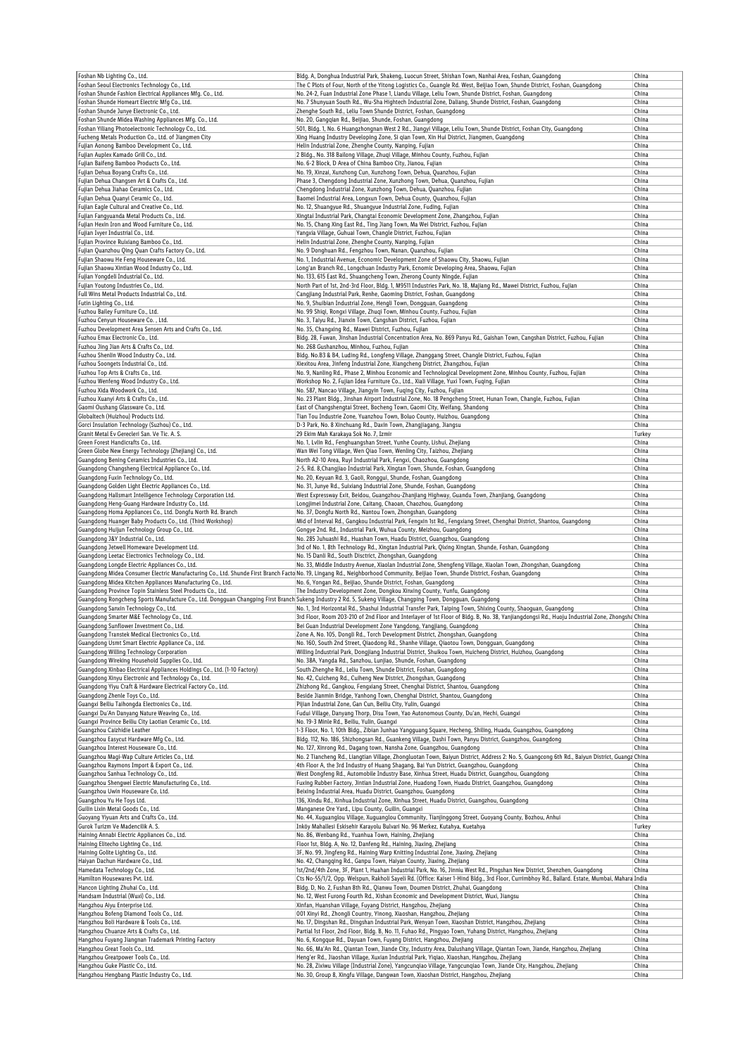| Foshan Nb Lighting Co., Ltd.                                                                                                                                                      |                                                                               | Bldg. A, Donghua Industrial Park, Shakeng, Luocun Street, Shishan Town, Nanhai Area, Foshan, Guangdong                                                                     | China          |
|-----------------------------------------------------------------------------------------------------------------------------------------------------------------------------------|-------------------------------------------------------------------------------|----------------------------------------------------------------------------------------------------------------------------------------------------------------------------|----------------|
| Foshan Seoul Electronics Technology Co., Ltd.                                                                                                                                     |                                                                               | The C Plots of Four, North of the Yitong Logistics Co., Guangle Rd. West, Beijiao Town, Shunde District, Foshan, Guangdong                                                 | China          |
| Foshan Shunde Fashion Electrical Appliances Mfg. Co., Ltd.                                                                                                                        |                                                                               | No. 24-2, Fuan Industrial Zone Phase 1, Liandu Village, Leliu Town, Shunde District, Foshan, Guangdong                                                                     | China          |
| Foshan Shunde Homeart Electric Mfg Co., Ltd.                                                                                                                                      |                                                                               | No. 7 Shunyuan South Rd., Wu-Sha Hightech Industrial Zone, Daliang, Shunde District, Foshan, Guangdong                                                                     | China          |
| Foshan Shunde Junye Electronic Co., Ltd.                                                                                                                                          | Zhenghe South Rd., Leliu Town Shunde District, Foshan, Guangdong              |                                                                                                                                                                            | China          |
| Foshan Shunde Midea Washing Appliances Mfg. Co., Ltd.                                                                                                                             | No. 20, Gangqian Rd., Beijiao, Shunde, Foshan, Guangdong                      |                                                                                                                                                                            | China          |
| Foshan Yiliang Photoelectronic Technology Co., Ltd.                                                                                                                               |                                                                               | 501, Bldg. 1, No. 6 Huangzhongnan West 2 Rd., Jiangyi Village, Leliu Town, Shunde District, Foshan City, Guangdong                                                         | China          |
| Fucheng Metals Production Co., Ltd. of Jiangmen City                                                                                                                              |                                                                               | Xing Huang Industry Developing Zone, Si gian Town, Xin Hui District, Jiangmen, Guangdong                                                                                   | China          |
| Fujian Aonong Bamboo Development Co., Ltd.                                                                                                                                        | Helin Industrial Zone, Zhenghe County, Nanping, Fujian                        |                                                                                                                                                                            | China          |
| Fujian Auplex Kamado Grill Co., Ltd.                                                                                                                                              |                                                                               | 2 Bldg., No. 318 Bailong Village, Zhuqi Village, Minhou County, Fuzhou, Fujian                                                                                             | China          |
| Fujian Baifeng Bamboo Products Co., Ltd.                                                                                                                                          | No. 6-2 Block, D Area of China Bamboo City, Jianou, Fujian                    |                                                                                                                                                                            | China          |
| Fujian Dehua Boyang Crafts Co., Ltd.                                                                                                                                              | No. 19, Xinzai, Xunzhong Cun, Xunzhong Town, Dehua, Quanzhou, Fujian          |                                                                                                                                                                            | China          |
| Fujian Dehua Changsen Art & Crafts Co., Ltd.                                                                                                                                      |                                                                               | Phase 3, Chengdong Industrial Zone, Xunzhong Town, Dehua, Quanzhou, Fujian                                                                                                 | China          |
| Fujian Dehua Jiahao Ceramics Co., Ltd.                                                                                                                                            | Chengdong Industrial Zone, Xunzhong Town, Dehua, Quanzhou, Fujian             |                                                                                                                                                                            | China          |
| Fujian Dehua Quanyi Ceramic Co., Ltd.                                                                                                                                             | Baomei Industrial Area, Longxun Town, Dehua County, Quanzhou, Fujian          |                                                                                                                                                                            | China          |
| Fujian Eagle Cultural and Creative Co., Ltd.                                                                                                                                      | No. 12, Shuangyue Rd., Shuangyue Industrial Zone, Fuding, Fujian              |                                                                                                                                                                            | China          |
| Fujian Fangyuanda Metal Products Co., Ltd.                                                                                                                                        |                                                                               | Xingtai Industrial Park, Changtai Economic Development Zone, Zhangzhou, Fujian                                                                                             | China          |
| Fujian Hexin Iron and Wood Furniture Co., Ltd.                                                                                                                                    | No. 15, Chang Xing East Rd., Ting Jiang Town, Ma Wei District, Fuzhou, Fujian |                                                                                                                                                                            | China          |
| Fujian Ivyer Industrial Co., Ltd.                                                                                                                                                 | Yangxia Village, Guhuai Town, Changle District, Fuzhou, Fujian                |                                                                                                                                                                            | China          |
| Fujian Province Ruixiang Bamboo Co., Ltd.                                                                                                                                         | Helin Industrial Zone, Zhenghe County, Nanping, Fujian                        |                                                                                                                                                                            | China          |
| Fujian Quanzhou Qing Quan Crafts Factory Co., Ltd.                                                                                                                                | No. 9 Donghuan Rd., Fengzhou Town, Nanan, Quanzhou, Fujian                    |                                                                                                                                                                            | China<br>China |
| Fujian Shaowu He Feng Houseware Co., Ltd.<br>Fujian Shaowu Xintian Wood Industry Co., Ltd.                                                                                        |                                                                               | No. 1, Industrial Avenue, Economic Development Zone of Shaowu City, Shaowu, Fujian<br>Long'an Branch Rd., Longchuan Industry Park, Ecnomic Developing Area, Shaowu, Fujian | China          |
| Fujian Yongdeli Industrial Co., Ltd.                                                                                                                                              | No. 133, 615 East Rd., Shuangcheng Town, Zherong County Ningde, Fujian        |                                                                                                                                                                            | China          |
| Fujian Youtong Industries Co., Ltd.                                                                                                                                               |                                                                               | North Part of 1st, 2nd-3rd Floor, Bldg. 1, M9511 Industries Park, No. 18, Majiang Rd., Mawei District, Fuzhou, Fujian                                                      | China          |
| Full Wins Metal Products Industrial Co., Ltd.                                                                                                                                     | Cangjiang Industrial Park, Renhe, Gaoming District, Foshan, Guangdong         |                                                                                                                                                                            | China          |
| Futin Lighting Co., Ltd.                                                                                                                                                          | No. 9, Shuibian Industrial Zone, Hengli Town, Dongguan, Guangdong             |                                                                                                                                                                            | China          |
| Fuzhou Bailey Furniture Co., Ltd.                                                                                                                                                 | No. 99 Shiqi, Rongxi Village, Zhuqi Town, Minhou County, Fuzhou, Fujian       |                                                                                                                                                                            | China          |
| Fuzhou Cenyun Houseware Co., Ltd.                                                                                                                                                 | No. 3, Taiyu Rd., Jianxin Town, Cangshan District, Fuzhou, Fujian             |                                                                                                                                                                            | China          |
| Fuzhou Development Area Sensen Arts and Crafts Co., Ltd.                                                                                                                          | No. 35, Changxing Rd., Mawei District, Fuzhou, Fujian                         |                                                                                                                                                                            | China          |
| Fuzhou Emax Electronic Co., Ltd.                                                                                                                                                  |                                                                               | Bldg. 28, Fuwan, Jinshan Industrial Concentration Area, No. 869 Panyu Rd., Gaishan Town, Cangshan District, Fuzhou, Fujian                                                 | China          |
| Fuzhou Jing Jian Arts & Crafts Co., Ltd.                                                                                                                                          | No. 268 Gushanzhou, Minhou, Fuzhou, Fujian                                    |                                                                                                                                                                            | China          |
| Fuzhou Shenlin Wood Industry Co., Ltd.                                                                                                                                            |                                                                               | Bldg. No.B3 & B4, Luding Rd., Longfeng Village, Zhanggang Street, Changle District, Fuzhou, Fujian                                                                         | China          |
| Fuzhou Soongets Industrial Co., Ltd.                                                                                                                                              |                                                                               | Xiexitou Area, Jinfeng Industrial Zone, Xiangcheng District, Zhangzhou, Fujian                                                                                             | China          |
| Fuzhou Top Arts & Crafts Co., Ltd.                                                                                                                                                |                                                                               | No. 9, Nanling Rd., Phase 2, Minhou Economic and Technological Development Zone, Minhou County, Fuzhou, Fujian                                                             | China          |
| Fuzhou Wenfeng Wood Industry Co., Ltd.                                                                                                                                            |                                                                               | Workshop No. 2, Fujian Idea Furniture Co., Ltd., Xiali Village, Yuxi Town, Fuqing, Fujian                                                                                  | China          |
| Fuzhou Xida Woodwork Co., Ltd.                                                                                                                                                    | No. 587, Nancao Village, Jiangyin Town, Fuqing City, Fuzhou, Fujian           |                                                                                                                                                                            | China          |
| Fuzhou Xuanyi Arts & Crafts Co., Ltd.                                                                                                                                             |                                                                               | No. 23 Plant Bldg., Jinshan Airport Industrial Zone, No. 18 Pengcheng Street, Hunan Town, Changle, Fuzhou, Fujian                                                          | China          |
| Gaomi Oushang Glassware Co., Ltd.                                                                                                                                                 |                                                                               | East of Changshengtai Street, Bocheng Town, Gaomi City, Weifang, Shandong                                                                                                  | China          |
| Globaltech (Huizhou) Products Ltd.                                                                                                                                                |                                                                               | Tian Tou Industrie Zone, Yuanzhou Town, Boluo County, Huizhou, Guangdong                                                                                                   | China          |
| Gorci Insulation Technology (Suzhou) Co., Ltd.                                                                                                                                    | D-3 Park, No. 8 Xinchuang Rd., Daxin Town, Zhangjiagang, Jiangsu              |                                                                                                                                                                            | China          |
| Granit Metal Ev Gerecleri San. Ve Tic. A. S.                                                                                                                                      | 29 Ekim Mah Karakaya Sok No. 7, Izmir                                         |                                                                                                                                                                            | Turkey         |
| Green Forest Handicrafts Co., Ltd.                                                                                                                                                | No. 1, Lvlin Rd., Fenghuangshan Street, Yunhe County, Lishui, Zhejiang        |                                                                                                                                                                            | China          |
| Green Globe New Energy Technology (Zhejiang) Co., Ltd.                                                                                                                            | Wan Wei Tong Village, Wen Qiao Town, Wenling City, Taizhou, Zhejiang          |                                                                                                                                                                            | China          |
| Guangdong Bening Ceramics Industries Co., Ltd.                                                                                                                                    | North A2-10 Area, Ruyi Industrial Park, Fengxi, Chaozhou, Guangdong           |                                                                                                                                                                            | China          |
| Guangdong Changsheng Electrical Appliance Co., Ltd.                                                                                                                               |                                                                               | 2-5, Rd. 8, Changjiao Industrial Park, Xingtan Town, Shunde, Foshan, Guangdong                                                                                             | China          |
| Guangdong Fuxin Technology Co., Ltd.                                                                                                                                              | No. 20, Keyuan Rd. 3, Gaoli, Ronggui, Shunde, Foshan, Guangdong               |                                                                                                                                                                            | China          |
| Guangdong Golden Light Electric Appliances Co., Ltd                                                                                                                               | No. 31, Junye Rd., Suixiang Industrial Zone, Shunde, Foshan, Guangdong        |                                                                                                                                                                            | China          |
| Guangdong Hallsmart Intelligence Technology Corporation Ltd.                                                                                                                      |                                                                               | West Expressway Exit, Beidou, Guangzhou-Zhanjiang Highway, Guandu Town, Zhanjiang, Guangdong                                                                               | China          |
| Guangdong Heng-Guang Hardware Industry Co., Ltd.                                                                                                                                  | Longjimei Industrial Zone, Caitang, Chaoan, Chaozhou, Guangdong               |                                                                                                                                                                            | China          |
| Guangdong Homa Appliances Co., Ltd. Dongfu North Rd. Branch                                                                                                                       | No. 37, Dongfu North Rd., Nantou Town, Zhongshan, Guangdong                   |                                                                                                                                                                            | China          |
| Guangdong Huanger Baby Products Co., Ltd. (Third Workshop)                                                                                                                        |                                                                               | Mid of Interval Rd., Gangkou Industrial Park, Fengxin 1st Rd., Fengxiang Street, Chenghai District, Shantou, Guangdong                                                     | China          |
| Guangdong Huijun Technology Group Co., Ltd.                                                                                                                                       | Gongye 2nd. Rd., Industrial Park, Wuhua County, Meizhou, Guangdong            |                                                                                                                                                                            | China          |
| Guangdong J&Y Industrial Co., Ltd.                                                                                                                                                |                                                                               | No. 285 Juhuashi Rd., Huashan Town, Huadu District, Guangzhou, Guangdong                                                                                                   | China          |
| Guangdong Jetwell Homeware Development Ltd.                                                                                                                                       |                                                                               | 3rd of No. 1, 8th Technology Rd., Xingtan Industrial Park, Qixing Xingtan, Shunde, Foshan, Guangdong                                                                       | China          |
| Guangdong Leetac Electronics Technology Co., Ltd.                                                                                                                                 | No. 15 Danli Rd., South Disctrict, Zhongshan, Guangdong                       |                                                                                                                                                                            | China          |
| Guangdong Longde Electric Appliances Co., Ltd.                                                                                                                                    |                                                                               | No. 33, Middle Industry Avenue, Xiaolan Industrial Zone, Shengfeng Village, Xiaolan Town, Zhongshan, Guangdong                                                             | China          |
| Guangdong Midea Consumer Electric Manufacturing Co., Ltd. Shunde First Branch Facto No. 19, Lingang Rd., Neighborhood Community, Beijiao Town, Shunde District, Foshan, Guangdong |                                                                               |                                                                                                                                                                            | China          |
| Guangdong Midea Kitchen Appliances Manufacturing Co., Ltd.                                                                                                                        | No. 6, Yongan Rd., Beijiao, Shunde District, Foshan, Guangdong                |                                                                                                                                                                            | China          |
| Guangdong Province Topin Stainless Steel Products Co., Ltd.                                                                                                                       |                                                                               | The Industry Development Zone, Dongkou Xinxing County, Yunfu, Guangdong                                                                                                    | China          |
| Guangdong Rongcheng Sports Manufacture Co., Ltd. Dongguan Changping First Branch Sukeng Industry 2 Rd. 5, Sukeng Village, Changping Town, Dongguan, Guangdong                     |                                                                               |                                                                                                                                                                            | China          |
| Guangdong Sanxin Technology Co., Ltd.                                                                                                                                             |                                                                               | No. 1, 3rd Horizontal Rd., Shashui Industrial Transfer Park, Taiping Town, Shixing County, Shaoguan, Guangdong                                                             | China          |
| Guangdong Smarter M&E Technology Co., Ltd.                                                                                                                                        |                                                                               | 3rd Floor, Room 203-210 of 2nd Floor and Interlayer of 1st Floor of Bldg. B, No. 38, Yanjiangdongsi Rd., Huoju Industrial Zone, Zhongsha China                             |                |
| Guangdong Sunflower Investment Co., Ltd.                                                                                                                                          | Bei Guan Industrial Development Zone Yangdong, Yangjiang, Guangdong           |                                                                                                                                                                            | China          |
| Guangdong Transtek Medical Electronics Co., Ltd.                                                                                                                                  |                                                                               | Zone A, No. 105, Dongli Rd., Torch Development District, Zhongshan, Guangdong                                                                                              | China          |
| Guangdong Usmt Smart Electric Appliance Co., Ltd.                                                                                                                                 |                                                                               | No. 160, South 2nd Street, Qiaodong Rd., Shanhe Village, Qiaotou Town, Dongguan, Guangdong                                                                                 | China          |
| Guangdong Willing Technology Corporation                                                                                                                                          |                                                                               | Willing Industrial Park, Dongjiang Industrial District, Shuikou Town, Huicheng District, Huizhou, Guangdong                                                                | China          |
| Guangdong Wireking Household Supplies Co., Ltd.                                                                                                                                   | No. 38A, Yangda Rd., Sanzhou, Lunjiao, Shunde, Foshan, Guangdong              |                                                                                                                                                                            | China          |
| Guangdong Xinbao Electrical Appliances Holdings Co., Ltd. (1-10 Factory)                                                                                                          | South Zhenghe Rd., Leliu Town, Shunde District, Foshan, Guangdong             |                                                                                                                                                                            | China          |
| Guangdong Xinyu Electronic and Technology Co., Ltd.                                                                                                                               | No. 42, Cuicheng Rd., Cuiheng New District, Zhongshan, Guangdong              |                                                                                                                                                                            | China          |
| Guangdong Yiyu Craft & Hardware Electrical Factory Co., Ltd.                                                                                                                      |                                                                               | Zhizhong Rd., Gangkou, Fengxiang Street, Chenghai District, Shantou, Guangdong                                                                                             | China          |
| Guangdong Zhenle Toys Co., Ltd.<br>Guangxi Beiliu Taihongda Electronics Co., Ltd.                                                                                                 |                                                                               | Beside Jianmin Bridge, Yanhong Town, Chenghai District, Shantou, Guangdong                                                                                                 | China          |
| Guangxi Du'An Danyang Nature Weaving Co., Ltd.                                                                                                                                    | Pijian Industrial Zone, Gan Cun, Beiliu City, Yulin, Guangxi                  | Fudui Village, Danyang Thorp, Disu Town, Yao Autonomous County, Du'an, Hechi, Guangxi                                                                                      | China<br>China |
| Guangxi Province Beiliu City Laotian Ceramic Co., Ltd.                                                                                                                            | No. 19-3 Minle Rd., Beiliu, Yulin, Guangxi                                    |                                                                                                                                                                            | China          |
| Guangzhou Caizhidie Leather                                                                                                                                                       |                                                                               | 1-3 Floor, No. 1, 10th Bldg., Zibian Junhao Yangguang Square, Hecheng, Shiling, Huadu, Guangzhou, Guangdong                                                                | China          |
| Guangzhou Easycut Hardware Mfg Co., Ltd.                                                                                                                                          |                                                                               | Bldg. 112, No. 186, Shizhongsan Rd., Guankeng Village, Dashi Town, Panyu District, Guangzhou, Guangdong                                                                    | China          |
| Guangzhou Interest Houseware Co., Ltd.                                                                                                                                            | No. 127, Xinrong Rd., Dagang town, Nansha Zone, Guangzhou, Guangdong          |                                                                                                                                                                            | China          |
| Guangzhou Magi-Wap Culture Articles Co., Ltd.                                                                                                                                     |                                                                               | No. 2 Tiancheng Rd., Liangtian Village, Zhongluotan Town, Baiyun District, Address 2: No. 5, Guangcong 6th Rd., Baiyun District, Guangz China                              |                |
| Guangzhou Raymons Import & Export Co., Ltd.                                                                                                                                       |                                                                               | 4th Floor A, the 3rd Industry of Huang Shagang, Bai Yun District, Guangzhou, Guangdong                                                                                     | China          |
| Guangzhou Sanhua Technology Co., Ltd.                                                                                                                                             |                                                                               | West Dongfeng Rd., Automobile Industry Base, Xinhua Street, Huadu District, Guangzhou, Guangdong                                                                           | China          |
| Guangzhou Shengwei Electric Manufacturing Co., Ltd.                                                                                                                               |                                                                               | Fuxing Rubber Factory, Jintian Industrial Zone, Huadong Town, Huadu District, Guangzhou, Guangdong                                                                         | China          |
| Guangzhou Uwin Houseware Co, Ltd.                                                                                                                                                 | Beixing Industrial Area, Huadu District, Guangzhou, Guangdong                 |                                                                                                                                                                            | China          |
| Guangzhou Yu He Toys Ltd.                                                                                                                                                         |                                                                               | 136, Xindu Rd., Xinhua Industrial Zone, Xinhua Street, Huadu District, Guangzhou, Guangdong                                                                                | China          |
| Guilin Lixin Metal Goods Co., Ltd.                                                                                                                                                | Manganese Ore Yard., Lipu County, Guilin, Guangxi                             |                                                                                                                                                                            | China          |
| Guoyang Yiyuan Arts and Crafts Co., Ltd.                                                                                                                                          |                                                                               | No. 44, Xuguanglou Village, Xuguanglou Community, Tianjinggong Street, Guoyang County, Bozhou, Anhui                                                                       | China          |
| Gurok Turizm Ve Madencilik A. S.                                                                                                                                                  | Inköy Mahallesi Eskisehir Karayolu Bulvari No. 96 Merkez, Kutahya, Kuetahya   |                                                                                                                                                                            | Turkey         |
| Haining Annabi Electric Appliances Co., Ltd.                                                                                                                                      | No. 86, Wenbang Rd., Yuanhua Town, Haining, Zhejiang                          |                                                                                                                                                                            | China          |
| Haining Elitecho Lighting Co., Ltd.                                                                                                                                               | Floor 1st, Bldg. A, No. 12, Danfeng Rd., Haining, Jiaxing, Zhejiang           |                                                                                                                                                                            | China          |
| Haining Golite Lighting Co., Ltd.                                                                                                                                                 |                                                                               | 3F, No. 99, Jingfeng Rd., Haining Warp Knitting Industrial Zone, Jiaxing, Zhejiang                                                                                         | China          |
| Haiyan Dachun Hardware Co., Ltd.                                                                                                                                                  | No. 42, Changqing Rd., Ganpu Town, Haiyan County, Jiaxing, Zhejiang           |                                                                                                                                                                            | China          |
| Hamedata Technology Co., Ltd.                                                                                                                                                     |                                                                               | 1st/2nd/4th Zone, 3F, Plant 1, Huahan Industrial Park, No. 16, Jinniu West Rd., Pingshan New District, Shenzhen, Guangdong                                                 | China          |
| Hamilton Housewares Pvt. Ltd.                                                                                                                                                     |                                                                               | Cts No-55/1/2, Opp. Welspun, Rakholi Sayeli Rd. (Office: Kaiser 1-Hind Bldg., 3rd Floor, Currimbhoy Rd., Ballard. Estate, Mumbai, Mahara India                             |                |
| Hancon Lighting Zhuhai Co., Ltd.                                                                                                                                                  |                                                                               | Bldg. D, No. 2, Fushan 8th Rd., Qianwu Town, Doumen District, Zhuhai, Guangdong                                                                                            | China          |
| Handsam Industrial (Wuxi) Co., Ltd.                                                                                                                                               |                                                                               | No. 12, West Furong Fourth Rd., Xishan Economic and Development District, Wuxi, Jiangsu                                                                                    | China          |
| Hangzhou Aiyu Enterprise Ltd.                                                                                                                                                     | Xinfan, Huanshan Village, Fuyang District, Hangzhou, Zhejiang                 |                                                                                                                                                                            | China          |
| Hangzhou Bofeng Diamond Tools Co., Ltd.                                                                                                                                           | 001 Xinyi Rd., Zhongli Country, Yinong, Xiaoshan, Hangzhou, Zhejiang          |                                                                                                                                                                            | China          |
| Hangzhou Boli Hardware & Tools Co., Ltd.                                                                                                                                          |                                                                               | No. 17, Dingshan Rd., Dingshan Industrial Park, Wenyan Town, Xiaoshan District, Hangzhou, Zhejiang                                                                         | China          |
| Hangzhou Chuanze Arts & Crafts Co., Ltd.                                                                                                                                          |                                                                               | Partial 1st Floor, 2nd Floor, Bldg. B, No. 11, Fuhao Rd., Pingyao Town, Yuhang District, Hangzhou, Zhejiang                                                                | China          |
|                                                                                                                                                                                   |                                                                               |                                                                                                                                                                            | China          |
|                                                                                                                                                                                   | No. 6, Kongque Rd., Dayuan Town, Fuyang District, Hangzhou, Zhejiang          |                                                                                                                                                                            |                |
|                                                                                                                                                                                   |                                                                               | No. 66, Ma'An Rd., Qiantan Town, Jiande City, Industry Area, Dalushang Village, Qiantan Town, Jiande, Hangzhou, Zhejiang                                                   | China          |
|                                                                                                                                                                                   |                                                                               | Heng'er Rd., Jiaoshan Village, Xuxian Industrial Park, Yiqiao, Xiaoshan, Hangzhou, Zhejiang                                                                                | China          |
| Hangzhou Fuyang Jiangnan Trademark Printing Factory<br>Hangzhou Great Tools Co., Ltd.<br>Hangzhou Greatpower Tools Co., Ltd.<br>Hangzhou Guke Plastic Co., Ltd.                   |                                                                               | No. 28, Zixiwu Village (Industrial Zone), Yangcunqiao Village, Yangcunqiao Town, Jiande City, Hangzhou, Zhejiang                                                           | China          |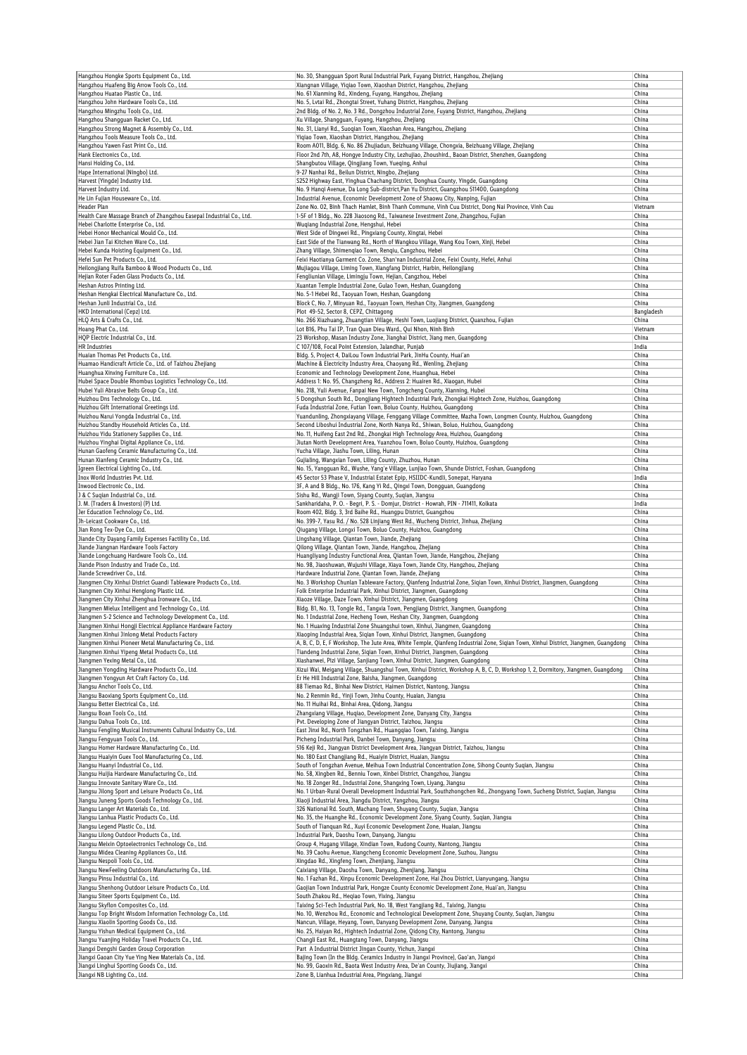| Hangzhou Hongke Sports Equipment Co., Ltd.                                                                     | No. 30, Shangguan Sport Rural Industrial Park, Fuyang District, Hangzhou, Zhejiang                                                                                                  | China            |
|----------------------------------------------------------------------------------------------------------------|-------------------------------------------------------------------------------------------------------------------------------------------------------------------------------------|------------------|
| Hangzhou Huafeng Big Arrow Tools Co., Ltd.                                                                     | Xiangnan Village, Yiqiao Town, Xiaoshan District, Hangzhou, Zhejiang                                                                                                                | China            |
| Hangzhou Huatao Plastic Co., Ltd.                                                                              | No. 61 Xianming Rd., Xindeng, Fuyang, Hangzhou, Zhejiang                                                                                                                            | China            |
| Hangzhou John Hardware Tools Co., Ltd.                                                                         | No. 5, Lvtai Rd., Zhongtai Street, Yuhang District, Hangzhou, Zhejiang                                                                                                              | China            |
| Hangzhou Mingzhu Tools Co., Ltd.<br>Hangzhou Shangguan Racket Co., Ltd.                                        | 2nd Bldg. of No. 2, No. 3 Rd., Dongzhou Industrial Zone, Fuyang District, Hangzhou, Zhejiang                                                                                        | China<br>China   |
| Hangzhou Strong Magnet & Assembly Co., Ltd.                                                                    | Xu Village, Shangguan, Fuyang, Hangzhou, Zhejiang<br>No. 31, Lianyi Rd., Suoqian Town, Xiaoshan Area, Hangzhou, Zhejiang                                                            | China            |
| Hangzhou Tools Measure Tools Co., Ltd.                                                                         | Yiqiao Town, Xiaoshan District, Hangzhou, Zhejiang                                                                                                                                  | China            |
| Hangzhou Yawen Fast Print Co., Ltd.                                                                            | Room A011, Bldq. 6, No. 86 Zhujiadun, Beizhuang Village, Chongxia, Beizhuang Village, Zhejiang                                                                                      | China            |
| Hank Electronics Co., Ltd.                                                                                     | Floor 2nd 7th, A8, Hongye Industry City, Lezhujiao, Zhoushird., Baoan District, Shenzhen, Guangdong                                                                                 | China            |
| Hansi Holding Co., Ltd.                                                                                        | Shangbutou Village, Qingjiang Town, Yueqing, Anhui                                                                                                                                  | China            |
| Hape International (Ningbo) Ltd.                                                                               | 9-27 Nanhai Rd., Beilun District, Ningbo, Zhejiang                                                                                                                                  | China            |
| Harvest (Yingde) Industry Ltd.<br>Harvest Industry Ltd.                                                        | S252 Highway East, Yinghua Chachang District, Donghua County, Yingde, Guangdong<br>No. 9 Hanqi Avenue, Da Long Sub-district, Pan Yu District, Guangzhou 511400, Guangdong           | China<br>China   |
| He Lin Fujian Houseware Co., Ltd.                                                                              | Industrial Avenue, Economic Development Zone of Shaowu City, Nanping, Fujian                                                                                                        | China            |
| Header Plan                                                                                                    | Zone No. 02, Binh Thach Hamlet, Binh Thanh Commune, Vinh Cuu District, Dong Nai Province, Vinh Cuu                                                                                  | Vietnam          |
| Health Care Massage Branch of Zhangzhou Easepal Industrial Co., Ltd.                                           | 1-5F of 1 Bldg., No. 228 Jiaosong Rd., Taiwanese Investment Zone, Zhangzhou, Fujian                                                                                                 | China            |
| Hebei Charlotte Enterprise Co., Ltd.                                                                           | Wuqiang Industrial Zone, Hengshui, Hebei                                                                                                                                            | China            |
| Hebei Honor Mechanical Mould Co., Ltd.                                                                         | West Side of Dingwei Rd., Pingxiang County, Xingtai, Hebei                                                                                                                          | China            |
| Hebei Jian Tai Kitchen Ware Co., Ltd.                                                                          | East Side of the Tianwang Rd., North of Wangkou Village, Wang Kou Town, Xinji, Hebei                                                                                                | China            |
| Hebei Kunda Hoisting Equipment Co., Ltd.<br>Hefei Sun Pet Products Co., Ltd.                                   | Zhang Village, Shimenqiao Town, Renqiu, Cangzhou, Hebei<br>Feixi Haotianya Garment Co. Zone, Shan'nan Industrial Zone, Feixi County, Hefei, Anhui                                   | China<br>China   |
| Heilongjiang Ruifa Bamboo & Wood Products Co., Ltd.                                                            | Mujiagou Village, Liming Town, Xiangfang District, Harbin, Heilongjiang                                                                                                             | China            |
| Hejian Roter Faden Glass Products Co., Ltd.                                                                    | Fengliunian Village, Limingju Town, Hejian, Cangzhou, Hebei                                                                                                                         | China            |
| Heshan Astros Printing Ltd.                                                                                    | Xuantan Temple Industrial Zone, Gulao Town, Heshan, Guangdong                                                                                                                       | China            |
| Heshan Hengkai Electrical Manufacture Co., Ltd.                                                                | No. 5-1 Hebei Rd., Taoyuan Town, Heshan, Guangdong                                                                                                                                  | China            |
| Heshan Junli Industrial Co., Ltd.                                                                              | Block C, No. 7, Minyuan Rd., Taoyuan Town, Heshan City, Jiangmen, Guangdong                                                                                                         | China            |
| HKD International (Cepz) Ltd.                                                                                  | Plot 49-52, Sector 8, CEPZ, Chittagong                                                                                                                                              | Bangladesh       |
| HLQ Arts & Crafts Co., Ltd.<br>Hoang Phat Co., Ltd.                                                            | No. 266 Xiazhuang, Zhuangtian Village, Heshi Town, Luojiang District, Quanzhou, Fujian<br>Lot B16, Phu Tai IP, Tran Quan Dieu Ward., Qui Nhon, Ninh Bình                            | China<br>Vietnam |
| HQP Electric Industrial Co., Ltd.                                                                              | 23 Workshop, Masan Industry Zone, Jianghai District, Jiang men, Guangdong                                                                                                           | China            |
| <b>HR Industries</b>                                                                                           | C 107/108, Focal Point Extension, Jalandhar, Punjab                                                                                                                                 | India            |
| Huaian Thomas Pet Products Co., Ltd.                                                                           | Bldg. 5, Project 4, DaiLou Town Industrial Park, JinHu County, Huai'an                                                                                                              | China            |
| Huamao Handicraft Article Co., Ltd. of Taizhou Zhejiang                                                        | Machine & Electricity Industry Area, Chaoyang Rd., Wenling, Zhejiang                                                                                                                | China            |
| Huanghua Xinxing Furniture Co., Ltd.                                                                           | Economic and Technology Development Zone, Huanghua, Hebei                                                                                                                           | China            |
| Hubei Space Double Rhombus Logistics Technology Co., Ltd.                                                      | Address 1: No. 95, Changzheng Rd., Address 2: Huairen Rd., Xiaogan, Hubei                                                                                                           | China            |
| Hubei Yuli Abrasive Belts Group Co., Ltd.                                                                      | No. 218, Yuli Avenue, Fanpai New Town, Tongcheng County, Xianning, Hubei                                                                                                            | China            |
| Huizhou Dns Technology Co., Ltd.<br>Huizhou Gift International Greetings Ltd.                                  | 5 Dongshun South Rd., Dongjiang Hightech Industrial Park, Zhongkai Hightech Zone, Huizhou, Guangdong<br>Fuda Industrial Zone, Futian Town, Boluo County, Huizhou, Guangdong         | China<br>China   |
| Huizhou Narui Yongda Industrial Co., Ltd.                                                                      | Yuandunling, Zhongxiayang Village, Fenggang Village Committee, Mazha Town, Longmen County, Huizhou, Guangdong                                                                       | China            |
| Huizhou Standby Household Articles Co., Ltd.                                                                   | Second Liboshui Industrial Zone, North Nanya Rd., Shiwan, Boluo, Huizhou, Guangdong                                                                                                 | China            |
| Huizhou Yidu Stationery Supplies Co., Ltd.                                                                     | No. 11, Huifeng East 2nd Rd., Zhongkai High Technology Area, Huizhou, Guangdong                                                                                                     | China            |
| Huizhou Yinghai Digital Appliance Co., Ltd.                                                                    | Jiutan North Development Area, Yuanzhou Town, Boluo County, Huizhou, Guangdong                                                                                                      | China            |
| Hunan Gaofeng Ceramic Manufacturing Co., Ltd.                                                                  | Yucha Village, Jiashu Town, Liling, Hunan                                                                                                                                           | China            |
| Hunan Xianfeng Ceramic Industry Co., Ltd.                                                                      | Gujialing, Wangxian Town, Liling County, Zhuzhou, Hunan                                                                                                                             | China            |
| Igreen Electrical Lighting Co., Ltd.                                                                           | No. 15, Yangguan Rd., Wushe, Yang'e Village, Lunjiao Town, Shunde District, Foshan, Guangdong                                                                                       | China            |
| Inox World Industries Pvt. Ltd.<br>Inwood Electronic Co., Ltd.                                                 | 45 Sector 53 Phase V, Industrial Estatet Epip, HSIIDC-Kundli, Sonepat, Haryana<br>3F, A and B Bldg., No. 176, Kang Yi Rd., Qingxi Town, Dongguan, Guangdong                         | India<br>China   |
| J & C Sugian Industrial Co., Ltd.                                                                              | Sishu Rd., Wangji Town, Siyang County, Suqian, Jiangsu                                                                                                                              | China            |
| I. M. (Traders & Investors) (P) Ltd.                                                                           | Sankharidaha, P. O. - Begri, P. S. - Domjur, District - Howrah, PIN - 711411, Kolkata                                                                                               | India            |
| ler Education Technology Co., Ltd.                                                                             | Room 402, Bldg. 3, 3rd Baihe Rd., Huangpu District, Guangzhou                                                                                                                       | China            |
| Jh-Leicast Cookware Co., Ltd.                                                                                  | No. 399-7, Yasu Rd. / No. 528 Linjiang West Rd., Wucheng District, Jinhua, Zhejiang                                                                                                 | China            |
| Jian Rong Tex-Dye Co., Ltd.                                                                                    | Qiugang Village, Longxi Town, Boluo County, Huizhou, Guangdong                                                                                                                      | China            |
| Jiande City Dayang Family Expenses Factility Co., Ltd.                                                         | Lingshang Village, Qiantan Town, Jiande, Zhejiang                                                                                                                                   | China            |
| Jiande Jiangnan Hardware Tools Factory                                                                         | Qilong Village, Qiantan Town, Jiande, Hangzhou, Zhejiang                                                                                                                            | China<br>China   |
| Jiande Longchuang Hardware Tools Co., Ltd.<br>Jiande Pison Industry and Trade Co., Ltd.                        | Huangliyang Industry Functional Area, Qiantan Town, Jiande, Hangzhou, Zhejiang<br>No. 98, Jiaoshuwan, Wujushi Village, Xiaya Town, Jiande City, Hangzhou, Zhejiang                  | China            |
| Jiande Screwdriver Co., Ltd.                                                                                   | Hardware Industrial Zone, Qiantan Town, Jiande, Zhejiang                                                                                                                            | China            |
| Jiangmen City Xinhui District Guandi Tableware Products Co., Ltd.                                              | No. 3 Workshop Chunlan Tableware Factory, Qianfeng Industrial Zone, Siqian Town, Xinhui District, Jiangmen, Guangdong                                                               | China            |
| Jiangmen City Xinhui Henglong Plastic Ltd.                                                                     | Folk Enterprise Industrial Park, Xinhui District, Jiangmen, Guangdong                                                                                                               | China            |
| Jiangmen City Xinhui Zhenghua Ironware Co., Ltd.                                                               | Xiaoze Village, Daze Town, Xinhui District, Jiangmen, Guangdong                                                                                                                     | China            |
| Jiangmen Mielux Intelligent and Technology Co., Ltd.                                                           | Bldg. B1, No. 13, Tongle Rd., Tangxia Town, Pengjiang District, Jiangmen, Guangdong                                                                                                 | China            |
| Jiangmen S-2 Science and Technology Development Co., Ltd.                                                      | No. 1 Industrial Zone, Hecheng Town, Heshan City, Jiangmen, Guangdong                                                                                                               | China            |
| Jiangmen Xinhui Hongji Electrical Appliance Hardware Factory<br>Jiangmen Xinhui Jinlong Metal Products Factory | No. 1 Huaxing Industrial Zone Shuangshui town, Xinhui, Jiangmen, Guangdong<br>Xiaoping Industrial Area, Sigian Town, Xinhui District, Jiangmen, Guangdong                           | China<br>China   |
| Jiangmen Xinhui Pioneer Metal Manufacturing Co., Ltd.                                                          | A, B, C, D, E, F Workshop, The Jute Area, White Temple, Qianfeng Industrial Zone, Siqian Town, Xinhui District, Jiangmen, Guangdong                                                 | China            |
| Jiangmen Xinhui Yipeng Metal Products Co., Ltd.                                                                | Tiandeng Industrial Zone, Sigian Town, Xinhui District, Jiangmen, Guangdong                                                                                                         | China            |
| Jiangmen Yexing Metal Co., Ltd.                                                                                | Xiashanwei, Pizi Village, Sanjiang Town, Xinhui District, Jiangmen, Guangdong                                                                                                       | China            |
| Jiangmen Yongding Hardware Products Co., Ltd.                                                                  | Xizui Wai, Meigang Village, Shuangshui Town, Xinhui District, Workshop A, B, C, D, Workshop 1, 2, Dormitory, Jiangmen, Guangdong                                                    | China            |
| Jiangmen Yongyun Art Craft Factory Co., Ltd.                                                                   | Er He Hill Industrial Zone, Baisha, Jiangmen, Guangdong                                                                                                                             | China            |
| Jiangsu Anchor Tools Co., Ltd.                                                                                 | 88 Tiemao Rd., Binhai New District, Haimen District, Nantong, Jiangsu                                                                                                               | China            |
| Jiangsu Baoxiang Sports Equipment Co., Ltd.<br>Jiangsu Better Electrical Co., Ltd.                             | No. 2 Renmin Rd., Yinji Town, Jinhu County, Huaian, Jiangsu<br>No. 11 Huihai Rd., Binhai Area, Qidong, Jiangsu                                                                      | China<br>China   |
| Jiangsu Boan Tools Co., Ltd.                                                                                   | Zhangxiang Village, Huqiao, Development Zone, Danyang City, Jiangsu                                                                                                                 | China            |
| Jiangsu Dahua Tools Co., Ltd.                                                                                  | Pvt. Developing Zone of Jiangyan District, Taizhou, Jiangsu                                                                                                                         | China            |
| Jiangsu Fengling Musical Instruments Cultural Industry Co., Ltd.                                               | East Jinxi Rd., North Tongzhan Rd., Huanggiao Town, Taixing, Jiangsu                                                                                                                | China            |
| Jiangsu Fengyuan Tools Co., Ltd.                                                                               | Picheng Industrial Park, Danbei Town, Danyang, Jiangsu                                                                                                                              | China            |
| Jiangsu Homer Hardware Manufacturing Co., Ltd.                                                                 | 516 Keji Rd., Jiangyan District Development Area, Jiangyan District, Taizhou, Jiangsu                                                                                               | China            |
| Jiangsu Huaiyin Guex Tool Manufacturing Co., Ltd.<br>Jiangsu Huanyi Industrial Co., Ltd.                       | No. 180 East Changjiang Rd., Huaiyin District, Huaian, Jiangsu<br>South of Tongzhan Avenue, Meihua Town Industrial Concentration Zone, Sihong County Sugian, Jiangsu                | China            |
| Jiangsu Huijia Hardware Manufacturing Co., Ltd.                                                                | No. 58, Xingben Rd., Benniu Town, Xinbei District, Changzhou, Jiangsu                                                                                                               | China<br>China   |
| Jiangsu Innovate Sanitary Ware Co., Ltd.                                                                       | No. 18 Zonger Rd., Industrial Zone, Shangxing Town, Liyang, Jiangsu                                                                                                                 | China            |
| Jiangsu Jilong Sport and Leisure Products Co., Ltd.                                                            | No. 1 Urban-Rural Overall Development Industrial Park, Southzhongchen Rd., Zhongyang Town, Sucheng District, Suqian, Jiangsu                                                        | China            |
| Jiangsu Juneng Sports Goods Technology Co., Ltd.                                                               | Xiaoji Industrial Area, Jiangdu District, Yangzhou, Jiangsu                                                                                                                         | China            |
| Jiangsu Langer Art Materials Co., Ltd.                                                                         | 326 National Rd. South, Machang Town, Shuyang County, Suqian, Jiangsu                                                                                                               | China            |
| Jiangsu Lanhua Plastic Products Co., Ltd.                                                                      | No. 35, the Huanghe Rd., Economic Development Zone, Siyang County, Suqian, Jiangsu                                                                                                  | China            |
| Jiangsu Legend Plastic Co., Ltd.                                                                               | South of Tianquan Rd., Xuyi Economic Development Zone, Huaian, Jiangsu                                                                                                              | China            |
| Jiangsu Lilong Outdoor Products Co., Ltd.<br>Jiangsu Meixin Optoelectronics Technology Co., Ltd.               | Industrial Park, Daoshu Town, Danyang, Jiangsu<br>Group 4, Hugang Village, Xindian Town, Rudong County, Nantong, Jiangsu                                                            | China<br>China   |
| Jiangsu Midea Cleaning Appliances Co., Ltd.                                                                    | No. 39 Caohu Avenue, Xiangcheng Economic Development Zone, Suzhou, Jiangsu                                                                                                          | China            |
| Jiangsu Nespoli Tools Co., Ltd.                                                                                | Xingdao Rd., Xingfeng Town, Zhenjiang, Jiangsu                                                                                                                                      | China            |
| Jiangsu NewFeeling Outdoors Manufacturing Co., Ltd.                                                            | Caixiang Village, Daoshu Town, Danyang, Zhenjiang, Jiangsu                                                                                                                          | China            |
| Jiangsu Pinsu Industrial Co., Ltd.                                                                             | No. 1 Fazhan Rd., Xinpu Economic Development Zone, Hai Zhou District, Lianyungang, Jiangsu                                                                                          | China            |
| Jiangsu Shenhong Outdoor Leisure Products Co., Ltd.                                                            | Gaojian Town Industrial Park, Hongze County Economic Development Zone, Huai'an, Jiangsu                                                                                             | China            |
| Jiangsu Siteer Sports Equipment Co., Ltd.                                                                      | South Zhakou Rd., Heqiao Town, Yixing, Jiangsu                                                                                                                                      | China            |
| Jiangsu Skyflon Composites Co., Ltd.<br>Jiangsu Top Bright Wisdom Information Technology Co., Ltd.             | Taixing Sci-Tech Industrial Park, No. 18, West Yangjiang Rd., Taixing, Jiangsu<br>No. 10, Wenzhou Rd., Economic and Technological Development Zone, Shuyang County, Suqian, Jiangsu | China<br>China   |
| Jiangsu Xiaolin Sporting Goods Co., Ltd.                                                                       | Nancun, Village, Heyang, Town, Danyang Development Zone, Danyang, Jiangsu                                                                                                           | China            |
| Jiangsu Yishun Medical Equipment Co., Ltd.                                                                     | No. 25, Haiyan Rd., Hightech Industrial Zone, Qidong City, Nantong, Jiangsu                                                                                                         | China            |
| Jiangsu Yuanjing Holiday Travel Products Co., Ltd.                                                             | Changli East Rd., Huangtang Town, Danyang, Jiangsu                                                                                                                                  | China            |
| Jiangxi Dengshi Garden Group Corporation                                                                       | Part A Industrial District Jingan County, Yichun, Jiangxi                                                                                                                           | China            |
| Jiangxi Gaoan City Yue Ying New Materials Co., Ltd.                                                            | Bajing Town (In the Bldg. Ceramics Industry in Jiangxi Province), Gao'an, Jiangxi                                                                                                   | China            |
| Jiangxi Linghui Sporting Goods Co., Ltd.                                                                       | No. 99, Gaoxin Rd., Baota West Industry Area, De'an County, Jiujiang, Jiangxi                                                                                                       | China            |
| Jiangxi NB Lighting Co., Ltd.                                                                                  | Zone B, Lianhua Industrial Area, Pingxiang, Jiangxi                                                                                                                                 | China            |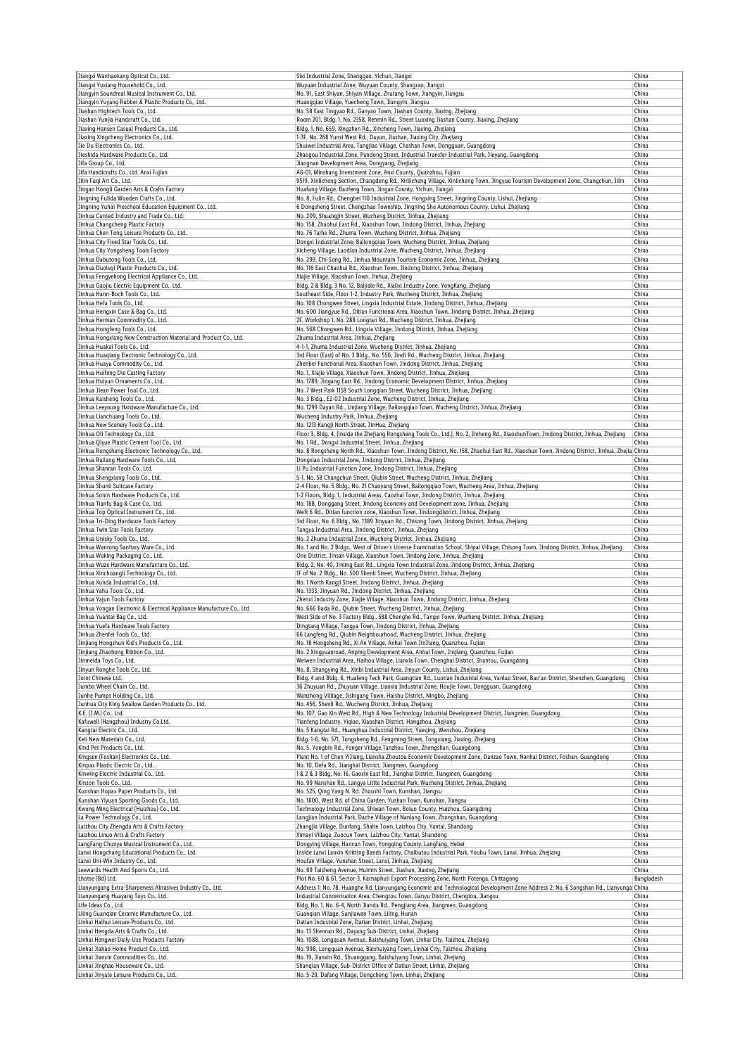| Jiangxi Wanhaokang Optical Co., Ltd.                                                              | Sixi Industrial Zone, Shanggao, Yichun, Jiangxi                                                                                                                 | China          |
|---------------------------------------------------------------------------------------------------|-----------------------------------------------------------------------------------------------------------------------------------------------------------------|----------------|
| Jiangxi Yuxiang Household Co., Ltd.                                                               | Wuyuan Industrial Zone, Wuyuan County, Shangrao, Jiangxi                                                                                                        | China          |
| Jiangyin Soundreal Musical Instrument Co., Ltd.                                                   | No. 91, East Shiyan, Shiyan Village, Zhutang Town, Jiangyin, Jiangsu                                                                                            | China          |
| Jiangyin Yuyang Rubber & Plastic Products Co., Ltd.                                               | Huangqiao Village, Yuecheng Town, Jiangyin, Jiangsu                                                                                                             | China          |
| Jiashan Hightech Tools Co., Ltd.                                                                  | No. 58 East Tingyao Rd., Ganyao Town, Jiashan County, Jiaxing, Zhejiang                                                                                         | China          |
| Jiashan Yunjia Handcraft Co., Ltd.                                                                | Room 201, Bldg. 1, No. 2358, Renmin Rd., Street Luoxing Jiashan County, Jiaxing, Zhejiang                                                                       | China          |
| Jiaxing Hansen Casual Products Co., Ltd.                                                          | Bldg. 1, No. 659, Xingzhen Rd., Xincheng Town, Jiaxing, Zhejiang                                                                                                | China          |
| Jiaxing Xingcheng Electronics Co., Ltd.                                                           | 1-3F, No. 268 Yunsi West Rd., Dayun, Jiashan, Jiaxing City, Zhejiang                                                                                            | China          |
| Jie Du Electronics Co., Ltd.                                                                      | Shuiwei Industrial Area, Tangjiao Village, Chashan Town, Dongquan, Guangdong                                                                                    | China          |
| Jieshida Hardware Products Co., Ltd.                                                              | Zhaogou Industrial Zone, Pandong Street, Industrial Transfer Industrial Park, Jieyang, Guangdong                                                                | China          |
| Jifa Group Co., Ltd.                                                                              | Jiangnan Development Area, Dongyang, Zhejiang                                                                                                                   | China          |
| Jifa Handicrafts Co., Ltd. Anxi Fujian                                                            | A6-01, Minshang Investment Zone, Anxi County, Quanzhou, Fujian                                                                                                  | China          |
| Jilin Fuqi Art Co., Ltd.                                                                          | 9519, Xinlicheng Section, Changdong Rd., Xinlicheng Village, Xinlicheng Town, Jingyue Tourism Development Zone, Changchun, Jilin                                | China          |
| Jingan Hongli Garden Arts & Crafts Factory                                                        | Huafang Village, Baofeng Town, Jingan County, Yichun, Jiangxi                                                                                                   | China          |
| Jingning Fulida Wooden Crafts Co., Ltd.<br>Jingning Yuhai Preschool Education Equipment Co., Ltd. | No. 8, Fulin Rd., Chengbei 110 Industrial Zone, Hongxing Street, Jingning County, Lishui, Zhejiang                                                              | China          |
|                                                                                                   | 6 Dongsheng Street, Chengzhao Township, Jingning She Autonomous County, Lishui, Zhejiang                                                                        | China          |
| Jinhua Carried Industry and Trade Co., Ltd.                                                       | No. 209, Shuangjin Street, Wucheng District, Jinhua, Zhejiang                                                                                                   | China          |
| Jinhua Changcheng Plastic Factory<br>Jinhua Chen Tong Leisure Products Co., Ltd.                  | No. 158, Zhaohui East Rd., Xiaoshun Town, Jindong District, Jinhua, Zhejiang<br>No. 76 Taihe Rd., Zhuma Town, Wucheng District, Jinhua, Zhejiang                | China<br>China |
| Jinhua City Fixed Star Tools Co., Ltd.                                                            | Dongxi Industrial Zone, Bailonggiao Town, Wucheng District, Jinhua, Zhejiang                                                                                    | China          |
| Jinhua City Yongsheng Tools Factory                                                               | Xicheng Village, Luodian Industrial Zone, Wucheng District, Jinhua, Zhejiang                                                                                    | China          |
| Jinhua Dabutong Tools Co., Ltd.                                                                   | No. 299, Chi-Song Rd., Jinhua Mountain Tourism Economic Zone, Jinhua, Zhejiang                                                                                  | China          |
| Jinhua Duolvqi Plastic Products Co., Ltd.                                                         | No. 116 East Chaohui Rd., Xiaoshun Town, Jindong District, Jinhua, Zhejiang                                                                                     | China          |
| Jinhua Fengyehong Electrical Appliance Co., Ltd.                                                  | Xiajie Village, Xiaoshun Town, Jinhua, Zhejiang                                                                                                                 | China          |
| Jinhua Gaojiu Electric Equipment Co., Ltd.                                                        | Bldg. 2 & Bldg. 3 No. 12, Baijiale Rd., Xialixi Industry Zone, YongKang, Zhejiang                                                                               | China          |
| Jinhua Hann-Boch Tools Co., Ltd.                                                                  | Southeast Side, Floor 1-2, Industry Park, Wucheng District, Jinhua, Zhejiang                                                                                    | China          |
| Jinhua Hefa Tools Co., Ltd.                                                                       | No. 108 Chongwen Street, Lingxia Industrial Estate, Jindong District, Jinhua, Zhejiang                                                                          | China          |
| Jinhua Hengxin Case & Bag Co., Ltd.                                                               | No. 600 Jiangyue Rd., Ditian Functional Area, Xiaoshun Town, Jindong District, Jinhua, Zhejiang                                                                 | China          |
| Jinhua Herman Commodity Co., Ltd.                                                                 | 2F, Workshop 1, No. 288 Longtan Rd., Wucheng District, Jinhua, Zhejiang                                                                                         | China          |
| Jinhua Hongfeng Tools Co., Ltd.                                                                   | No. 568 Chongwen Rd., Lingxia Village, Jindong District, Jinhua, Zhejiang                                                                                       | China          |
| Jinhua Hongxiang New Construction Material and Product Co., Ltd.                                  | Zhuma Industrial Area, Jinhua, Zhejiang                                                                                                                         | China          |
| Jinhua Huakai Tools Co., Ltd.                                                                     | 4-1-1, Zhuma Industrial Zone, Wucheng District, Jinhua, Zhejiang                                                                                                | China          |
| Jinhua Huaqiang Electronic Technology Co., Ltd.                                                   | 3rd Floor (East) of No. 3 Bldg., No. 550, Jindi Rd., Wucheng District, Jinhua, Zhejiang                                                                         | China          |
| Jinhua Huayu Commodity Co., Ltd.                                                                  | Zhenbei Functional Area, Xiaoshun Town, Jindong District, Jinhua, Zhejiang                                                                                      | China          |
| Jinhua Huifeng Die Casting Factory                                                                | No. 1, Xiajie Village, Xiaoshun Town, Jindong District, Jinhua, Zhejiang                                                                                        | China          |
| Jinhua Huiyun Ornaments Co., Ltd.                                                                 | No. 1789, Jingang East Rd., Jindong Economic Development District, Jinhua, Zhejiang                                                                             | China          |
| Jinhua Jiean Power Tool Co., Ltd.                                                                 | No. 7 West Park 1158 South Longgian Street, Wucheng District, Jinhua, Zhejiang                                                                                  | China          |
| Jinhua Kaisheng Tools Co., Ltd.                                                                   | No. 3 Bldg., E2-02 Industrial Zone, Wucheng District, Jinhua, Zhejiang                                                                                          | China          |
| Jinhua Leeyoung Hardware Manufacture Co., Ltd.                                                    | No. 1299 Dayan Rd., Linjiang Village, Bailongqiao Town, Wucheng District, Jinhua, Zhejiang                                                                      | China          |
| Jinhua Lianchuang Tools Co., Ltd.                                                                 | Wucheng Industry Park, Jinhua, Zhejiang                                                                                                                         | China          |
| Jinhua New Scenery Tools Co., Ltd.                                                                | No. 1213 Kangji North Street, JinHua, Zhejiang                                                                                                                  | China          |
| Jinhua Oli Technology Co., Ltd.                                                                   | Floor 3, Bldg. 4, (inside the Zhejiang Rongsheng Tools Co., Ltd.), No. 2, Jinheng Rd., XiaoshunTown, Jindong District, Jinhua, Zhejiang                         | China          |
| Jinhua Qiyue Plastic Cement Tool Co., Ltd.                                                        | No. 1 Rd., Dongxi Industrial Street, Jinhua, Zhejiang                                                                                                           | China          |
| Jinhua Rongsheng Electronic Technology Co., Ltd.                                                  | No. 8 Rongsheng North Rd., Xiaoshun Town, Jindong District, No. 158, Zhaohui East Rd., Xiaoshun Town, Jindong District, Jinhua, Zhejia China                    |                |
| Jinhua Ruilang Hardware Tools Co., Ltd.                                                           | Dongxiao Industrial Zone, Jindong District, Jinhua, Zhejiang                                                                                                    | China          |
| Jinhua Shanran Tools Co., Ltd.                                                                    | Li Pu Industrial Function Zone, Jindong District, Jinhua, Zhejiang                                                                                              | China          |
| Jinhua Shengxiang Tools Co., Ltd.                                                                 | 5-1, No. 58 Changchun Street, Qiubin Street, Wucheng District, Jinhua, Zhejiang                                                                                 | China          |
| Jinhua Shunli Suitcase Factory                                                                    | 2-4 Floor, No. 5 Bldg., No. 21 Chaoyang Street, Bailongqiao Town, Wucheng Area, Jinhua, Zhejiang                                                                | China          |
| Jinhua Sonin Hardware Products Co., Ltd.                                                          | 1-2 Floors, Bldg. 1, Industrial Areas, Caozhai Town, Jindong District, Jinhua, Zhejiang                                                                         | China          |
| Jinhua Tianfu Bag & Case Co., Ltd.                                                                | No. 188, Donggang Street, Jindong Economy and Development zone, Jinhua, Zhejiang                                                                                | China          |
| Jinhua Top Optical Instrument Co., Ltd.                                                           | Weft 6 Rd., Ditian function zone, Xiaoshun Town, Jindongdistrict, Jinhua, Zhejiang                                                                              | China          |
| Jinhua Tri-Ding Hardware Tools Factory                                                            | 3rd Floor, No. 6 Bldg., No. 1389 Jinyuan Rd., Chisong Town, Jindong District, Jinhua, Zhejiang                                                                  | China          |
| Jinhua Twin Star Tools Factory                                                                    | Tangya Industrial Area, Jindong District, Jinhua, Zhejiang                                                                                                      | China          |
| Jinhua Unisky Tools Co., Ltd.                                                                     | No. 2 Zhuma Industrial Zone, Wucheng District, Jinhua, Zhejiang                                                                                                 | China          |
| Jinhua Wanrong Sanitary Ware Co., Ltd.                                                            | No. 1 and No. 2 Bldgs., West of Driver's License Examination School, Shipai Village, Chisong Town, Jindong District, Jinhua, Zhejiang                           | China          |
| Jinhua Woking Packaging Co., Ltd.                                                                 | One District, Jinsan Village, Xiaoshun Town, Jindong Zone, Jinhua, Zhejiang                                                                                     | China          |
| Jinhua Wuze Hardware Manufacture Co., Ltd.                                                        | Bldg. 2, No. 40, Jinling East Rd., Lingxia Town Industrial Zone, Jindong District, Jinhua, Zhejiang                                                             | China          |
| Jinhua Xinchuangli Technology Co., Ltd.                                                           | 1F of No. 2 Bldg., No. 500 Shenli Street, Wucheng District, Jinhua, Zhejiang                                                                                    | China          |
| Jinhua Xunda Industrial Co., Ltd.                                                                 | No. 1 North Kangji Street, Jindong District, Jinhua, Zhejiang                                                                                                   | China          |
| Jinhua Yahu Tools Co., Ltd.                                                                       | No. 1333, Jinyuan Rd., Jindong District, Jinhua, Zhejiang                                                                                                       | China          |
| Jinhua Yajun Tools Factory                                                                        | Zhenxi Industry Zone, Xiajie Village, Xiaoshun Town, Jindong District, Jinhua, Zhejiang                                                                         | China          |
| Jinhua Yongan Electronic & Electrical Appliance Manufacture Co., Ltd.                             | No. 666 Bada Rd., Qiubin Street, Wucheng District, Jinhua, Zhejiang                                                                                             | China          |
| Jinhua Yuantai Bag Co., Ltd.                                                                      | West Side of No. 3 Factory Bldg., 588 Chenghe Rd., Tangxi Town, Wucheng District, Jinhua, Zhejiang                                                              | China          |
| Jinhua Yuefa Hardware Tools Factory                                                               | Dingtang Village, Tangya Town, Jindong District, Jinhua, Zhejiang                                                                                               | China          |
| Jinhua Zhenfei Tools Co., Ltd.                                                                    | 66 Langfeng Rd., Qiubin Neighbourhood, Wucheng District, Jinhua, Zhejiang                                                                                       | China          |
| Jinjiang Hongshun Kid's Products Co., Ltd.                                                        | No. 18 Hongsheng Rd., Xi An Village, Anhai Town JinJiang, Quanzhou, Fujian                                                                                      | China          |
| Jinjiang Zhaohong Ribbon Co., Ltd.                                                                | No. 2 Xingyuanroad, Anping Development Area, Anhai Town, Jinjiang, Quanzhou, Fujian                                                                             | China          |
| Jinmeida Toys Co., Ltd.                                                                           | Weiwen Industrial Area, Haihou Village, Lianxia Town, Chenghai District, Shantou, Guangdong                                                                     | China          |
| Jinyun Ronghe Tools Co., Ltd.                                                                     | No. 8, Shangying Rd., Xinbi Industrial Area, Jinyun County, Lishui, Zhejiang                                                                                    | China          |
| Joint Chinese Ltd.                                                                                | Bldg. 4 and Bldg. 6, Huafeng Tech Park, Guangtian Rd., Luotian Industrial Area, Yanluo Street, Bao'an District, Shenzhen, Guangdong                             | China          |
| Jumbo Wheel Chain Co., Ltd.                                                                       | 36 Zhuyuan Rd., Zhuyuan Village, Liaoxia Industrial Zone, Houjie Town, Dongquan, Guangdong                                                                      | China          |
| Junhe Pumps Holding Co., Ltd.                                                                     | Wanzhong Villiage, Jishigang Town, Haishu District, Ningbo, Zhejiang<br>No. 456, Shenli Rd., Wucheng District, Jinhua, Zhejiang                                 | China          |
| Junhua City King Swallow Garden Products Co., Ltd.<br>K.E. (J.M.) Co., Ltd.                       |                                                                                                                                                                 | China          |
|                                                                                                   | No. 107, Gao Xin West Rd., High & New Technology Industrial Development District, Jiangmen, Guangdong                                                           | China          |
| Kafuwell (Hangzhou) Industry Co.Ltd.<br>Kangtai Electric Co., Ltd.                                | Tianfeng Industry, Yiqiao, Xiaoshan District, Hangzhou, Zhejiang                                                                                                | China<br>China |
| Keli New Materials Co., Ltd.                                                                      | No. 5 Kangtai Rd., Huanghua Industrial District, Yueqing, Wenzhou, Zhejiang<br>Bldg. 1-6, No. 571, Tongsheng Rd., Fengming Street, Tongxiang, Jiaxing, Zhejiang | China          |
| Kind Pet Products Co., Ltd.                                                                       | No. 5, Yongbin Rd., Yonger Village, Tanzhou Town, Zhongshan, Guangdong                                                                                          | China          |
| Kingsen (Foshan) Electronics Co., Ltd.                                                            | Plant No. 1 of Chen YiJiang, Liansha Zhoutou Economic Development Zone, Danzao Town, Nanhai District, Foshan, Guangdong                                         | China          |
| Kinpax Plastic Electric Co., Ltd.                                                                 | No. 10, Defa Rd., Jianghai District, Jiangmen, Guangdong                                                                                                        | China          |
| Kinwing Electric Industrial Co., Ltd.                                                             | 1 & 2 & 3 Bldg, No. 16, Gaoxin East Rd., Jianghai District, Jiangmen, Guangdong                                                                                 | China          |
| Kinzon Tools Co., Ltd.                                                                            | No. 99 Nanshan Rd., Langya Little Industrial Park, Wucheng District, Jinhua, Zhejiang                                                                           | China          |
| Kunshan Hopax Paper Products Co., Ltd.                                                            | No. 525, Qing Yang N. Rd. Zhoushi Town, Kunshan, Jiangsu                                                                                                        | China          |
| Kunshan Yiyuan Sporting Goods Co., Ltd.                                                           | No. 1800, West Rd. of China Garden, Yushan Town, Kunshan, Jiangsu                                                                                               | China          |
| Kwong Ming Electrical (Huizhou) Co., Ltd.                                                         | Technology Industrial Zone, Shiwan Town, Boluo County, Huizhou, Guangdong                                                                                       | China          |
| La Power Technology Co., Ltd.                                                                     | Langjian Industrial Park, Dache Village of Nanlang Town, Zhongshan, Guangdong                                                                                   | China          |
| Laizhou City Zhengda Arts & Crafts Factory                                                        | Zhangjia Village, Dunfang, Shahe Town, Laizhou City, Yantai, Shandong                                                                                           | China          |
| Laizhou Linuo Arts & Crafts Factory                                                               | Ximayi Village, Zuocun Town, Laizhou City, Yantai, Shandong                                                                                                     | China          |
| LangFang Chunya Musical Instrument Co., Ltd.                                                      | Dongying Village, Hancun Town, Yongqing County, Langfang, Hebei                                                                                                 | China          |
| Lanxi Hongchang Educational Products Co., Ltd.                                                    | Inside Lanxi Lanxin Knitting Bands Factory, Chaibutou Industrial Park, Youbu Town, Lanxi, Jinhua, Zhejiang                                                      | China          |
| Lanxi Uni-Win Industry Co., Ltd.                                                                  | Houfan Village, Yunshan Street, Lanxi, Jinhua, Zhejiang                                                                                                         | China          |
| Leewards Health And Sports Co., Ltd.                                                              | No. 69 Taisheng Avenue, Huimin Street, Jiashan, Jiaxing, Zhejiang                                                                                               | China          |
| Lhotse (Bd) Ltd.                                                                                  | Plot No. 60 & 61, Sector-3, Karnaphuli Export Processing Zone, North Potenga, Chittagong                                                                        | Bangladesh     |
| Lianyungang Extra-Sharpeness Abrasives Industry Co., Ltd.                                         | Address 1: No. 78, Huanghe Rd. Lianyungang Economic and Technological Development Zone Address 2: No. 6 Songshan Rd., Lianyunga China                           |                |
| Lianyungang Huayang Toys Co., Ltd.                                                                | Industrial Concentration Area, Chengtou Town, Ganyu District, Chengtou, Jiangsu                                                                                 | China          |
| Life Ideas Co., Ltd.                                                                              | Bldg. No. 1, No. 6-4, North Jianda Rd., Pengjiang Area, Jiangmen, Guangdong                                                                                     | China          |
| Liling Guanqian Ceramic Manufacture Co., Ltd.                                                     | Guanqian Village, Sunjiawan Town, Liling, Hunan                                                                                                                 | China          |
| Linhai Haihui Leisure Products Co., Ltd.                                                          | Datian Industrial Zone, Datian District, Linhai, Zhejiang                                                                                                       | China          |
| Linhai Hengda Arts & Crafts Co., Ltd.                                                             | No. 13 Shennan Rd., Dayang Sub-District, Linhai, Zhejiang                                                                                                       | China          |
| Linhai Hengwei Daily-Use Products Factory                                                         | No. 1088, Longquan Avenue, Baishuiyang Town, Linhai City, Taizhou, Zhejiang                                                                                     | China          |
| Linhai Jiahao Home Product Co., Ltd.                                                              | No. 998, Longquan Avenue, Baishuiyang Town, Linhai City, Taizhou, Zhejiang                                                                                      | China          |
| Linhai Jianxin Commodities Co., Ltd.                                                              | No. 19, Jianxin Rd., Shuanggang, Baishuiyang Town, Linhai, Zhejiang                                                                                             | China          |
| Linhai Jinghao Houseware Co., Ltd.                                                                | Shanqian Village, Sub-District Office of Datian Street, Linhai, Zhejiang                                                                                        | China          |
| Linhai Jinyate Leisure Products Co., Ltd.                                                         | No. 5-29, Dafang Village, Dongcheng Town, Linhai, Zhejiang                                                                                                      | China          |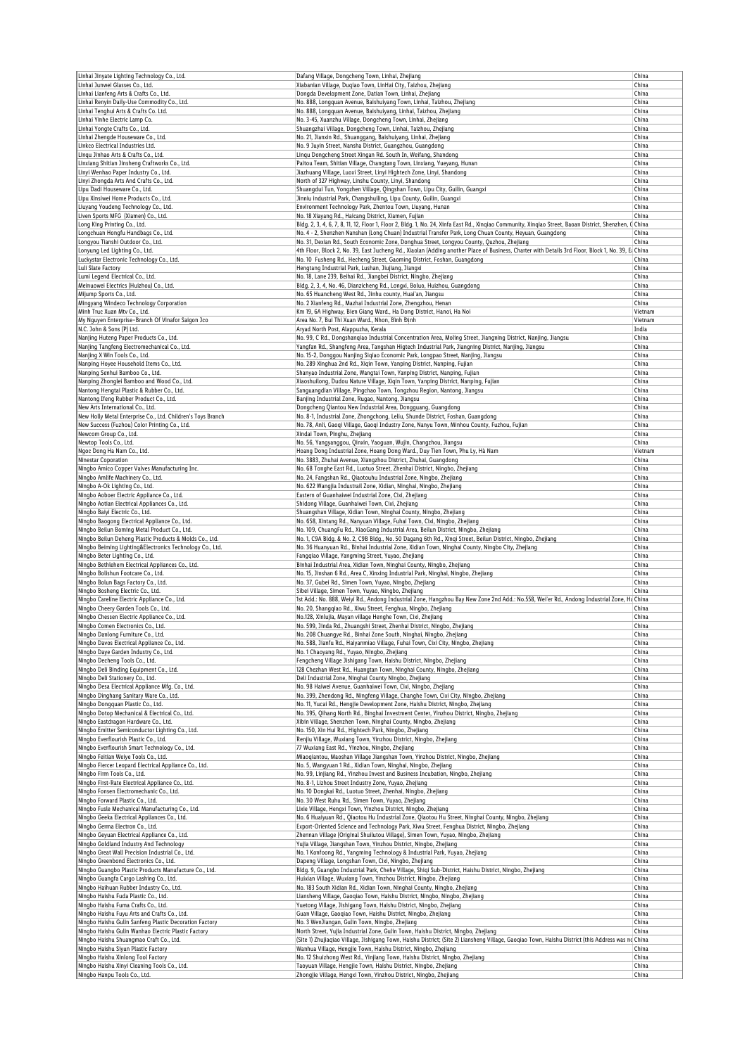| Linhai Jinyate Lighting Technology Co., Ltd.                                                                                                    |                                                                                                                                                         |                |
|-------------------------------------------------------------------------------------------------------------------------------------------------|---------------------------------------------------------------------------------------------------------------------------------------------------------|----------------|
| Linhai Junwei Glasses Co., Ltd.                                                                                                                 | Dafang Village, Dongcheng Town, Linhai, Zhejiang<br>Xiabanian Village, Duqiao Town, LinHai City, Taizhou, Zhejiang                                      | China<br>China |
|                                                                                                                                                 |                                                                                                                                                         |                |
| Linhai Lianfeng Arts & Crafts Co., Ltd.                                                                                                         | Dongda Development Zone, Datian Town, Linhai, Zhejiang                                                                                                  | China          |
| Linhai Renyin Daily-Use Commodity Co., Ltd.                                                                                                     | No. 888, Longquan Avenue, Baishuiyang Town, Linhai, Taizhou, Zhejiang                                                                                   | China          |
| Linhai Tenghui Arts & Crafts Co. Ltd.                                                                                                           | No. 888, Longquan Avenue, Baishuiyang, Linhai, Taizhou, Zhejiang                                                                                        | China          |
| Linhai Yinhe Electric Lamp Co.                                                                                                                  | No. 3-45, Xuanzhu Village, Dongcheng Town, Linhai, Zhejiang                                                                                             | China          |
| Linhai Yongte Crafts Co., Ltd.                                                                                                                  | Shuangzhai Village, Dongcheng Town, Linhai, Taizhou, Zhejiang                                                                                           | China          |
| Linhai Zhengde Houseware Co., Ltd.                                                                                                              | No. 21, Jianxin Rd., Shuanggang, Baishuiyang, Linhai, Zhejiang                                                                                          | China          |
| Linkco Electrical Industries Ltd.                                                                                                               | No. 9 Juyin Street, Nansha District, Guangzhou, Guangdong                                                                                               | China          |
|                                                                                                                                                 |                                                                                                                                                         |                |
| Linqu Jinhao Arts & Crafts Co., Ltd.                                                                                                            | Linqu Dongcheng Street Xingan Rd. South In, Weifang, Shandong                                                                                           | China          |
| Linxiang Shitian Jinsheng Craftworks Co., Ltd.                                                                                                  | Paitou Team, Shitian Village, Changtang Town, Linxiang, Yueyang, Hunan                                                                                  | China          |
| Linyi Wenhao Paper Industry Co., Ltd.                                                                                                           | Jiazhuang Village, Luoxi Street, Linyi Hightech Zone, Linyi, Shandong                                                                                   | China          |
| Linyi Zhongda Arts And Crafts Co., Ltd.                                                                                                         | North of 327 Highway, Linshu County, Linyi, Shandong                                                                                                    | China          |
| Lipu Dadi Houseware Co., Ltd.                                                                                                                   | Shuangdui Tun, Yongzhen Village, Qingshan Town, Lipu City, Guilin, Guangxi                                                                              | China          |
| Lipu Xinsiwei Home Products Co., Ltd.                                                                                                           | Jinniu industrial Park, Changshuiling, Lipu County, Guilin, Guangxi                                                                                     | China          |
|                                                                                                                                                 |                                                                                                                                                         |                |
| Liuyang Youdeng Technology Co., Ltd.                                                                                                            | Environment Technology Park, Zhentou Town, Liuyang, Hunan                                                                                               | China          |
| Liven Sports MFG (Xiamen) Co., Ltd.                                                                                                             | No. 18 Xiayang Rd., Haicang District, Xiamen, Fujian                                                                                                    | China          |
| Long King Printing Co., Ltd.                                                                                                                    | Bldg. 2, 3, 4, 6, 7, 8, 11, 12, Floor 1, Floor 2, Bldg. 1, No. 24, Xinfa East Rd., Xingiao Community, Xingiao Street, Baoan District, Shenzhen, C China |                |
| Longchuan Hongfu Handbags Co., Ltd.                                                                                                             | No. 4 - 2, Shenzhen Nanshan (Long Chuan) Industrial Transfer Park, Long Chuan County, Heyuan, Guangdong                                                 | China          |
| Longyou Tianshi Outdoor Co., Ltd.                                                                                                               | No. 31, Dexian Rd., South Economic Zone, Donghua Street, Longyou County, Quzhou, Zhejiang                                                               | China          |
| Lonyung Led Lighting Co., Ltd.                                                                                                                  | 4th Floor, Block 2, No. 39, East Jucheng Rd., Xiaolan (Adding another Place of Business, Charter with Details 3rd Floor, Block 1, No. 39, Ea China      |                |
| Luckystar Electronic Technology Co., Ltd.                                                                                                       | No. 10 Fusheng Rd., Hecheng Street, Gaoming District, Foshan, Guangdong                                                                                 | China          |
|                                                                                                                                                 |                                                                                                                                                         |                |
| Luli Slate Factory                                                                                                                              | Hengtang Industrial Park, Lushan, Jiujiang, Jiangxi                                                                                                     | China          |
| Lumi Legend Electrical Co., Ltd.                                                                                                                | No. 18, Lane 239, Beihai Rd., Jiangbei District, Ningbo, Zhejiang                                                                                       | China          |
| Meinuowei Electrics (Huizhou) Co., Ltd.                                                                                                         | Bldg. 2, 3, 4, No. 46, Dianzicheng Rd., Longxi, Boluo, Huizhou, Guangdong                                                                               | China          |
| Mijump Sports Co., Ltd.                                                                                                                         | No. 65 Huancheng West Rd., Jinhu county, Huai'an, Jiangsu                                                                                               | China          |
| Mingyang Windeco Technology Corporation                                                                                                         | No. 2 Xianfeng Rd., Mazhai Industrial Zone, Zhengzhou, Henan                                                                                            | China          |
| Minh Truc Xuan Mtv Co., Ltd.                                                                                                                    | Km 19, 6A Highway, Bien Giang Ward., Ha Dong District, Hanoi, Ha Noi                                                                                    | Vietnam        |
|                                                                                                                                                 |                                                                                                                                                         |                |
| My Nguyen Enterprise-Branch Of Vinafor Saigon Jco                                                                                               | Area No. 7, Bui Thi Xuan Ward., Nhon, Bình Đinh                                                                                                         | Vietnam        |
| N.C. John & Sons (P) Ltd.                                                                                                                       | Aryad North Post, Alappuzha, Kerala                                                                                                                     | India          |
| Nanjing Huteng Paper Products Co., Ltd.                                                                                                         | No. 99, C Rd., Dongshangiao Industrial Concentration Area, Moling Street, Jiangning District, Nanjing, Jiangsu                                          | China          |
| Nanjing Tangfeng Electromechanical Co., Ltd.                                                                                                    | Yangfan Rd., Shangfeng Area, Tangshan Higtech Industrial Park, Jiangning District, Nanjing, Jiangsu                                                     | China          |
| Nanjing X Win Tools Co., Ltd.                                                                                                                   | No. 15-2, Donggou Nanjing Siqiao Economic Park, Longpao Street, Nanjing, Jiangsu                                                                        | China          |
| Nanping Hoyee Household Items Co., Ltd.                                                                                                         | No. 289 Xinghua 2nd Rd., Xiqin Town, Yanping District, Nanping, Fujian                                                                                  | China          |
|                                                                                                                                                 |                                                                                                                                                         |                |
| Nanping Senhui Bamboo Co., Ltd.                                                                                                                 | Shanyao Industrial Zone, Wangtai Town, Yanping District, Nanping, Fujian                                                                                | China          |
| Nanping Zhonglei Bamboo and Wood Co., Ltd.                                                                                                      | Xiaoshuilong, Dudou Nature Village, Xiqin Town, Yanping District, Nanping, Fujian                                                                       | China          |
| Nantong Hengtai Plastic & Rubber Co., Ltd.                                                                                                      | Sanguangdian Village, Pingchao Town, Tongzhou Region, Nantong, Jiangsu                                                                                  | China          |
| Nantong Ifeng Rubber Product Co., Ltd.                                                                                                          | Banjing Industrial Zone, Rugao, Nantong, Jiangsu                                                                                                        | China          |
| New Arts International Co., Ltd.                                                                                                                | Dongcheng Qiantou New Industrial Area, Dongguang, Guangdong                                                                                             | China          |
| New Holly Metal Enterprise Co., Ltd. Children's Toys Branch                                                                                     | No. 8-1, Industrial Zone, Zhongchong, Leliu, Shunde District, Foshan, Guangdong                                                                         | China          |
|                                                                                                                                                 |                                                                                                                                                         |                |
| New Success (Fuzhou) Color Printing Co., Ltd.                                                                                                   | No. 78, Anli, Gaoqi Village, Gaoqi Industry Zone, Nanyu Town, Minhou County, Fuzhou, Fujian                                                             | China          |
| Newcom Group Co., Ltd.                                                                                                                          | Xindai Town, Pinghu, Zhejiang                                                                                                                           | China          |
| Newtop Tools Co., Ltd.                                                                                                                          | No. 56, Yangyanggou, Qinxin, Yaoguan, Wujin, Changzhou, Jiangsu                                                                                         | China          |
| Ngoc Dong Ha Nam Co., Ltd.                                                                                                                      | Hoang Dong Industrial Zone, Hoang Dong Ward., Duy Tien Town, Phu Ly, Hà Nam                                                                             | Vietnam        |
| <b>Ninestar Coporation</b>                                                                                                                      | No. 3883, Zhuhai Avenue, Xiangzhou District, Zhuhai, Guangdong                                                                                          | China          |
| Ningbo Amico Copper Valves Manufacturing Inc.                                                                                                   | No. 68 Tonghe East Rd., Luotuo Street, Zhenhai District, Ningbo, Zhejiang                                                                               | China          |
| Ningbo Amlife Machinery Co., Ltd.                                                                                                               | No. 24, Fangshan Rd., Qiaotouhu Industrial Zone, Ningbo, Zhejiang                                                                                       | China          |
|                                                                                                                                                 |                                                                                                                                                         |                |
| Ningbo A-Ok Lighting Co., Ltd.                                                                                                                  | No. 622 Wangjia Industrail Zone, Xidian, Ninghai, Ningbo, Zhejiang                                                                                      | China          |
| Ningbo Aoboer Electric Appliance Co., Ltd.                                                                                                      | Eastern of Guanhaiwei Industrial Zone, Cixi, Zhejiang                                                                                                   | China          |
| Ningbo Aotian Electrical Appliances Co., Ltd.                                                                                                   | Shidong Village, Guanhaiwei Town, Cixi, Zhejiang                                                                                                        | China          |
| Ningbo Baiyi Electric Co., Ltd.                                                                                                                 | Shuangshan Village, Xidian Town, Ninghai County, Ningbo, Zhejiang                                                                                       | China          |
| Ningbo Baogong Electrical Appliance Co., Ltd.                                                                                                   | No. 658, Xintang Rd., Nanyuan Village, Fuhai Town, Cixi, Ningbo, Zhejiang                                                                               | China          |
| Ningbo Beilun Boming Metal Product Co., Ltd.                                                                                                    | No. 109, ChuangFu Rd., XiaoGang Industrial Area, Beilun District, Ningbo, Zhejiang                                                                      | China          |
| Ningbo Beilun Deheng Plastic Products & Molds Co., Ltd.                                                                                         |                                                                                                                                                         | China          |
|                                                                                                                                                 | No. 1, C9A Bldg. & No. 2, C9B Bldg., No. 50 Dagang 6th Rd., Xinqi Street, Beilun District, Ningbo, Zhejiang                                             |                |
|                                                                                                                                                 |                                                                                                                                                         | China          |
|                                                                                                                                                 | No. 36 Huanyuan Rd., Binhai Industrial Zone, Xidian Town, Ninghai County, Ningbo City, Zhejiang                                                         |                |
|                                                                                                                                                 | Fangqiao Village, Yangming Street, Yuyao, Zhejiang                                                                                                      | China          |
| Ningbo Beiming Lighting&Electronics Technology Co., Ltd.<br>Ningbo Beter Lighting Co., Ltd.<br>Ningbo Bethlehem Electrical Appliances Co., Ltd. | Binhai Industrial Area, Xidian Town, Ninghai County, Ningbo, Zhejiang                                                                                   | China          |
|                                                                                                                                                 |                                                                                                                                                         | China          |
| Ningbo Bolishun Footcare Co., Ltd.                                                                                                              | No. 15, Jinshan 6 Rd., Area C, Xinxing Industrial Park, Ninghai, Ningbo, Zhejiang                                                                       |                |
| Ningbo Bolun Bags Factory Co., Ltd.                                                                                                             | No. 37, Gubei Rd., Simen Town, Yuyao, Ningbo, Zhejiang                                                                                                  | China          |
| Ningbo Bosheng Electric Co., Ltd.                                                                                                               | Sibei Village, Simen Town, Yuyao, Ningbo, Zhejiang                                                                                                      | China          |
| Ningbo Careline Electric Appliance Co., Ltd.                                                                                                    | 1st Add.: No. 888, Weiyi Rd., Andong Industrial Zone, Hangzhou Bay New Zone 2nd Add.: No.558, Wei'er Rd., Andong Industrial Zone, Ha China              |                |
| Ningbo Cheery Garden Tools Co., Ltd.                                                                                                            | No. 20, Shangqiao Rd., Xiwu Street, Fenghua, Ningbo, Zhejiang                                                                                           | China          |
|                                                                                                                                                 |                                                                                                                                                         |                |
| Ningbo Chessen Electric Appliance Co., Ltd.                                                                                                     | No.128, Xinlujia, Mayan village Henghe Town, Cixi, Zhejiang                                                                                             | China          |
| Ningbo Comen Electronics Co., Ltd.                                                                                                              | No. 599, Jinda Rd., Zhuangshi Street, Zhenhai District, Ningbo, Zhejiang                                                                                | China          |
| Ningbo Danlong Furniture Co Ltd                                                                                                                 | No. 208 Chuangye Rd., Binhai Zone South, Ninghai, Ningbo, Zhejiang                                                                                      | China          |
| Ningbo Davos Electrical Appliance Co., Ltd.                                                                                                     | No. 588, Jianfu Rd., Haiyanmiao Village, Fuhai Town, Cixi City, Ningbo, Zhejiang                                                                        | China          |
| Ningbo Daye Garden Industry Co., Ltd.                                                                                                           | No. 1 Chaoyang Rd., Yuyao, Ningbo, Zhejiang                                                                                                             | China          |
|                                                                                                                                                 | Fengcheng Village Jishigang Town, Haishu District, Ningbo, Zhejiang                                                                                     | China          |
| Ningbo Decheng Tools Co., Ltd.<br>Ningbo Deli Binding Equipment Co., Ltd.                                                                       | 128 Chezhan West Rd., Huangtan Town, Ninghai County, Ningbo, Zhejiang                                                                                   | China          |
|                                                                                                                                                 |                                                                                                                                                         |                |
| Ningbo Deli Stationery Co., Ltd.                                                                                                                | Deli Industrial Zone, Ninghai County Ningbo, Zhejiang                                                                                                   | China          |
| Ningbo Desa Electrical Appliance Mfg. Co., Ltd.                                                                                                 | No. 98 Haiwei Avenue, Guanhaiwei Town, Cixi, Ningbo, Zhejiang                                                                                           | China          |
| Ningbo Dinghang Sanitary Ware Co., Ltd.                                                                                                         | No. 399, Zhendong Rd., Ningfeng Village, Changhe Town, Cixi City, Ningbo, Zhejiang                                                                      | China          |
| Ningbo Dongquan Plastic Co., Ltd.                                                                                                               | No. 11, Yucai Rd., Hengjie Development Zone, Haishu District, Ningbo, Zhejiang                                                                          | China          |
| Ningbo Dotop Mechanical & Electrical Co., Ltd.                                                                                                  | No. 395, Qihang North Rd., Binghai Investment Center, Yinzhou District, Ningbo, Zhejiang                                                                | China          |
| Ningbo Eastdragon Hardware Co., Ltd.                                                                                                            | Xibin Village, Shenzhen Town, Ninghai County, Ningbo, Zhejiang                                                                                          | China          |
|                                                                                                                                                 |                                                                                                                                                         |                |
| Ningbo Emitter Semiconductor Lighting Co., Ltd.                                                                                                 | No. 150, Xin Hui Rd., Hightech Park, Ningbo, Zhejiang                                                                                                   | China          |
| Ningbo Everflourish Plastic Co., Ltd.                                                                                                           | Renjiu Village, Wuxiang Town, Yinzhou District, Ningbo, Zhejiang                                                                                        | China          |
| Ningbo Everflourish Smart Technology Co., Ltd.                                                                                                  | 77 Wuxiang East Rd., Yinzhou, Ningbo, Zhejiang                                                                                                          | China          |
| Ningbo Feitian Weiye Tools Co., Ltd.                                                                                                            | Miaoqiantou, Maoshan Village Jiangshan Town, Yinzhou District, Ningbo, Zhejiang                                                                         | China          |
| Ningbo Fiercer Leopard Electrical Appliance Co., Ltd.                                                                                           | No. 5, Wangyuan 1 Rd., Xidian Town, Ninghai, Ningbo, Zhejiang                                                                                           | China          |
|                                                                                                                                                 | No. 99, Linjiang Rd., Yinzhou Invest and Business Incubation, Ningbo, Zhejiang                                                                          | China          |
| Ningbo First-Rate Electrical Appliance Co., Ltd.                                                                                                | No. 8-1, Lizhou Street Industry Zone, Yuyao, Zhejiang                                                                                                   | China          |
| Ningbo Firm Tools Co., Ltd.<br>Ningbo Fonsen Electromechanic Co., Ltd.                                                                          | No. 10 Dongkai Rd., Luotuo Street, Zhenhai, Ningbo, Zhejiang                                                                                            | China          |
|                                                                                                                                                 |                                                                                                                                                         |                |
| Ningbo Forward Plastic Co., Ltd.                                                                                                                | No. 30 West Ruhu Rd., Simen Town, Yuyao, Zhejiang                                                                                                       | China          |
| Ningbo Fusle Mechanical Manufacturing Co., Ltd.                                                                                                 | Lixie Village, Hengxi Town, Yinzhou District, Ningbo, Zhejiang                                                                                          | China          |
| Ningbo Geeka Electrical Appliances Co., Ltd.                                                                                                    | No. 6 Huaiyuan Rd., Qiaotou Hu Industrial Zone, Qiaotou Hu Street, Ninghai County, Ningbo, Zhejiang                                                     | China          |
| Ningbo Germa Electron Co., Ltd.                                                                                                                 | Export-Oriented Science and Technology Park, Xiwu Street, Fenghua District, Ningbo, Zhejiang                                                            | China          |
| Ningbo Geyuan Electrical Appliance Co., Ltd.                                                                                                    | Zhennan Village (Original Shuilutou Village), Simen Town, Yuyao, Ningbo, Zhejiang                                                                       | China          |
| Ningbo Goldland Industry And Technology                                                                                                         | Yujia Village, Jiangshan Town, Yinzhou District, Ningbo, Zhejiang                                                                                       | China          |
| Ningbo Great Wall Precision Industrial Co., Ltd.                                                                                                | No. 1 Konfoong Rd., Yangming Technology & Industrial Park, Yuyao, Zhejiang                                                                              | China          |
|                                                                                                                                                 |                                                                                                                                                         |                |
| Ningbo Greenbond Electronics Co., Ltd.                                                                                                          | Dapeng Village, Longshan Town, Cixi, Ningbo, Zhejiang                                                                                                   | China          |
| Ningbo Guangbo Plastic Products Manufacture Co., Ltd.                                                                                           | Bldg. 9, Guangbo Industrial Park, Chehe Village, Shiqi Sub-District, Haishu District, Ningbo, Zhejiang                                                  | China          |
| Ningbo Guangfa Cargo Lashing Co., Ltd.                                                                                                          | Huixian Village, Wuxiang Town, Yinzhou District, Ningbo, Zhejiang                                                                                       | China          |
| Ningbo Haihuan Rubber Industry Co., Ltd.                                                                                                        | No. 183 South Xidian Rd., Xidian Town, Ninghai County, Ningbo, Zhejiang                                                                                 | China          |
| Ningbo Haishu Fuda Plastic Co., Ltd.                                                                                                            | Liansheng Village, Gaoqiao Town, Haishu District, Ningbo, Ningbo, Zhejiang                                                                              | China          |
|                                                                                                                                                 |                                                                                                                                                         | China          |
| Ningbo Haishu Fuma Crafts Co., Ltd.                                                                                                             | Yuetong Village, Jishigang Town, Haishu District, Ningbo, Zhejiang                                                                                      |                |
| Ningbo Haishu Fuyu Arts and Crafts Co., Ltd.                                                                                                    | Guan Village, Gaogiao Town, Haishu District, Ningbo, Zhejiang                                                                                           | China          |
| Ningbo Haishu Gulin Sanfeng Plastic Decoration Factory                                                                                          | No. 3 WenJiangan, Gulin Town, Ningbo, Zhejiang                                                                                                          | China          |
| Ningbo Haishu Gulin Wanhao Electric Plastic Factory                                                                                             | North Street, Yujia Industrial Zone, Gulin Town, Haishu District, Ningbo, Zhejiang                                                                      | China          |
| Ningbo Haishu Shuangmao Craft Co., Ltd.                                                                                                         | (Site 1) Zhujiaqiao Village, Jishigang Town, Haishu District; (Site 2) Liansheng Village, Gaoqiao Town, Haishu District (this Address was no China      |                |
| Ningbo Haishu Siyun Plastic Factory                                                                                                             | Wanhua Village, Hengjie Town, Haishu District, Ningbo, Zhejiang                                                                                         | China          |
|                                                                                                                                                 | No. 12 Shuizhong West Rd., Yinjiang Town, Haishu District, Ningbo, Zhejiang                                                                             | China          |
| Ningbo Haishu Xinlong Tool Factory                                                                                                              |                                                                                                                                                         | China          |
| Ningbo Haishu Xinyi Cleaning Tools Co., Ltd.<br>Ningbo Hanpu Tools Co., Ltd.                                                                    | Taoyuan Village, Hengjie Town, Haishu District, Ningbo, Zhejiang<br>Zhongjie Village, Hengxi Town, Yinzhou District, Ningbo, Zhejiang                   | China          |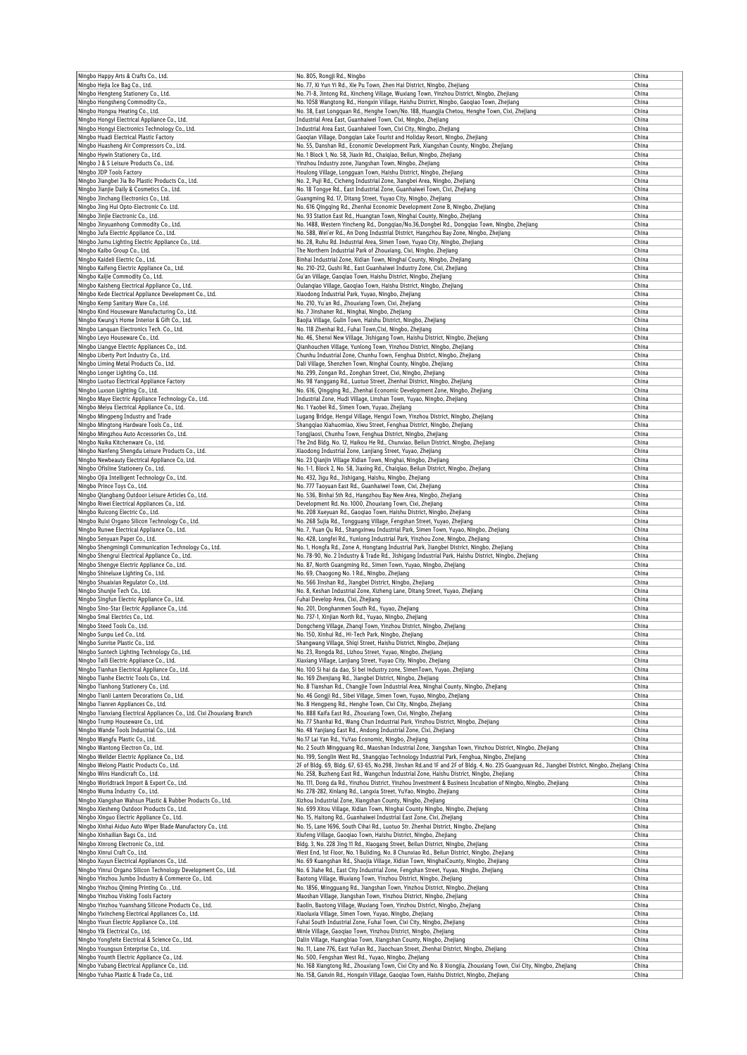| Ningbo Happy Arts & Crafts Co., Ltd.<br>Ningbo Hejia Ice Bag Co., Ltd.                                   | No. 805, Rongji Rd., Ningbo<br>No. 77, Xi Yun Yi Rd., Xie Pu Town, Zhen Hai District, Ningbo, Zhejiang                                                                                               | China<br>China |
|----------------------------------------------------------------------------------------------------------|------------------------------------------------------------------------------------------------------------------------------------------------------------------------------------------------------|----------------|
| Ningbo Hengteng Stationery Co., Ltd.                                                                     | No. 71-8, Jintong Rd., Xincheng Village, Wuxiang Town, Yinzhou District, Ningbo, Zhejiang                                                                                                            | China          |
| Ningbo Hongsheng Commodity Co.,                                                                          | No. 1058 Wangtong Rd., Hongxin Village, Haishu District, Ningbo, Gaoqiao Town, Zhejiang                                                                                                              | China          |
| Ningbo Hongxu Heating Co., Ltd.<br>Ningbo Hongyi Electrical Appliance Co., Ltd.                          | No. 38, East Longquan Rd., Henghe Town/No. 188, Huangjia Chetou, Henghe Town, Cixi, Zhejiang<br>Industrial Area East, Guanhaiwei Town, Cixi, Ningbo, Zhejiang                                        | China<br>China |
| Ningbo Hongyi Electronics Technology Co., Ltd.                                                           | Industrial Area East, Guanhaiwei Town, Cixi City, Ningbo, Zhejiang                                                                                                                                   | China          |
| Ningbo Huadi Electrical Plastic Factory                                                                  | Gaoqian Village, Dongqian Lake Tourist and Holiday Resort, Ningbo, Zhejiang                                                                                                                          | China          |
| Ningbo Huasheng Air Compressors Co., Ltd.<br>Ningbo Hywin Stationery Co., Ltd.                           | No. 55, Danshan Rd., Economic Development Park, Xiangshan County, Ningbo, Zhejiang<br>No. 1 Block 1, No. 58, Jiaxin Rd., Chaiqiao, Beilun, Ningbo, Zhejiang                                          | China<br>China |
| Ningbo J & S Leisure Products Co., Ltd.                                                                  | Yinzhou Industry zone, Jiangshan Town, Ningbo, Zhejiang                                                                                                                                              | China          |
| Ningbo JDP Tools Factory                                                                                 | Houlong Village, Longguan Town, Haishu District, Ningbo, Zhejiang<br>No. 2, Puji Rd., Cicheng Industrial Zone, Jiangbei Area, Ningbo, Zhejiang                                                       | China          |
| Ningbo Jiangbei Jia Bo Plastic Products Co., Ltd.<br>Ningbo Jianjie Daily & Cosmetics Co., Ltd.          | No. 18 Tongye Rd., East Industrial Zone, Guanhaiwei Town, Cixi, Zhejiang                                                                                                                             | China<br>China |
| Ningbo Jinchang Electronics Co., Ltd.                                                                    | Guangming Rd. 17, Ditang Street, Yuyao City, Ningbo, Zhejiang                                                                                                                                        | China          |
| Ningbo Jing Hui Opto-Electronic Co. Ltd.<br>Ningbo Jinjie Electronic Co., Ltd.                           | No. 616 Qinqqinq Rd., Zhenhai Economic Development Zone B, Ningbo, Zhejianq<br>No. 93 Station East Rd., Huangtan Town, Ninghai County, Ningbo, Zhejiang                                              | China<br>China |
| Ningbo Jinyuanhong Commodity Co., Ltd.                                                                   | No. 1488, Western Yincheng Rd., Dongqiao/No.36,Dongbei Rd., Dongqiao Town, Ningbo, Zhejiang                                                                                                          | China          |
| Ningbo Jufa Electric Appliance Co., Ltd.                                                                 | No. 588, Wei'er Rd., An Dong Industrial District, Hangzhou Bay Zone, Ningbo, Zhejiang                                                                                                                | China          |
| Ningbo Jumu Lighting Electric Appliance Co., Ltd.<br>Ningbo Kaibo Group Co., Ltd.                        | No. 28, Ruhu Rd. Industrial Area, Simen Town, Yuyao City, Ningbo, Zhejiang<br>The Northern Industrial Park of Zhouxiang, Cixi, Ningbo, Zhejiang                                                      | China<br>China |
| Ningbo Kaideli Electric Co., Ltd.                                                                        | Binhai Industrial Zone, Xidian Town, Ninghai County, Ningbo, Zhejiang                                                                                                                                | China          |
| Ningbo Kaifeng Electric Appliance Co., Ltd.<br>Ningbo Kaijie Commodity Co., Ltd.                         | No. 210-212, Gushi Rd., East Guanhaiwei Industry Zone, Cixi, Zhejiang<br>Gu'an Village, Gaogiao Town, Haishu District, Ningbo, Zhejiang                                                              | China<br>China |
| Ningbo Kaisheng Electrical Appliance Co., Ltd.                                                           | Oulangiao Village, Gaogiao Town, Haishu District, Ningbo, Zhejiang                                                                                                                                   | China          |
| Ningbo Kede Electrical Appliance Development Co., Ltd.                                                   | Xiaodong Industrial Park, Yuyao, Ningbo, Zhejiang                                                                                                                                                    | China          |
| Ningbo Kemp Sanitary Ware Co., Ltd.<br>Ningbo Kind Houseware Manufacturing Co., Ltd.                     | No. 210, Yu'an Rd., Zhouxiang Town, Cixi, Zhejiang<br>No. 7 Jinshaner Rd., Ninghai, Ningbo, Zhejiang                                                                                                 | China<br>China |
| Ningbo Kwung's Home Interior & Gift Co., Ltd.                                                            | Baojia Village, Gulin Town, Haishu District, Ningbo, Zhejiang                                                                                                                                        | China          |
| Ningbo Lanquan Electronics Tech. Co., Ltd.                                                               | No. 118 Zhenhai Rd., Fuhai Town, Cixi, Ningbo, Zhejiang                                                                                                                                              | China          |
| Ningbo Leyo Houseware Co., Ltd.<br>Ningbo Liangye Electric Appliances Co., Ltd.                          | No. 46, Shenxi New Village, Jishigang Town, Haishu District, Ningbo, Zhejiang<br>Qianhouchen Village, Yunlong Town, Yinzhou District, Ningbo, Zhejiang                                               | China<br>China |
| Ningbo Liberty Port Industry Co., Ltd.                                                                   | Chunhu Industrial Zone, Chunhu Town, Fenghua District, Ningbo, Zhejiang                                                                                                                              | China          |
| Ningbo Liming Metal Products Co., Ltd.                                                                   | Dali Village, Shenzhen Town, Ninghai County, Ningbo, Zhejiang<br>No. 299, Zongan Rd., Zonghan Street, Cixi, Ningbo, Zhejiang                                                                         | China          |
| Ningbo Longer Lighting Co., Ltd.<br>Ningbo Luotuo Electrical Appliance Factory                           | No. 98 Yanggang Rd., Luotuo Street, Zhenhai District, Ningbo, Zhejiang                                                                                                                               | China<br>China |
| Ningbo Luxson Lighting Co., Ltd.                                                                         | No. 616, Qingqing Rd., Zhenhai Economic Development Zone, Ningbo, Zhejiang                                                                                                                           | China          |
| Ningbo Maye Electric Appliance Technology Co., Ltd.<br>Ningbo Meiyu Electrical Appliance Co., Ltd.       | Industrial Zone, Hudi Village, Linshan Town, Yuyao, Ningbo, Zhejiang<br>No. 1 Yaobei Rd., Simen Town, Yuyao, Zhejiang                                                                                | China<br>China |
| Ningbo Mingpeng Industry and Trade                                                                       | Lugang Bridge, Hengxi Village, Hengxi Town, Yinzhou District, Ningbo, Zhejiang                                                                                                                       | China          |
| Ningbo Mingtong Hardware Tools Co., Ltd.                                                                 | Shanqqiao Xiahuomiao, Xiwu Street, Fenghua District, Ningbo, Zhejiang                                                                                                                                | China          |
| Ningbo Mingzhou Auto Accessories Co., Ltd.<br>Ningbo Naika Kitchenware Co., Ltd.                         | Tongjiaosi, Chunhu Town, Fenghua District, Ningbo, Zhejiang<br>The 2nd Bldg. No. 12, Haikou He Rd., Chunxiao, Beilun District, Ningbo, Zhejiang                                                      | China<br>China |
| Ningbo Nanfeng Shengdu Leisure Products Co., Ltd.                                                        | Xiaodong Industrial Zone, Lanjiang Street, Yuyao, Zhejiang                                                                                                                                           | China          |
| Ningbo Newbeauty Electrical Appliance Co, Ltd.                                                           | No. 23 Qianjin Village Xidian Town, Ninghai, Ningbo, Zhejiang                                                                                                                                        | China          |
| Ningbo Ofisline Stationery Co., Ltd.<br>Ningbo Ojia Intelligent Technology Co., Ltd.                     | No. 1-1, Block 2, No. 58, Jiaxing Rd., Chaiqiao, Beilun District, Ningbo, Zhejiang<br>No. 432, Jigu Rd., Jishigang, Haishu, Ningbo, Zhejiang                                                         | China<br>China |
| Ningbo Prince Toys Co., Ltd.                                                                             | No. 777 Taoyuan East Rd., Guanhaiwei Town, Cixi, Zhejiang                                                                                                                                            | China          |
| Ningbo Qiangbang Outdoor Leisure Articles Co., Ltd.<br>Ningbo Riwei Electrical Appliances Co., Ltd.      | No. 536, Binhai 5th Rd., Hangzhou Bay New Area, Ningbo, Zhejiang<br>Development Rd. No. 1000, Zhouxiang Town, Cixi, Zhejiang                                                                         | China<br>China |
| Ningbo Ruicong Electric Co., Ltd.                                                                        | No. 208 Xueyuan Rd., Gaoqiao Town, Haishu District, Ningbo, Zhejiang                                                                                                                                 | China          |
| Ningbo Ruixi Organo Silicon Technology Co., Ltd.                                                         | No. 268 Sujia Rd., Tongguang Village, Fengshan Street, Yuyao, Zhejiang                                                                                                                               | China          |
| Ningbo Runwe Electrical Appliance Co., Ltd.<br>Ningbo Senyuan Paper Co., Ltd.                            | No. 7, Yuan Qu Rd., Shangxinwu Industrial Park, Simen Town, Yuyao, Ningbo, Zhejiang<br>No. 428, Longfei Rd., Yunlong Industrial Park, Yinzhou Zone, Ningbo, Zhejiang                                 | China<br>China |
| Ningbo Shengmingli Communication Technology Co., Ltd.                                                    | No. 1, Hongfa Rd., Zone A, Hongtang Industrial Park, Jiangbei District, Ningbo, Zhejiang                                                                                                             | China          |
| Ningbo Shengrui Electrical Appliance Co., Ltd.                                                           | No. 78-90, No. 2 Industry & Trade Rd., Jishigang Industrial Park, Haishu District, Ningbo, Zhejiang                                                                                                  | China          |
| Ningbo Shengye Electric Appliance Co., Ltd.<br>Ningbo Shineluxe Lighting Co., Ltd.                       | No. 87, North Guangming Rd., Simen Town, Yuyao, Ningbo, Zhejiang<br>No. 69, Chaogong No. 1 Rd., Ningbo, Zhejiang                                                                                     | China<br>China |
| Ningbo Shuaixian Regulator Co., Ltd.                                                                     | No. 566 Jinshan Rd., Jiangbei District, Ningbo, Zhejiang                                                                                                                                             | China          |
| Ningbo Shunjie Tech Co., Ltd.<br>Ningbo Singfun Electric Appliance Co., Ltd.                             | No. 8, Keshan Industrial Zone, Xizheng Lane, Ditang Street, Yuyao, Zhejiang<br>Fuhai Develop Area, Cixi, Zhejiang                                                                                    | China<br>China |
| Ningbo Sino-Star Electric Appliance Co., Ltd.                                                            | No. 201, Donghanmen South Rd., Yuyao, Zhejiang                                                                                                                                                       | China          |
| Ningbo Smal Electrics Co., Ltd.                                                                          | No. 737-1, Xinjian North Rd., Yuyao, Ningbo, Zhejiang                                                                                                                                                | China          |
| Ningbo Steed Tools Co., Ltd.<br>Ningbo Sunpu Lea Co., Lta.                                               | Dongcheng Village, Zhanqi Town, Yinzhou District, Ningbo, Zhejiang<br>No. 150, Xinhui Rd., Hi-Tech Park, Ningbo, Zhejiang                                                                            | China<br>China |
| Ningbo Sunrise Plastic Co., Ltd.                                                                         | Shangwang Village, Shiqi Street, Haishu District, Ningbo, Zhejiang                                                                                                                                   | China          |
| Ningbo Suntech Lighting Technology Co., Ltd.                                                             | No. 23, Rongda Rd., Lizhou Street, Yuyao, Ningbo, Zhejiang                                                                                                                                           | China<br>China |
| Ningbo Taili Electric Appliance Co., Ltd.<br>Ningbo Tianhan Electrical Appliance Co., Ltd.               | Xiaxiang Village, Lanjiang Street, Yuyao City, Ningbo, Zhejiang<br>No. 100 Si hai da dao, Si bei industry zone, SimenTown, Yuyao, Zhejiang                                                           | China          |
| Ningbo Tianhe Electric Tools Co., Ltd.                                                                   | No. 169 Zhenjiang Rd., Jiangbei District, Ningbo, Zhejiang                                                                                                                                           | China          |
| Ningbo Tianhong Stationery Co., Ltd.<br>Ningbo Tianli Lantern Decorations Co., Ltd.                      | No. 8 Tianshan Rd., Changjie Town Industrial Area, Ninghai County, Ningbo, Zhejiang<br>No. 46 Gongji Rd., Sibei Village, Simen Town, Yuyao, Ningbo, Zhejiang                                         | China<br>China |
| Ningbo Tianren Appliances Co., Ltd.                                                                      | No. 8 Hengpeng Rd., Henghe Town, Cixi City, Ningbo, Zhejiang                                                                                                                                         | China          |
| Ningbo Tianxiang Electrical Appliances Co., Ltd. Cixi Zhouxiang Branch                                   | No. 888 Kaifa East Rd., Zhouxiang Town, Cixi, Ningbo, Zhejiang                                                                                                                                       | China          |
| Ningbo Trump Houseware Co., Ltd.<br>Ningbo Wande Tools Industrial Co., Ltd.                              | No. 77 Shanhai Rd., Wang Chun Industrial Park, Yinzhou District, Ningbo, Zhejiang<br>No. 48 Yanjiang East Rd., Andong Industrial Zone, Cixi, Zhejiang                                                | China<br>China |
| Ningbo Wangfu Plastic Co., Ltd.                                                                          | No.17 Lai Yan Rd., YuYao Economic, Ningbo, Zhejiang                                                                                                                                                  | China          |
| Ningbo Wantong Electron Co., Ltd.<br>Ningbo Weilder Electric Appliance Co., Ltd.                         | No. 2 South Mingguang Rd., Maoshan Industrial Zone, Jiangshan Town, Yinzhou District, Ningbo, Zhejiang<br>No. 199, Songlin West Rd., Shangqiao Technology Industrial Park, Fenghua, Ningbo, Zhejiang | China<br>China |
| Ningbo Welong Plastic Products Co., Ltd.                                                                 | 2F of Bldg. 69, Bldg. 67, 63-65, No.298, Jinshan Rd.and 1F and 2F of Bldg. 4, No. 235 Guangyuan Rd., Jiangbei District, Ningbo, Zhejiang China                                                       |                |
| Ningbo Wins Handicraft Co., Ltd.                                                                         | No. 258, Buzheng East Rd., Wangchun Industrial Zone, Haishu District, Ningbo, Zhejiang                                                                                                               | China          |
| Ningbo Worldtrack Import & Export Co., Ltd.<br>Ningbo Wuma Industry Co., Ltd.                            | No. 111, Dong da Rd., Yinzhou District, Yinzhou Investment & Business Incubation of Ningbo, Ningbo, Zhejiang<br>No. 278-282, Xinlang Rd., Langxia Street, YuYao, Ningbo, Zhejiang                    | China<br>China |
| Ningbo Xiangshan Wahsun Plastic & Rubber Products Co., Ltd.                                              | Xizhou Industrial Zone, Xiangshan County, Ningbo, Zhejiang                                                                                                                                           | China          |
| Ningbo Xiesheng Outdoor Products Co., Ltd.                                                               | No. 699 Xitou Village, Xidian Town, Ninghai County Ningbo, Ningbo, Zhejiang                                                                                                                          | China          |
| Ningbo Xinguo Electric Appliance Co., Ltd.<br>Ningbo Xinhai Aiduo Auto Wiper Blade Manufactory Co., Ltd. | No. 15, Haitong Rd., Guanhaiwei Industrial East Zone, Cixi, Zhejiang<br>No. 15, Lane 1696, South Cihai Rd., Luotuo Str. Zhenhai District, Ningbo, Zhejiang                                           | China<br>China |
| Ningbo Xinhailian Bags Co., Ltd.                                                                         | Xiufeng Village, Gaoqiao Town, Haishu District, Ningbo, Zhejiang                                                                                                                                     | China          |
| Ningbo Xinrong Electronic Co., Ltd.<br>Ningbo Xinrui Craft Co., Ltd.                                     | Bldg. 3, No. 228 Jing 11 Rd., Xiaogang Street, Beilun District, Ningbo, Zhejiang<br>West End, 1st Floor, No. 1 Buliding, No. 8 Chunxiao Rd., Beilun District, Ningbo, Zhejiang                       | China<br>China |
| Ningbo Xuyun Electrical Appliances Co., Ltd.                                                             | No. 69 Kuangshan Rd., Shaojia Village, Xidian Town, NinghaiCounty, Ningbo, Zhejiang                                                                                                                  | China          |
| Ningbo Yinrui Organo Silicon Technology Development Co., Ltd.                                            | No. 6 Jiahe Rd., East City Industrial Zone, Fengshan Street, Yuyao, Ningbo, Zhejiang                                                                                                                 | China          |
| Ningbo Yinzhou Jumbo Industry & Commerce Co., Ltd.<br>Ningbo Yinzhou Qiming Printing Co., Ltd.           | Baotong Village, Wuxiang Town, Yinzhou District, Ningbo, Zhejiang<br>No. 1856, Mingguang Rd., Jiangshan Town, Yinzhou District, Ningbo, Zhejiang                                                     | China<br>China |
| Ningbo Yinzhou Visking Tools Factory                                                                     | Maoshan Village, Jiangshan Town, Yinzhou District, Ningbo, Zhejiang                                                                                                                                  | China          |
| Ningbo Yinzhou Yuanshang Silicone Products Co., Ltd.                                                     | Baolin, Baotong Village, Wuxiang Town, Yinzhou District, Ningbo, Zhejiang                                                                                                                            | China          |
| Ningbo Yixincheng Electrical Appliances Co., Ltd.<br>Ningbo Yixun Electric Appliance Co., Ltd.           | Xiaoluxia Village, Simen Town, Yuyao, Ningbo, Zhejiang<br>Fuhai South Industrial Zone, Fuhai Town, Cixi City, Ningbo, Zhejiang                                                                       | China<br>China |
| Ningbo Ylk Electrical Co., Ltd.                                                                          | Minle Village, Gaoqiao Town, Yinzhou District, Ningbo, Zhejiang                                                                                                                                      | China          |
| Ningbo Yongfeite Electrical & Science Co., Ltd.<br>Ningbo Youngsun Enterprise Co., Ltd.                  | Dalin Village, Huangbiao Town, Xiangshan County, Ningbo, Zhejiang<br>No. 11, Lane 776, East YuFan Rd., Jiaochuan Street, Zhenhai District, Ningbo, Zhejiang                                          | China<br>China |
| Ningbo Younth Electric Appliance Co., Ltd.                                                               | No. 500, Fengshan West Rd., Yuyao, Ningbo, Zhejiang                                                                                                                                                  | China          |
| Ningbo Yubang Electrical Appliance Co., Ltd.                                                             | No. 168 Xiangtong Rd., Zhouxiang Town, Cixi City and No. 8 Xiongjia, Zhouxiang Town, Cixi City, Ningbo, Zhejiang                                                                                     | China          |
| Ningbo Yuhao Plastic & Trade Co., Ltd.                                                                   | No. 158, Ganxin Rd., Hongxin Village, Gaoqiao Town, Haishu District, Ningbo, Zhejiang                                                                                                                | China          |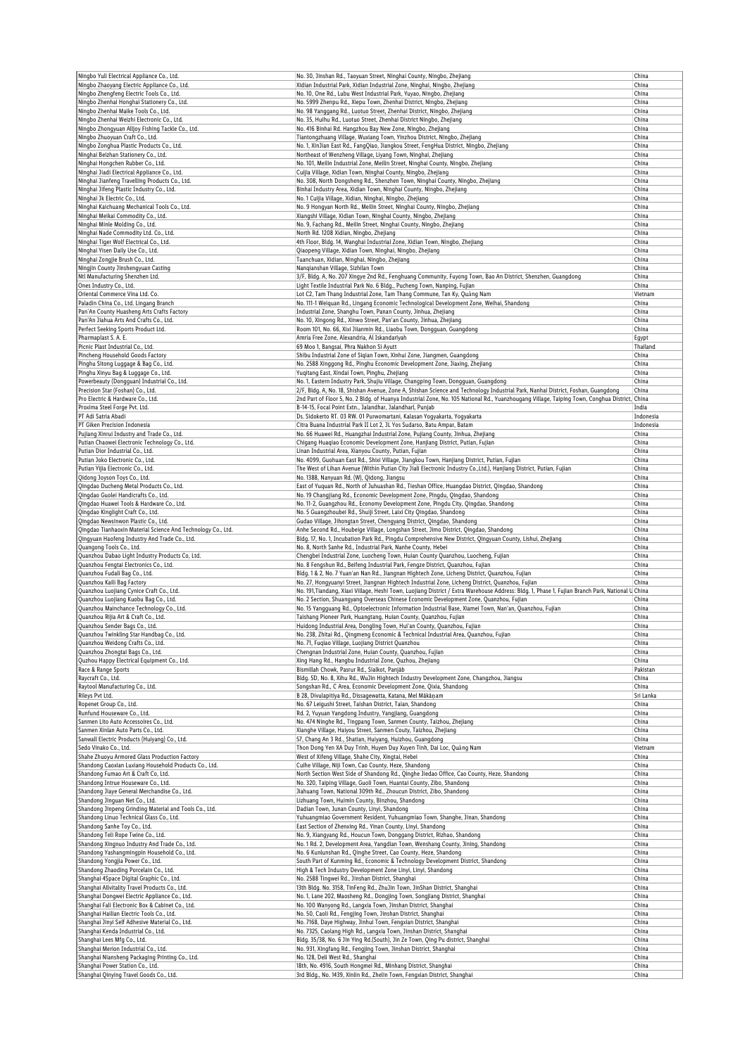| Ningbo Yuli Electrical Appliance Co., Ltd.                                  | No. 30, Jinshan Rd., Taoyuan Street, Ninghai County, Ningbo, Zhejiang                                                                                           | China          |
|-----------------------------------------------------------------------------|-----------------------------------------------------------------------------------------------------------------------------------------------------------------|----------------|
| Ningbo Zhaoyang Electric Appliance Co., Ltd.                                | Xidian Industrial Park, Xidian Industrial Zone, Ninghai, Ningbo, Zhejiang                                                                                       | China          |
| Ningbo Zhengfeng Electric Tools Co., Ltd.                                   | No. 10, One Rd., Lubu West Industrial Park, Yuyao, Ningbo, Zhejiang                                                                                             | China          |
| Ningbo Zhenhai Honghai Stationery Co., Ltd.                                 | No. 5999 Zhenpu Rd., Xiepu Town, Zhenhai District, Ningbo, Zhejiang                                                                                             | China          |
| Ningbo Zhenhai Maike Tools Co., Ltd.                                        | No. 98 Yanggang Rd., Luotuo Street, Zhenhai District, Ningbo, Zhejiang                                                                                          | China          |
| Ningbo Zhenhai Weizhi Electronic Co., Ltd.                                  | No. 35, Huihu Rd., Luotuo Street, Zhenhai District Ningbo, Zhejiang                                                                                             | China          |
| Ningbo Zhongyuan Alljoy Fishing Tackle Co., Ltd.                            | No. 416 Binhai Rd. Hangzhou Bay New Zone, Ningbo, Zhejiang                                                                                                      | China          |
| Ningbo Zhuoyuan Craft Co., Ltd.                                             | Tiantongzhuang Village, Wuxiang Town, Yinzhou District, Ningbo, Zhejiang                                                                                        | China          |
| Ningbo Zonghua Plastic Products Co., Ltd.                                   | No. 1, XinJian East Rd., FangQiao, Jiangkou Street, FengHua District, Ningbo, Zhejiang                                                                          | China          |
| Ninghai Beizhan Stationery Co., Ltd.                                        | Northeast of Wenzheng Village, Liyang Town, Ninghai, Zhejiang                                                                                                   | China          |
| Ninghai Hongchen Rubber Co., Ltd.                                           | No. 101, Meilin Industrial Zone, Meilin Street, Ninghai County, Ningbo, Zhejiang                                                                                | China          |
| Ninghai Jiadi Electrical Appliance Co., Ltd.                                | Cuijia Village, Xidian Town, Ninghai County, Ningbo, Zhejiang                                                                                                   | China          |
| Ninghai Jianfeng Travelling Products Co., Ltd.                              | No. 308, North Dongsheng Rd., Shenzhen Town, Ninghai County, Ningbo, Zhejiang                                                                                   | China          |
| Ninghai Jifeng Plastic Industry Co., Ltd.                                   | Binhai Industry Area, Xidian Town, Ninghai County, Ningbo, Zhejiang                                                                                             | China          |
| Ninghai Jk Electric Co., Ltd.                                               | No. 1 Cuijia Village, Xidian, Ninghai, Ningbo, Zhejiang                                                                                                         | China          |
| Ninghai Kaichuang Mechanical Tools Co., Ltd.                                | No. 9 Hongyan North Rd., Meilin Street, Ninghai County, Ningbo, Zhejiang                                                                                        |                |
| Ninghai Meikai Commodity Co., Ltd.                                          | Xiangshi Village, Xidian Town, Ninghai County, Ningbo, Zhejiang                                                                                                 | China          |
|                                                                             |                                                                                                                                                                 | China          |
| Ninghai Minle Molding Co., Ltd.                                             | No. 9, Fachang Rd., Meilin Street, Ninghai County, Ningbo, Zhejiang                                                                                             | China          |
| Ninghai Nade Commodity Ltd. Co., Ltd.                                       | North Rd. 1208 Xidian, Ningbo, Zhejiang                                                                                                                         | China          |
| Ninghai Tiger Wolf Electrical Co., Ltd.                                     | 4th Floor, Bldg. 14, Wanghai Industrial Zone, Xidian Town, Ningbo, Zhejiang                                                                                     | China          |
| Ninghai Yisen Daily Use Co., Ltd.                                           | Qiaopeng Village, Xidian Town, Ninghai, Ningbo, Zhejiang                                                                                                        | China          |
| Ninghai Zongjie Brush Co., Ltd.                                             | Tuanchuan, Xidian, Ninghai, Ningbo, Zhejiang                                                                                                                    | China          |
| Ningjin County Jinshengyuan Casting                                         | Nangianshan Village, Sizhilan Town                                                                                                                              | China          |
| Ntl Manufacturing Shenzhen Ltd.                                             | 3/F, Bldg. A, No. 207 Xingye 2nd Rd., Fenghuang Community, Fuyong Town, Bao An District, Shenzhen, Guangdong                                                    | China          |
| Ones Industry Co., Ltd.                                                     | Light Textile Industrial Park No. 6 Bldg., Pucheng Town, Nanping, Fujian                                                                                        | China          |
| Oriental Commerce Vina Ltd. Co.                                             | Lot C2, Tam Thang Industrial Zone, Tam Thang Commune, Tan Ky, Quảng Nam                                                                                         | Vietnam        |
| Paladin China Co., Ltd. Lingang Branch                                      | No. 111-1 Weiquan Rd., Lingang Economic Technological Development Zone, Weihai, Shandong                                                                        | China          |
| Pan'An County Huasheng Arts Crafts Factory                                  | Industrial Zone, Shanghu Town, Panan County, Jinhua, Zhejiang                                                                                                   | China          |
| Pan'An Jiahua Arts And Crafts Co., Ltd.                                     | No. 10, Xingong Rd., Xinwo Street, Pan'an County, Jinhua, Zhejiang                                                                                              | China          |
| Perfect Seeking Sports Product Ltd.                                         | Room 101, No. 66, Xixi Jiianmin Rd., Liaobu Town, Dongguan, Guangdong                                                                                           | China          |
| Pharmaplast S. A. E.                                                        | Amria Free Zone, Alexandria, Al Iskandarīyah                                                                                                                    | Egypt          |
| Picnic Plast Industrial Co., Ltd.                                           | 69 Moo 1, Bangsai, Phra Nakhon Si Ayutt                                                                                                                         | Thailand       |
| Pincheng Household Goods Factory                                            | Shibu Industrial Zone of Siqian Town, Xinhui Zone, Jiangmen, Guangdong                                                                                          | China          |
| Pinghu Sitong Luggage & Bag Co., Ltd.                                       | No. 2588 Xinggong Rd., Pinghu Economic Development Zone, Jiaxing, Zhejiang                                                                                      | China          |
| Pinghu Xinyu Bag & Luggage Co., Ltd.                                        | Yuqitang East, Xindai Town, Pinghu, Zhejiang                                                                                                                    | China          |
| Powerbeauty (Dongguan) Industrial Co., Ltd.                                 | No. 1, Eastern Industry Park, Shujiu Village, Changping Town, Dongguan, Guangdong                                                                               | China          |
| Precision Star (Foshan) Co., Ltd.                                           | 2/F, Bldg. A, No. 18, Shishan Avenue, Zone A, Shishan Science and Technology Industrial Park, Nanhai District, Foshan, Guangdong                                | China          |
| Pro Electric & Hardware Co., Ltd.                                           | 2nd Part of Floor 5, No. 2 Bldg. of Huanya Industrial Zone, No. 105 National Rd., Yuanzhougang Village, Taiping Town, Conghua District, China                   |                |
| Proxima Steel Forge Pvt. Ltd.                                               | B-14-15, Focal Point Extn., Jalandhar, Jalandharl, Punjab                                                                                                       | India          |
| PT Adi Satria Abadi                                                         | Ds. Sidokerto RT. 03 RW. 01 Purwomartani, Kalasan Yogyakarta, Yogyakarta                                                                                        | Indonesia      |
| PT Giken Precision Indonesia                                                | Citra Buana Industrial Park II Lot 2, JL Yos Sudarso, Batu Ampar, Batam                                                                                         | Indonesia      |
| Pujiang Xinrui Industry and Trade Co., Ltd.                                 | No. 66 Huawei Rd., Huangzhai Industrial Zone, Pujiang County, Jinhua, Zhejiang                                                                                  | China          |
| Putian Chaowei Electronic Technology Co., Ltd.                              | Chigang Huaqiao Economic Development Zone, Hanjiang District, Putian, Fujian                                                                                    | China          |
| Putian Dior Industrial Co., Ltd.                                            | Linan Industrial Area, Xianyou County, Putian, Fujian                                                                                                           | China          |
| Putian Joko Electronic Co., Ltd.                                            | No. 4099, Guohuan East Rd., Shixi Village, Jiangkou Town, Hanjiang District, Putian, Fujian                                                                     | China          |
| Putian Yijia Electronic Co., Ltd.                                           | The West of Lihan Avenue (Within Putian City Jiali Electronic Industry Co., Ltd.), Hanjiang District, Putian, Fujian                                            | China          |
| Qidong Joyson Toys Co., Ltd.                                                | No. 1388, Nanyuan Rd. (W), Qidong, Jiangsu                                                                                                                      | China          |
|                                                                             |                                                                                                                                                                 |                |
| Qingdao Ducheng Metal Products Co., Ltd.                                    | East of Yuquan Rd., North of Juhuashan Rd., Tieshan Office, Huangdao District, Qingdao, Shandong                                                                | China          |
| Qingdao Guolei Handicrafts Co., Ltd.                                        | No. 19 Changjiang Rd., Economic Development Zone, Pingdu, Qingdao, Shandong                                                                                     | China          |
| Qingdao Huawei Tools & Hardware Co., Ltd.                                   | No. 11-2, Guangzhou Rd., Economy Development Zone, Pingdu City, Qingdao, Shandong                                                                               | China          |
| Qingdao Kinglight Craft Co., Ltd.                                           | No. 5 Guangzhoubei Rd., Shuiji Street, Laixi City Qingdao, Shandong                                                                                             | China          |
| Qingdao Newsinwon Plastic Co., Ltd.                                         | Gudao Village, Jihongtan Street, Chengyang District, Qingdao, Shandong                                                                                          | China          |
| Qingdao Tianhaoxin Material Science And Technology Co., Ltd.                | Anhe Second Rd., Houbeige Village, Longshan Street, Jimo District, Qingdao, Shandong                                                                            | China          |
| Qingyuan Haofeng Industry And Trade Co., Ltd.                               | Bldg. 17, No. 1, Incubation Park Rd., Pingdu Comprehensive New District, Qingyuan County, Lishui, Zhejiang                                                      | China          |
| Quangong Tools Co., Ltd.                                                    | No. 8, North Sanhe Rd., Industrial Park, Nanhe County, Hebei                                                                                                    | China          |
|                                                                             |                                                                                                                                                                 | China          |
| Quanzhou Dabao Light Industry Products Co, Ltd.                             | Chengbei Industrial Zone, Luocheng Town, Huian County Quanzhou, Luocheng, Fujian                                                                                |                |
| Quanzhou Fengtai Electronics Co., Ltd.                                      | No. 8 Fengshun Rd., Beifeng Industrial Park, Fengze District, Quanzhou, Fujian                                                                                  | China          |
| Quanzhou Fudali Bag Co., Ltd.                                               | Bldg. 1 & 2, No. 7 Yuan'an Nan Rd., Jiangnan Hightech Zone, Licheng District, Quanzhou, Fujian                                                                  | China          |
| Quanzhou Kaili Bag Factory                                                  | No. 27, Hongyuanyi Street, Jiangnan Hightech Industrial Zone, Licheng District, Quanzhou, Fujian                                                                | China          |
| Quanzhou Luojiang Cynice Craft Co., Ltd.                                    | No. 191, Tiandang, Xiaxi Village, Heshi Town, Luojiang District / Extra Warehouse Address: Bldg. 1, Phase 1, Fujian Branch Park, National U China               |                |
| Quanzhou Luojiang Kuobu Bag Co., Ltd.                                       | No. 2 Section, Shuangyang Overseas Chinese Economic Development Zone, Quanzhou, Fujian                                                                          | China          |
| Quanzhou Mainchance Technology Co., Ltd.                                    | No. 15 Yangguang Rd., Optoelectronic Information Industrial Base, Xiamei Town, Nan'an, Quanzhou, Fujian                                                         | China          |
| Quanzhou Rijia Art & Craft Co., Ltd.                                        |                                                                                                                                                                 | China          |
| Quanzhou Sender Bags Co., Ltd.                                              | Taishang Pioneer Park, Huangtang, Huian County, Quanzhou, Fujian                                                                                                | China          |
|                                                                             | Huidong Industrial Area, Dongling Town, Hui'an County, Quanzhou, Fujian<br>No. 238, Zhitai Rd., Qinqmenq Economic & Technical Industrial Area, Quanzhou, Fujian | China          |
| Quanzhou Twinkling Star Handbag Co., Ltd.                                   |                                                                                                                                                                 |                |
| Quanzhou Weidong Crafts Co., Ltd.                                           | No. 71, Fuqiao Village, Luojiang District Quanzhou                                                                                                              | China          |
| Quanzhou Zhongtai Bags Co., Ltd.                                            | Chengnan Industrial Zone, Huian County, Quanzhou, Fujian                                                                                                        | China          |
| Quzhou Happy Electrical Equipment Co., Ltd.                                 | Xing Hang Rd., Hangbu Industrial Zone, Quzhou, Zhejiang                                                                                                         | China          |
| Race & Range Sports                                                         | Bismillah Chowk, Pasrur Rd., Sialkot, Panjāb                                                                                                                    | Pakistan       |
| Raycraft Co., Ltd.                                                          | Bldg. 5D, No. 8, Xihu Rd., WuJin Hightech Industry Development Zone, Changzhou, Jiangsu                                                                         | China          |
| Raytool Manufacturing Co., Ltd.                                             | Songshan Rd., C Area, Economic Development Zone, Qixia, Shandong                                                                                                | China          |
| Rileys Pvt Ltd.                                                             | B 28, Divulapitiya Rd., Dissagewatta, Katana, Mel Mākāņam                                                                                                       | Sri Lanka      |
| Ropenet Group Co., Ltd.                                                     | No. 67 Leigushi Street, Taishan District, Taian, Shandong                                                                                                       | China          |
| Runfund Houseware Co., Ltd.                                                 | Rd. 2, Yuyuan Yangdong Industry, Yangjiang, Guangdong                                                                                                           | China          |
| Sanmen Lito Auto Accessoires Co., Ltd.                                      | No. 474 Ninghe Rd., Tingpang Town, Sanmen County, Taizhou, Zhejiang                                                                                             | China          |
| Sanmen Xinlan Auto Parts Co., Ltd.                                          | Xianghe Village, Haiyou Street, Sanmen Couty, Taizhou, Zhejiang                                                                                                 | China          |
| Sanwall Electric Products (Huiyang) Co., Ltd.                               | 57, Chang An 3 Rd., Shatian, Huiyang, Huizhou, Guangdong                                                                                                        | China          |
| Sedo Vinako Co., Ltd.                                                       | Thon Dong Yen XA Duy Trinh, Huyen Duy Xuyen Tinh, Dai Loc, Quảng Nam                                                                                            | Vietnam        |
| Shahe Zhuoyu Armored Glass Production Factory                               | West of Xifeng Village, Shahe City, Xingtai, Hebei                                                                                                              | China          |
| Shandong Caoxian Luxiang Household Products Co., Ltd.                       | Cuihe Village, Niji Town, Cao County, Heze, Shandong                                                                                                            | China          |
| Shandong Fumao Art & Craft Co, Ltd.                                         | North Section West Side of Shandong Rd., Qinghe Jiedao Office, Cao County, Heze, Shandong                                                                       | China          |
| Shandong Intrue Houseware Co., Ltd.                                         | No. 320, Taiping Village, Guoli Town, Huantai County, Zibo, Shandong                                                                                            | China          |
| Shandong Jiaye General Merchandise Co., Ltd.                                | Jiahuang Town, National 309th Rd., Zhoucun District, Zibo, Shandong                                                                                             | China          |
| Shandong Jinguan Net Co., Ltd.                                              | Lizhuang Town, Huimin County, Binzhou, Shandong                                                                                                                 | China          |
| Shandong Jinpeng Grinding Material and Tools Co., Ltd.                      | Dadian Town, Junan County, Linyi, Shandong                                                                                                                      | China          |
| Shandong Linuo Technical Glass Co., Ltd.                                    | Yuhuangmiao Government Resident, Yuhuangmiao Town, Shanghe, Jinan, Shandong                                                                                     | China          |
| Shandong Sanhe Toy Co., Ltd.                                                | East Section of Zhenxing Rd., Yinan County, Linyi, Shandong                                                                                                     | China          |
| Shandong Teli Rope Twine Co., Ltd.                                          | No. 9, Xiangyang Rd., Houcun Town, Donggang District, Rizhao, Shandong                                                                                          | China          |
| Shandong Xingnuo Industry And Trade Co., Ltd.                               | No. 1 Rd. 2, Development Area, Yangdian Town, Wenshang County, Jining, Shandong                                                                                 | China          |
| Shandong Yashangmingpin Household Co., Ltd.                                 | No. 6 Kunlunshan Rd., Qinghe Street, Cao County, Heze, Shandong                                                                                                 | China          |
| Shandong Yongjia Power Co., Ltd.                                            | South Part of Kunming Rd., Economic & Technology Development District, Shandong                                                                                 | China          |
| Shandong Zhaoding Porcelain Co., Ltd.                                       | High & Tech Industry Development Zone Linyi, Linyi, Shandong                                                                                                    | China          |
| Shanghai 4Space Digital Graphic Co., Ltd.                                   | No. 2588 Tingwei Rd., Jinshan District, Shanghai                                                                                                                | China          |
|                                                                             |                                                                                                                                                                 |                |
| Shanghai Allvitality Travel Products Co., Ltd.                              | 13th Bldg. No. 3158, TinFeng Rd., ZhuJin Town, JinShan District, Shanghai                                                                                       | China<br>China |
| Shanghai Dongwei Electric Appliance Co., Ltd.                               | No. 1, Lane 202, Maosheng Rd., Dongjing Town, Songjiang District, Shanghai                                                                                      |                |
| Shanghai Fali Electronic Box & Cabinet Co., Ltd.                            | No. 100 Wanyong Rd., Langxia Town, Jinshan District, Shanghai                                                                                                   | China          |
| Shanghai Hailian Electric Tools Co., Ltd.                                   | No. 50, Caoli Rd., Fengjing Town, Jinshan District, Shanghai                                                                                                    | China          |
| Shanghai Jinyi Self Adhesive Material Co., Ltd.                             | No. 7168, Daye Highway, Jinhui Town, Fengxian District, Shanghai                                                                                                | China          |
| Shanghai Kenda Industrial Co., Ltd.                                         | No. 7325, Caolang High Rd., Langxia Town, Jinshan District, Shanghai                                                                                            | China          |
| Shanghai Lees Mfg Co., Ltd.                                                 | Bldg. 35/38, No. 6 Jin Ying Rd.(South), Jin Ze Town, Qing Pu district, Shanghai                                                                                 | China          |
| Shanghai Merion Industrial Co., Ltd.                                        | No. 931, Xingfang Rd., Fengjing Town, Jinshan District, Shanghai                                                                                                | China          |
| Shanghai Niansheng Packaging Printing Co., Ltd.                             | No. 128, Deli West Rd., Shanghai                                                                                                                                | China          |
| Shanghai Power Station Co., Ltd.<br>Shanghai Qinying Travel Goods Co., Ltd. | 18th, No. 4916, South Hongmei Rd., Minhang District, Shanghai<br>3rd Bldg., No. 1439, Xinlin Rd., Zhelin Town, Fengxian District, Shanghai                      | China<br>China |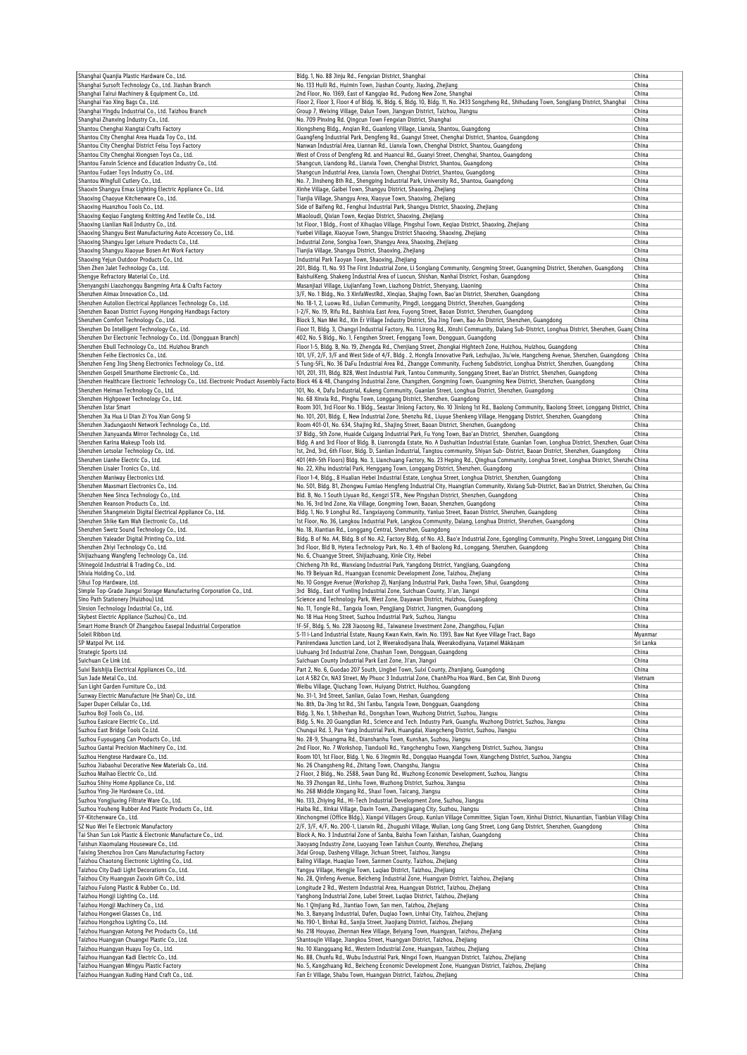| Shanghai Quanjia Plastic Hardware Co., Ltd.                                                         | Bldg. 1, No. 88 Jinju Rd., Fengxian District, Shanghai                                                                                                                                                | China            |
|-----------------------------------------------------------------------------------------------------|-------------------------------------------------------------------------------------------------------------------------------------------------------------------------------------------------------|------------------|
| Shanghai Sursoft Technology Co., Ltd. Jiashan Branch                                                | No. 133 Huili Rd., Huimin Town, Jiashan County, Jiaxing, Zhejiang                                                                                                                                     | China            |
| Shanghai Tairui Machinery & Equipment Co., Ltd.                                                     | 2nd Floor, No. 1369, East of Kangqiao Rd., Pudong New Zone, Shanghai                                                                                                                                  | China            |
| Shanghai Yao Xing Bags Co., Ltd.                                                                    | Floor 2, Floor 3, Floor 4 of Bldg. 16, Bldg. 6, Bldg. 10, Bldg. 11, No. 2433 Songzheng Rd., Shihudang Town, Songjiang District, Shanghai                                                              | China            |
| Shanghai Yingdu Industrial Co., Ltd. Taizhou Branch                                                 | Group 7, Weixing Village, Dalun Town, Jiangyan District, Taizhou, Jiangsu                                                                                                                             | China            |
| Shanghai Zhanxing Industry Co., Ltd.                                                                | No. 709 Pinxing Rd. Qingcun Town Fengxian District, Shanghai                                                                                                                                          | China<br>China   |
| Shantou Chenghai Xiangtai Crafts Factory                                                            | Xiongsheng Bldg., Angian Rd., Guanlong Village, Lianxia, Shantou, Guangdong                                                                                                                           |                  |
| Shantou City Chenghai Area Huada Toy Co., Ltd.<br>Shantou City Chenghai District Feisu Toys Factory | Guangfeng Industrial Park, Dengfeng Rd., Guangyi Street, Chenghai District, Shantou, Guangdong<br>Nanwan Industrial Area, Liannan Rd., Lianxia Town, Chenghai District, Shantou, Guangdong            | China<br>China   |
| Shantou City Chenghai Xiongsen Toys Co., Ltd.                                                       | West of Cross of Dengfeng Rd. and Huancui Rd., Guanyi Street, Chenghai, Shantou, Guangdong                                                                                                            | China            |
| Shantou Fanxin Science and Education Industry Co., Ltd.                                             | Shangcun, Liandong Rd., Lianxia Town, Chenghai District, Shantou, Guangdong                                                                                                                           | China            |
| Shantou Fudaer Toys Industry Co., Ltd.                                                              | Shangcun Industrial Area, Lianxia Town, Chenghai District, Shantou, Guangdong                                                                                                                         | China            |
| Shantou Wingfull Cutlery Co., Ltd.                                                                  | No. 7, Jinsheng 8th Rd., Shengping Industrial Park, University Rd., Shantou, Guangdong                                                                                                                | China            |
| Shaoxin Shangyu Emax Lighting Electric Appliance Co., Ltd.                                          | Xinhe Village, Gaibei Town, Shangyu District, Shaoxing, Zhejiang                                                                                                                                      | China            |
| Shaoxing Chaoyue Kitchenware Co., Ltd.                                                              | Tianjia Village, Shangyu Area, Xiaoyue Town, Shaoxing, Zhejiang                                                                                                                                       | China            |
| Shaoxing Huanzhou Tools Co., Ltd.                                                                   | Side of Baifeng Rd., Fenghui Industrial Park, Shangyu District, Shaoxing, Zhejiang                                                                                                                    | China            |
| Shaoxing Keqiao Fangteng Knitting And Textile Co., Ltd.                                             | Miaoloudi, Qixian Town, Keqiao District, Shaoxing, Zhejiang                                                                                                                                           | China            |
| Shaoxing Lianlian Nail Industry Co., Ltd.                                                           | 1st Floor, 1 Bldg., Front of Xihugiao Village, Pingshui Town, Kegiao District, Shaoxing, Zhejiang                                                                                                     | China            |
| Shaoxing Shangyu Best Manufacturing Auto Accessory Co., Ltd.                                        | Yuebei Village, Xiaoyue Town, Shangyu District Shaoxing, Shaoxing, Zhejiang                                                                                                                           | China            |
| Shaoxing Shangyu Iger Leisure Products Co., Ltd.                                                    | Industrial Zone, Songixa Town, Shangyu Area, Shaoxing, Zhejiang                                                                                                                                       | China            |
| Shaoxing Shangyu Xiaoyue Bosen Art Work Factory                                                     | Tianjia Village, Shangyu District, Shaoxing, Zhejiang                                                                                                                                                 | China            |
| Shaoxing Yejun Outdoor Products Co., Ltd.                                                           | Industrial Park Taoyan Town, Shaoxing, Zhejiang                                                                                                                                                       | China            |
| Shen Zhen Jalet Technology Co., Ltd.                                                                | 201, Bldg. 11, No. 93 The First Industrial Zone, Li Songlang Community, Gongming Street, Guangming District, Shenzhen, Guangdong                                                                      | China            |
| Shengye Refractory Material Co., Ltd.                                                               | BaishuiKeng, Shakeng Industrial Area of Luocun, Shishan, Nanhai District, Foshan, Guangdong                                                                                                           | China            |
| Shenyangshi Liaozhongqu Bangming Arta & Crafts Factory                                              | Masanjiazi Village, Liujianfang Town, Liazhong District, Shenyang, Liaoning                                                                                                                           | China            |
| Shenzhen Aimax Innovation Co., Ltd.                                                                 | 3/F, No. 1 Bldg., No. 3 XinfaWestRd., Xinqiao, Shajing Town, Bao'an District, Shenzhen, Guangdong                                                                                                     | China            |
| Shenzhen Autolion Electrical Appliances Technology Co., Ltd.                                        | No. 18-1, 2, Luowu Rd., Liulian Community, Pingdi, Longgang District, Shenzhen, Guangdong                                                                                                             | China            |
| Shenzhen Baoan District Fuyong Hongxing Handbags Factory                                            | 1-2/F, No. 19, Rifu Rd., Baishixia East Area, Fuyong Street, Baoan District, Shenzhen, Guangdong                                                                                                      | China            |
| Shenzhen Comfort Technology Co., Ltd.                                                               | Block 3, Nan Mei Rd., Xin Er Village Industry District, Sha Jing Town, Bao An District, Shenzhen, Guangdong                                                                                           | China            |
| Shenzhen Do Intelligent Technology Co., Ltd.                                                        | Floor 11, Bldg. 3, Changyi Industrial Factory, No. 1 Lirong Rd., Xinshi Community, Dalang Sub-District, Longhua District, Shenzhen, Guang China                                                       |                  |
| Shenzhen Dxr Electronic Technology Co., Ltd. (Dongguan Branch)                                      | 402, No. 5 Bldg., No. 1, Fengshen Street, Fenggang Town, Dongguan, Guangdong                                                                                                                          | China            |
| Shenzhen Ebull Technology Co., Ltd. Huizhou Branch                                                  | Floor 1-5, Bldg. B, No. 19, Zhengda Rd., Chenjiang Street, Zhongkai Hightech Zone, Huizhou, Huizhou, Guangdong                                                                                        | China            |
| Shenzhen Feihe Electronics Co., Ltd.                                                                | 101, 1/F, 2/F, 3/F and West Side of 4/F, Bldg . 2, Hongfa Innovative Park, Lezhujiao, Jiu'wie, Hangcheng Avenue, Shenzhen, Guangdong                                                                  | China            |
| Shenzhen Feng Jing Sheng Electronics Technology Co., Ltd.                                           | 5 Tung-5FL, No. 36 DaFu Industrial Area Rd., Zhangge Community, Fucheng Subdistrict, Longhua District, Shenzhen, Guangdong                                                                            | China            |
| Shenzhen Gospell Smarthome Electronic Co., Ltd.                                                     | 101, 201, 311, Bldg. B28, West Industrial Park, Tantou Community, Songgang Street, Bao'an District, Shenzhen, Guangdong                                                                               | China            |
|                                                                                                     | Shenzhen Healthcare Electronic Technology Co., Ltd. Electronic Product Assembly Facto Block 46 & 48, Changxing Industrial Zone, Changzhen, Gongming Town, Guangming New District, Shenzhen, Guangdong | China            |
| Shenzhen Heiman Technology Co., Ltd.                                                                | 101, No. 4, Dafu Industrial, Kukeng Community, Guanlan Street, Longhua District, Shenzhen, Guangdong                                                                                                  | China            |
| Shenzhen Highpower Technology Co., Ltd.                                                             | No. 68 Xinxia Rd., Pinghu Town, Longgang District, Shenzhen, Guangdong                                                                                                                                | China            |
| Shenzhen Istar Smart                                                                                | Room 301, 3rd Floor No. 1 Bldg., Seastar Jinlong Factory, No. 10 Jinlong 1st Rd., Baolong Community, Baolong Street, Longgang District,                                                               | China            |
| Shenzhen Jia Hua Li Dian Zi You Xian Gong Si                                                        | No. 101, 201, Bldg. E, New Industrial Zone, Shenzhu Rd., Liuyue Shenkeng Village, Henggang District, Shenzhen, Guangdong                                                                              | China            |
| Shenzhen Jiadungaoshi Network Technology Co., Ltd.                                                  | Room 401-01, No. 634, Shajing Rd., Shajing Street, Baoan District, Shenzhen, Guangdong                                                                                                                | China            |
| Shenzhen Jianyuanda Mirror Technology Co., Ltd.                                                     | 37 Bldg., 5th Zone, Huaide Cuigang Industrial Park, Fu Yong Town, Bao'an District, Shenzhen, Guangdong                                                                                                | China            |
| Shenzhen Karina Makeup Tools Ltd.                                                                   | Bldg. A and 3rd Floor of Bldg. B, Lianrongda Estate, No. A Dashuitian Industrial Estate, Guanlan Town, Longhua District, Shenzhen, Guan China                                                         |                  |
| Shenzhen Letsolar Technology Co,. Ltd.                                                              | 1st, 2nd, 3rd, 6th Floor, Bldg. D, Sanlian Industrial, Tangtou community, Shiyan Sub- District, Baoan District, Shenzhen, Guangdong                                                                   | China            |
| Shenzhen Lianhe Electric Co., Ltd.                                                                  | 401 (4th-5th Floors) Bldg. No. 3, Lianchuang Factory, No. 23 Heping Rd., Qinghua Community, Longhua Street, Longhua District, Shenzhe China                                                           |                  |
| Shenzhen Lisaier Tronics Co., Ltd.                                                                  | No. 22, Xihu industrial Park, Henggang Town, Longgang District, Shenzhen, Guangdong                                                                                                                   | China            |
| Shenzhen Maniway Electronics Ltd.                                                                   | Floor 1-4, Bldg., 8 Hualian Hebei Industrial Estate, Longhua Street, Longhua District, Shenzhen, Guangdong                                                                                            | China            |
| Shenzhen Maxsmart Electronics Co., Ltd.                                                             | No. 501, Bldg. B1, Zhongwu Fumiao Hengfeng Industrial City, Huangtian Community, Xixiang Sub-District, Bao'an District, Shenzhen, Gua China                                                           |                  |
| Shenzhen New Sinca Technology Co., Ltd.                                                             | Bld. B, No. 1 South Liyuan Rd., Kengzi STR., New Pingshan District, Shenzhen, Guangdong                                                                                                               | China            |
| Shenzhen Reanson Products Co., Ltd.                                                                 | No. 16, 3rd Ind Zone, Xia Village, Gongming Town, Baoan, Shenzhen, Guangdong                                                                                                                          | China            |
| Shenzhen Shangmeixin Digital Electrical Appliance Co., Ltd.                                         | Bldg. 1, No. 9 Longhui Rd., Tangxiayong Community, Yanluo Street, Baoan District, Shenzhen, Guangdong                                                                                                 | China            |
| Shenzhen Shike Kam Wah Electronic Co., Ltd.                                                         | 1st Floor, No. 36, Langkou Industrial Park, Langkou Community, Dalang, Longhua District, Shenzhen, Guangdong                                                                                          | China            |
| Shenzhen Swetz Sound Technology Co., Ltd.                                                           | No. 18, Xiantian Rd., Longgang Central, Shenzhen, Guangdong                                                                                                                                           | China            |
|                                                                                                     |                                                                                                                                                                                                       |                  |
| Shenzhen Yaleader Digital Printing Co., Ltd.                                                        | Bldg. B of No. A4, Bldg. B of No. A2, Factory Bldg. of No. A3, Bao'e Industrial Zone, Egongling Community, Pinghu Street, Longgang Dist China                                                         |                  |
| Shenzhen Zhiyi Technology Co., Ltd.                                                                 | 3rd Floor, Bld B, Hytera Technology Park, No. 3, 4th of Baolong Rd., Longgang, Shenzhen, Guangdong                                                                                                    | China            |
| Shijiazhuang Wangfeng Technology Co., Ltd.                                                          | No. 6, Chuangye Street, Shijiazhuang, Xinle City, Hebei                                                                                                                                               | China            |
| Shinegold Industrial & Trading Co., Ltd.                                                            | Chicheng 7th Rd., Wanxiang Industrial Park, Yangdong District, Yangjiang, Guangdong                                                                                                                   | China            |
| Shixia Holding Co., Ltd.                                                                            | No. 19 Beiyuan Rd., Huangyan Economic Development Zone, Taizhou, Zhejiang                                                                                                                             | China            |
| Sihui Top Hardware, Ltd.                                                                            | No. 10 Gongye Avenue (Workshop 2), Nanjiang Industrial Park, Dasha Town, Sihui, Guangdong                                                                                                             | China            |
| Simple Top-Grade Jiangxi Storage Manufacturing Corporation Co., Ltd.                                | 3rd Bldg., East of Yunling Industrial Zone, Suichuan County, Ji'an, Jiangxi                                                                                                                           | China            |
| Sino Path Stationery (Huizhou) Ltd.                                                                 | Science and Technology Park, West Zone, Dayawan District, Huizhou, Guangdong                                                                                                                          | China            |
| Sinsion Technology Industrial Co., Ltd.                                                             | No. 11, Tongle Rd., Tangxia Town, Pengjiang District, Jiangmen, Guangdong                                                                                                                             | China            |
| Skybest Electric Appliance (Suzhou) Co., Ltd.                                                       | No. 18 Hua Hong Street, Suzhou Industrial Park, Suzhou, Jiangsu                                                                                                                                       | China            |
| Smart Home Branch Of Zhangzhou Easepal Industrial Corporation                                       | 1F-5F, Bldg. 5, No. 228 Jiaosong Rd., Taiwanese Investment Zone, Zhangzhou, Fujian                                                                                                                    | China            |
| Soleil Ribbon Ltd.                                                                                  | S-11 i-Land Industrial Estate, Naung Kwan Kwin, Kwin. No. 1393, Baw Nat Kyee Village Tract, Bago                                                                                                      | Myanmar          |
| SP Matpol Pvt. Ltd.                                                                                 | Panirendawa Junction Land, Lot 2, Weerakodiyana Ihala, Weerakodiyana, Vatamel Mākāņam                                                                                                                 | Sri Lanka        |
| Strategic Sports Ltd.                                                                               | Liuhuang 3rd Industrial Zone, Chashan Town, Dongguan, Guangdong                                                                                                                                       | China            |
| Suichuan Ce Link Ltd.<br>Suixi Baishijia Electrical Appliances Co., Ltd.                            | Suichuan County Industrial Park East Zone, Ji'an, Jiangxi                                                                                                                                             | China            |
| Sun Jade Metal Co., Ltd.                                                                            | Part 2, No. 6, Guodao 207 South, Lingbei Town, Suixi County, Zhanjiang, Guangdong                                                                                                                     | China            |
| Sun Light Garden Furniture Co., Ltd.                                                                | Lot A 5B2 Cn, NA3 Street, My Phuoc 3 Industrial Zone, ChanhPhu Hoa Ward., Ben Cat, Bình Durong                                                                                                        | Vietnam<br>China |
| Sunway Electric Manufacture (He Shan) Co., Ltd.                                                     | Weibu Village, Qiuchang Town, Huiyang District, Huizhou, Guangdong<br>No. 31-1, 3rd Street, Sanlian, Gulao Town, Heshan, Guangdong                                                                    | China            |
| Super Duper Cellular Co., Ltd.                                                                      | No. 8th, Da-Jing 1st Rd., Shi Tanbu, Tangxia Town, Dongguan, Guangdong                                                                                                                                | China            |
| Suzhou Boji Tools Co., Ltd.                                                                         | Bldg. 3, No. 1, Shiheshan Rd., Dongshan Town, Wuzhong District, Suzhou, Jiangsu                                                                                                                       | China            |
| Suzhou Easicare Electric Co., Ltd.                                                                  | Bldg. 5, No. 20 Guangdian Rd., Science and Tech. Industry Park, Guangfu, Wuzhong District, Suzhou, Jiangsu                                                                                            | China            |
| Suzhou East Bridge Tools Co.Ltd.                                                                    | Chunqui Rd. 3, Pan Yang Industrial Park, Huangdai, Xiangcheng District, Suzhou, Jiangsu                                                                                                               | China            |
| Suzhou Fuyougang Can Products Co., Ltd.                                                             | No. 28-9, Shuangma Rd., Dianshanhu Town, Kunshan, Suzhou, Jiangsu                                                                                                                                     | China            |
| Suzhou Gantai Precision Machinery Co., Ltd.                                                         | 2nd Floor, No. 7 Workshop, Tianduoli Rd., Yangchenghu Town, Xiangcheng District, Suzhou, Jiangsu                                                                                                      | China            |
| Suzhou Hengtese Hardware Co., Ltd.                                                                  | Room 101, 1st Floor, Bldg. 1, No. 6 Jingmin Rd., Dongqiao Huangdai Town, Xiangcheng District, Suzhou, Jiangsu                                                                                         | China            |
| Suzhou Jiabaohui Decorative New Materials Co., Ltd.                                                 | No. 26 Changsheng Rd., Zhitang Town, Changshu, Jiangsu                                                                                                                                                | China            |
| Suzhou Maihao Electric Co., Ltd.                                                                    | 2 Floor, 2 Bldg., No. 2588, Swan Dang Rd., Wuzhong Economic Development, Suzhou, Jiangsu                                                                                                              | China            |
| Suzhou Shiny Home Appliance Co., Ltd.                                                               | No. 39 Zhongan Rd., Linhu Town, Wuzhong District, Suzhou, Jiangsu                                                                                                                                     | China            |
| Suzhou Ying-Jie Hardware Co., Ltd.                                                                  | No. 268 Middle Xingang Rd., Shaxi Town, Taicang, Jiangsu                                                                                                                                              | China            |
| Suzhou Yongjiuxing Filtrate Ware Co., Ltd.                                                          | No. 133, Zhiying Rd., Hi-Tech Industrial Development Zone, Suzhou, Jiangsu                                                                                                                            | China            |
| Suzhou Youheng Rubber And Plastic Products Co., Ltd.                                                | Haiba Rd., Xinkai Village, Daxin Town, Zhangjiagang City, Suzhou, Jiangsu                                                                                                                             | China            |
| SY-Kitchenware Co., Ltd.                                                                            | Xinchongmei (Office Bldg.), Xiangxi Villagers Group, Kunlun Village Committee, Siqian Town, Xinhui District, Niunantian, Tianbian Villag China                                                        |                  |
| SZ Nuo Wei Te Electronic Manufactory                                                                | 2/F, 3/F, 4/F, No. 200-1, Lianxin Rd., Zhugushi Village, Wulian, Long Gang Street, Long Gang District, Shenzhen, Guangdong                                                                            | China            |
| Tai Shan Sun Lok Plastic & Electronic Manufacture Co., Ltd.                                         | Block A, No. 3 Industrial Zone of Sanba, Baisha Town Taishan, Taishan, Guangdong                                                                                                                      | China            |
| Taishun Xiaomulang Houseware Co., Ltd.                                                              | Jiaoyang Industry Zone, Luoyang Town Taishun County, Wenzhou, Zhejiang                                                                                                                                | China            |
| Taixing Shenzhou Iron Cans Manufacturing Factory                                                    | Jidai Group, Dasheng Village, Jichuan Street, Taizhou, Jiangsu                                                                                                                                        | China            |
| Taizhou Chaotong Electronic Lighting Co., Ltd.                                                      | Baling Village, Huaqiao Town, Sanmen County, Taizhou, Zhejiang                                                                                                                                        | China            |
| Taizhou City Dadi Light Decorations Co., Ltd.                                                       | Yangyu Village, Hengjie Town, Luqiao District, Taizhou, Zhejiang                                                                                                                                      | China            |
| Taizhou City Huangyan Zuoxin Gift Co., Ltd.                                                         | No. 28, Qinfeng Avenue, Beicheng Industrial Zone, Huangyan District, Taizhou, Zhejiang                                                                                                                | China            |
| Taizhou Fulong Plastic & Rubber Co., Ltd.                                                           | Longitude 2 Rd., Western Industrial Area, Huangyan District, Taizhou, Zhejiang                                                                                                                        | China            |
| Taizhou Hongji Lighting Co., Ltd.                                                                   | Yanghong Industrial Zone, Lubei Street, Luqiao District, Taizhou, Zhejiang                                                                                                                            | China            |
| Taizhou Hongji Machinery Co., Ltd.                                                                  | No. 1 Qinjiang Rd., Jiantiao Town, San men, Taizhou, Zhejiang                                                                                                                                         | China            |
| Taizhou Hongwei Glasses Co., Ltd.                                                                   | No. 3, Banyang Industrial, Dafen, Duqiao Town, Linhai City, Taizhou, Zhejiang                                                                                                                         | China            |
| Taizhou Hongzhou Lighting Co., Ltd.                                                                 | No. 190-1, Binhai Rd., Sanjia Street, Jiaojiang District, Taizhou, Zhejiang                                                                                                                           | China            |
| Taizhou Huangyan Aotong Pet Products Co., Ltd.                                                      | No. 218 Houyao, Zhennan New Village, Beiyang Town, Huangyan, Taizhou, Zhejiang                                                                                                                        | China            |
| Taizhou Huangyan Chuangxi Plastic Co., Ltd.                                                         | Shantoujin Village, Jiangkou Street, Huangyan District, Taizhou, Zhejiang                                                                                                                             | China            |
| Taizhou Huangyan Huayu Toy Co., Ltd.                                                                | No. 10 Xiangguang Rd., Western Industrial Zone, Huangyan, Taizhou, Zhejiang                                                                                                                           | China            |
| Taizhou Huangyan Kadi Electric Co., Ltd.                                                            | No. 88, Chunfu Rd., Wubu Industrial Park, Ningxi Town, Huangyan District, Taizhou, Zhejiang                                                                                                           | China            |
| Taizhou Huangyan Mingyu Plastic Factory<br>Taizhou Huangyan Xuding Hand Craft Co., Ltd.             | No. 5, Kangzhuang Rd., Beicheng Economic Development Zone, Huangyan District, Taizhou, Zhejiang<br>Fan Er Village, Shabu Town, Huangyan District, Taizhou, Zhejiang                                   | China<br>China   |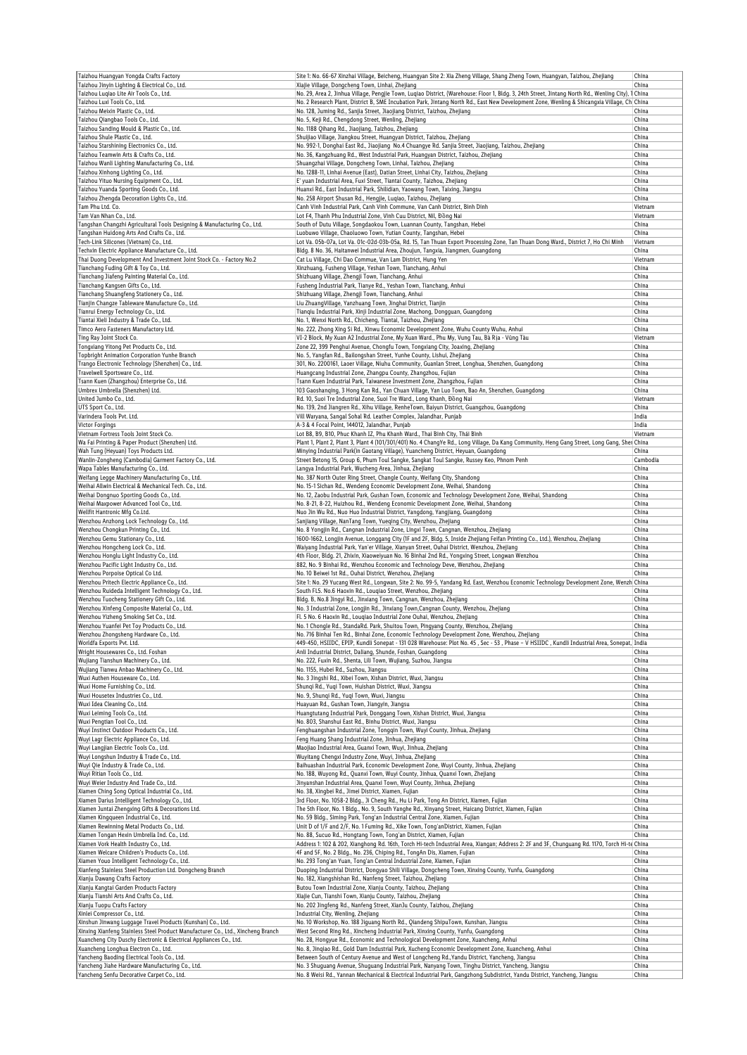| Taizhou Huangyan Yongda Crafts Factory                                                                                                                                                                                                                     |                                                                                                                                                        | Site 1: No. 66-67 Xinzhai Village, Beicheng, Huangyan Site 2: Xia Zheng Village, Shang Zheng Town, Huangyan, Taizhou, Zhejiang                                                                                                                                                                                                 | China            |
|------------------------------------------------------------------------------------------------------------------------------------------------------------------------------------------------------------------------------------------------------------|--------------------------------------------------------------------------------------------------------------------------------------------------------|--------------------------------------------------------------------------------------------------------------------------------------------------------------------------------------------------------------------------------------------------------------------------------------------------------------------------------|------------------|
| Taizhou Jinyin Lighting & Electrical Co., Ltd.<br>Taizhou Lugiao Lite Air Tools Co., Ltd.                                                                                                                                                                  | Xiajie Village, Dongcheng Town, Linhai, Zhejiang                                                                                                       | No. 29, Area 2, Jinhua Village, Pengjie Town, Luqiao District, (Warehouse: Floor 1, Bldg. 3, 24th Street, Jintang North Rd., Wenling City), 1 China                                                                                                                                                                            | China            |
| Taizhou Luxi Tools Co., Ltd.                                                                                                                                                                                                                               |                                                                                                                                                        | No. 2 Research Plant, District B, SME Incubation Park, Jintang North Rd., East New Development Zone, Wenling & Shicangxia Village, Ch. China                                                                                                                                                                                   |                  |
| Taizhou Meixin Plastic Co., Ltd.<br>Faizhou Qiangbao Tools Co., Ltd.                                                                                                                                                                                       | No. 128, Juming Rd., Sanjia Street, Jiaojiang District, Taizhou, Zhejiang<br>No. 5, Keji Rd., Chengdong Street, Wenling, Zhejiang                      |                                                                                                                                                                                                                                                                                                                                | China<br>China   |
| Taizhou Sanding Mould & Plastic Co., Ltd.                                                                                                                                                                                                                  | No. 1188 Qihang Rd., Jiaojiang, Taizhou, Zhejiang                                                                                                      |                                                                                                                                                                                                                                                                                                                                | China            |
| Taizhou Shule Plastic Co., Ltd.                                                                                                                                                                                                                            | Shuijiao Village, Jiangkou Street, Huangyan District, Taizhou, Zhejiang                                                                                |                                                                                                                                                                                                                                                                                                                                | China            |
| Faizhou Starshining Electronics Co., Ltd.                                                                                                                                                                                                                  |                                                                                                                                                        | No. 992-1, Donghai East Rd., Jiaojiang No.4 Chuangye Rd. Sanjia Street, Jiaojiang, Taizhou, Zhejiang                                                                                                                                                                                                                           | China            |
| Taizhou Teamwin Arts & Crafts Co., Ltd.<br>Taizhou Wanli Lighting Manufacturing Co., Ltd.                                                                                                                                                                  | No. 36, Kangzhuang Rd., West Industrial Park, Huangyan District, Taizhou, Zhejiang<br>Shuangzhai Village, Dongcheng Town, Linhai, Taizhou, Zhejiang    |                                                                                                                                                                                                                                                                                                                                | China<br>China   |
| Faizhou Xinhong Lighting Co., Ltd.                                                                                                                                                                                                                         | No. 1288-11, Linhai Avenue (East), Datian Street, Linhai City, Taizhou, Zhejiang                                                                       |                                                                                                                                                                                                                                                                                                                                | China            |
| Taizhou Yituo Nursing Equipment Co., Ltd.                                                                                                                                                                                                                  | E' yuan Industrial Area, Fuxi Street, Tiantai County, Taizhou, Zhejiang                                                                                |                                                                                                                                                                                                                                                                                                                                | China            |
| Faizhou Yuanda Sporting Goods Co., Ltd.<br>Taizhou Zhengda Decoration Lights Co., Ltd.                                                                                                                                                                     | Huanxi Rd., East Industrial Park, Shilidian, Yaowang Town, Taixing, Jiangsu<br>No. 258 Airport Shusan Rd., Hengjie, Luqiao, Taizhou, Zhejiang          |                                                                                                                                                                                                                                                                                                                                | China<br>China   |
| Tam Phu Ltd. Co.                                                                                                                                                                                                                                           | Canh Vinh Industrial Park, Canh Vinh Commune, Van Canh District, Binh Dinh                                                                             |                                                                                                                                                                                                                                                                                                                                | Vietnam          |
| Tam Van Nhan Co., Ltd.                                                                                                                                                                                                                                     | Lot F4, Thanh Phu Industrial Zone, Vinh Cuu District, Nil, Đồng Nai                                                                                    |                                                                                                                                                                                                                                                                                                                                | Vietnam          |
| Tangshan Changzhi Agricultural Tools Designing & Manufacturing Co., Ltd.<br>Tangshan Huidong Arts And Crafts Co., Ltd.                                                                                                                                     | South of Dutu Village, Songdaokou Town, Luannan County, Tangshan, Hebei<br>Luobuwo Village, Chaoluowo Town, Yutian County, Tangshan, Hebei             |                                                                                                                                                                                                                                                                                                                                | China<br>China   |
| Fech-Link Silicones (Vietnam) Co., Ltd.                                                                                                                                                                                                                    |                                                                                                                                                        | Lot Va. 05b-07a, Lot Va. 01c-02d-03b-05a, Rd. 15, Tan Thuan Export Processing Zone, Tan Thuan Dong Ward., District 7, Ho Chi Minh                                                                                                                                                                                              | Vietnam          |
| Techxin Electric Appliance Manufacture Co., Ltd.                                                                                                                                                                                                           | Bldg. 8 No. 36, Haitanwei Industrial Area, Zhoujun, Tangxia, Jiangmen, Guangdong                                                                       |                                                                                                                                                                                                                                                                                                                                | China            |
| Thai Duong Development And Investment Joint Stock Co. - Factory No.2<br>Tianchang Fuding Gift & Toy Co., Ltd.                                                                                                                                              | Cat Lu Village, Chi Dao Commue, Van Lam District, Hung Yen<br>Xinzhuang, Fusheng Village, Yeshan Town, Tianchang, Anhui                                |                                                                                                                                                                                                                                                                                                                                | Vietnam<br>China |
| Tianchang Jiafeng Painting Material Co., Ltd.                                                                                                                                                                                                              | Shizhuang Village, Zhengji Town, Tianchang, Anhui                                                                                                      |                                                                                                                                                                                                                                                                                                                                | China            |
| Tianchang Kangsen Gifts Co., Ltd.                                                                                                                                                                                                                          | Fusheng Industrial Park, Tianye Rd., Yeshan Town, Tianchang, Anhui                                                                                     |                                                                                                                                                                                                                                                                                                                                | China            |
| Tianchang Shuangfeng Stationery Co., Ltd.                                                                                                                                                                                                                  | Shizhuang Village, Zhengji Town, Tianchang, Anhui                                                                                                      |                                                                                                                                                                                                                                                                                                                                | China            |
| Tianjin Changze Tableware Manufacture Co., Ltd.<br>Tianrui Energy Technology Co., Ltd.                                                                                                                                                                     | Liu ZhuangVillage, Yanzhuang Town, Jinghai District, Tianjin<br>Tianqiu Industrial Park, Xinji Industrial Zone, Machong, Dongguan, Guangdong           |                                                                                                                                                                                                                                                                                                                                | China<br>China   |
| Tiantai Xieli Industry & Trade Co., Ltd.                                                                                                                                                                                                                   | No. 1, Wenxi North Rd., Chicheng, Tiantai, Taizhou, Zhejiang                                                                                           |                                                                                                                                                                                                                                                                                                                                | China            |
| Timco Aero Fasteners Manufactory Ltd.                                                                                                                                                                                                                      |                                                                                                                                                        | No. 222, Zhong Xing Si Rd., Xinwu Economic Development Zone, Wuhu County Wuhu, Anhui                                                                                                                                                                                                                                           | China            |
| Ting Ray Joint Stock Co.                                                                                                                                                                                                                                   |                                                                                                                                                        | VI-2 Block, My Xuan A2 Industrial Zone, My Xuan Ward., Phu My, Vung Tau, Bà Rịa - Vũng Tàu                                                                                                                                                                                                                                     | Vietnam          |
| Tongxiang Yitong Pet Products Co., Ltd.<br>Topbright Animation Corporation Yunhe Branch                                                                                                                                                                    | Zone 22, 399 Penghui Avenue, Chongfu Town, Tongxiang City, Joaxing, Zhejiang<br>No. 5, Yangfan Rd., Bailongshan Street, Yunhe County, Lishui, Zhejiang |                                                                                                                                                                                                                                                                                                                                | China<br>China   |
| Frango Electronic Technology (Shenzhen) Co., Ltd.                                                                                                                                                                                                          |                                                                                                                                                        | 301, No. 2200161, Laoer Village, Niuhu Community, Guanlan Street, Longhua, Shenzhen, Guangdong                                                                                                                                                                                                                                 | China            |
| Travelwell Sportsware Co., Ltd.                                                                                                                                                                                                                            | Huangcang Industrial Zone, Zhangpu County, Zhangzhou, Fujian                                                                                           |                                                                                                                                                                                                                                                                                                                                | China            |
| Tsann Kuen (Zhangzhou) Enterprise Co., Ltd.                                                                                                                                                                                                                | Tsann Kuen Industrial Park, Taiwanese Investment Zone, Zhangzhou, Fujian                                                                               |                                                                                                                                                                                                                                                                                                                                | China            |
| Umbrex Umbrella (Shenzhen) Ltd.                                                                                                                                                                                                                            |                                                                                                                                                        | 103 Gaoshanqing, 3 Hong Kan Rd., Yan Chuan Village, Yan Luo Town, Bao An, Shenzhen, Guangdong                                                                                                                                                                                                                                  | China            |
| United Jumbo Co., Ltd.<br>UTS Sport Co., Ltd.                                                                                                                                                                                                              | Rd. 10, Suoi Tre Industrial Zone, Suoi Tre Ward., Long Khanh, Đồng Nai                                                                                 | No. 139, 2nd Jiangren Rd., Xihu Village, RenheTown, Baiyun District, Guangzhou, Guangdong                                                                                                                                                                                                                                      | Vietnam<br>China |
| Varindera Tools Pvt. Ltd.                                                                                                                                                                                                                                  | Vill Waryana, Sangal Sohal Rd. Leather Complex, Jalandhar, Punjab                                                                                      |                                                                                                                                                                                                                                                                                                                                | India            |
| Victor Forgings                                                                                                                                                                                                                                            | A-3 & 4 Focal Point, 144012, Jalandhar, Punjab                                                                                                         |                                                                                                                                                                                                                                                                                                                                | India            |
| Vietnam Fortress Tools Joint Stock Co.<br>Wa Fai Printing & Paper Product (Shenzhen) Ltd.                                                                                                                                                                  | Lot B8, B9, B10, Phuc Khanh IZ, Phu Khanh Ward., Thai Binh City, Thái Bình                                                                             | Plant 1, Plant 2, Plant 3, Plant 4 (101/301/401) No. 4 ChangYe Rd., Long Village, Da Kang Community, Heng Gang Street, Long Gang, Sher China                                                                                                                                                                                   | Vietnam          |
| Wah Tung (Heyuan) Toys Products Ltd.                                                                                                                                                                                                                       |                                                                                                                                                        | Minying Industrial Park(in Gaotang Village), Yuancheng District, Heyuan, Guangdong                                                                                                                                                                                                                                             | China            |
| Wanlin-Zongheng (Cambodia) Garment Factory Co., Ltd.                                                                                                                                                                                                       |                                                                                                                                                        | Street Betong 15, Group 6, Phum Toul Sangke, Sangkat Toul Sangke, Russey Keo, Phnom Penh                                                                                                                                                                                                                                       | Cambodia         |
| Wapa Tables Manufacturing Co., Ltd.                                                                                                                                                                                                                        | Langya Industrial Park, Wucheng Area, Jinhua, Zhejiang                                                                                                 |                                                                                                                                                                                                                                                                                                                                | China            |
| Weifang Legge Machinery Manufacturing Co., Ltd.                                                                                                                                                                                                            | No. 387 North Outer Ring Street, Changle County, Weifang City, Shandong                                                                                |                                                                                                                                                                                                                                                                                                                                | China            |
| Weihai Allwin Electrical & Mechanical Tech. Co., Ltd.<br>Weihai Dongnuo Sporting Goods Co., Ltd.                                                                                                                                                           | No. 15-1 Sichan Rd., Wendeng Economic Development Zone, Weihai, Shandong                                                                               | No. 12, Zaobu Industrial Park, Gushan Town, Economic and Technology Development Zone, Weihai, Shandong                                                                                                                                                                                                                         | China<br>China   |
| Weihai Maxpower Advanced Tool Co., Ltd.                                                                                                                                                                                                                    |                                                                                                                                                        | No. 8-21, 8-22, Huizhou Rd., Wendeng Economic Development Zone, Weihai, Shandong                                                                                                                                                                                                                                               | China            |
| Wellfit Hantronic Mfg Co.Ltd.                                                                                                                                                                                                                              | Nuo Jin Wu Rd., Nuo Huo Industrial District, Yangdong, Yangjiang, Guangdong                                                                            |                                                                                                                                                                                                                                                                                                                                | China            |
| Wenzhou Anzhong Lock Technology Co., Ltd.                                                                                                                                                                                                                  | Sanjiang Village, NanTang Town, Yueqing City, Wenzhou, Zhejiang                                                                                        |                                                                                                                                                                                                                                                                                                                                | China            |
| Wenzhou Chongkun Printing Co., Ltd.<br>Wenzhou Gemu Stationary Co., Ltd.                                                                                                                                                                                   |                                                                                                                                                        | No. 8 Yongjin Rd., Cangnan Industrial Zone, Lingxi Town, Cangnan, Wenzhou, Zhejiang<br>1600-1662, Longjin Avenue, Longgang City (1F and 2F, Bldg. 5, Inside Zhejiang Feifan Printing Co., Ltd.), Wenzhou, Zhejiang                                                                                                             | China<br>China   |
| Wenzhou Hongcheng Lock Co., Ltd.                                                                                                                                                                                                                           |                                                                                                                                                        | Waiyang Industrial Park, Yan'er Village, Xianyan Street, Ouhai District, Wenzhou, Zhejiang                                                                                                                                                                                                                                     | China            |
| Wenzhou Honglu Light Industry Co., Ltd.                                                                                                                                                                                                                    |                                                                                                                                                        | 4th Floor, Bldg. 21, Zhixin, Xiaoweiyuan No. 16 Binhai 2nd Rd., Yongxing Street, Longwan Wenzhou                                                                                                                                                                                                                               | China            |
| Wenzhou Pacific Light Industry Co., Ltd.                                                                                                                                                                                                                   | 882, No. 9 Binhai Rd., Wenzhou Economic and Technology Deve, Wenzhou, Zhejiang                                                                         |                                                                                                                                                                                                                                                                                                                                | China            |
| Wenzhou Porpoise Optical Co Ltd.<br>Wenzhou Pritech Electric Appliance Co., Ltd.                                                                                                                                                                           | No. 10 Beiwei 1st Rd., Ouhai District, Wenzhou, Zhejiang                                                                                               | Site 1: No. 29 Yucang West Rd., Longwan, Site 2: No. 99-5, Yandang Rd. East, Wenzhou Economic Technology Development Zone, Wenzh China                                                                                                                                                                                         | China            |
| Wenzhou Ruideda Intelligent Technology Co., Ltd.                                                                                                                                                                                                           | South FL5. No.6 Haoxin Rd., Lougiao Street, Wenzhou, Zhejiang                                                                                          |                                                                                                                                                                                                                                                                                                                                | China            |
| Wenzhou Tuocheng Stationery Gift Co., Ltd.                                                                                                                                                                                                                 | Bldg. B, No.8 Jingyi Rd., Jinxiang Town, Cangnan, Wenzhou, Zhejiang                                                                                    |                                                                                                                                                                                                                                                                                                                                | China            |
| Wenzhou Xinfeng Composite Material Co., Ltd.                                                                                                                                                                                                               |                                                                                                                                                        | No. 3 Industrial Zone, Longjin Rd., Jinxiang Town, Cangnan County, Wenzhou, Zhejiang                                                                                                                                                                                                                                           | China            |
| Wenzhou Yizheng Smoking Set Co., Ltd.<br>Wenzhou Yuanfei Pet Toy Products Co., Ltd.                                                                                                                                                                        | Fl. 5 No. 6 Haoxin Rd., Louqiao Industrial Zone Ouhai, Wenzhou, Zhejiang                                                                               | No. 1 Chongle Rd., StandaRd. Park, Shuitou Town, Pingyang County, Wenzhou, Zhejiang                                                                                                                                                                                                                                            | China<br>China   |
| Venzhou Zhongsheng Hardware Co., Ltd.                                                                                                                                                                                                                      |                                                                                                                                                        | No. 716 Binhai Ten Rd., Binhai Zone, Economic Technology Development Zone, Wenzhou, Zhejiang                                                                                                                                                                                                                                   | China            |
| Worldfa Exports Pvt. Ltd.                                                                                                                                                                                                                                  |                                                                                                                                                        | 449-450, HSIIDC, EPIP, Kundli Sonepat - 131 028 Warehouse: Plot No. 45, Sec - 53, Phase - V HSIIDC, Kundli Industrial Area, Sonepat, India                                                                                                                                                                                     |                  |
| Wright Housewares Co., Ltd. Foshan                                                                                                                                                                                                                         | Anli Industrial District, Daliang, Shunde, Foshan, Guangdong                                                                                           |                                                                                                                                                                                                                                                                                                                                | China            |
| Wujiang Tianshun Machinery Co., Ltd.<br>Wujiang Tianwu Anbao Machinery Co., Ltd.                                                                                                                                                                           | No. 222, Fuxin Rd., Shenta, Lili Town, Wujiang, Suzhou, Jiangsu<br>No. 1155, Hubei Rd., Suzhou, Jiangsu                                                |                                                                                                                                                                                                                                                                                                                                | China            |
| Wuxi Authen Houseware Co., Ltd.                                                                                                                                                                                                                            | No. 3 Jingshi Rd., Xibei Town, Xishan District, Wuxi, Jiangsu                                                                                          |                                                                                                                                                                                                                                                                                                                                | China<br>China   |
| Wuxi Home Furnishing Co., Ltd.                                                                                                                                                                                                                             | Shunqi Rd., Yuqi Town, Huishan District, Wuxi, Jiangsu                                                                                                 |                                                                                                                                                                                                                                                                                                                                | China            |
| Wuxi Housetex Industries Co., Ltd.                                                                                                                                                                                                                         | No. 9, Shungi Rd., Yugi Town, Wuxi, Jiangsu                                                                                                            |                                                                                                                                                                                                                                                                                                                                | China            |
| Wuxi Idea Cleaning Co., Ltd.                                                                                                                                                                                                                               | Huayuan Rd., Gushan Town, Jiangyin, Jiangsu                                                                                                            |                                                                                                                                                                                                                                                                                                                                | China            |
| Wuxi Leiming Tools Co., Ltd.<br>Wuxi Pengtian Tool Co., Ltd.                                                                                                                                                                                               | Huangtutang Industrial Park, Donggang Town, Xishan District, Wuxi, Jiangsu<br>No. 803, Shanshui East Rd., Binhu District, Wuxi, Jiangsu                |                                                                                                                                                                                                                                                                                                                                | China<br>China   |
| Wuyi Instinct Outdoor Products Co., Ltd.                                                                                                                                                                                                                   | Fenghuangshan Industrial Zone, Tongqin Town, Wuyi County, Jinhua, Zhejiang                                                                             |                                                                                                                                                                                                                                                                                                                                | China            |
| Wuyi Lagr Electric Appliance Co., Ltd.                                                                                                                                                                                                                     | Feng Huang Shang Industrial Zone, Jinhua, Zhejiang                                                                                                     |                                                                                                                                                                                                                                                                                                                                | China            |
| Wuyi Langjian Electric Tools Co., Ltd.                                                                                                                                                                                                                     | Maoiiao Industrial Area, Guanxi Town, Wuvi, Jinhua, Zheiiang                                                                                           |                                                                                                                                                                                                                                                                                                                                | China            |
| Wuyi Longshun Industry & Trade Co., Ltd.<br>Wuyi Qie Industry & Trade Co., Ltd.                                                                                                                                                                            | Wuyitang Chengxi Industry Zone, Wuyi, Jinhua, Zhejiang                                                                                                 | Baihuashan Industrial Park, Economic Development Zone, Wuyi County, Jinhua, Zhejiang                                                                                                                                                                                                                                           | China<br>China   |
| Wuyi Ritian Tools Co., Ltd.                                                                                                                                                                                                                                | No. 188, Wuyong Rd., Quanxi Town, Wuyi County, Jinhua, Quanxi Town, Zhejiang                                                                           |                                                                                                                                                                                                                                                                                                                                | China            |
| Wuyi Weier Industry And Trade Co., Ltd.                                                                                                                                                                                                                    | Jinyanshan Industrial Area, Quanxi Town, Wuyi County, Jinhua, Zhejiang                                                                                 |                                                                                                                                                                                                                                                                                                                                | China            |
| Xiamen Ching Song Optical Industrial Co., Ltd.                                                                                                                                                                                                             | No. 38, Xingbei Rd., Jimei District, Xiamen, Fujian                                                                                                    |                                                                                                                                                                                                                                                                                                                                | China            |
| Xiamen Darius Intelligent Technology Co., Ltd.<br>Xiamen Juntai Zhengxing Gifts & Decorations Ltd.                                                                                                                                                         |                                                                                                                                                        | 3rd Floor, No. 1058-2 Bldg., Ji Cheng Rd., Hu Li Park, Tong An District, Xiamen, Fujian<br>The 5th Floor, No. 1 Bldg., No. 9, South Yanghe Rd., Xinyang Street, Haicang District, Xiamen, Fujian                                                                                                                               | China<br>China   |
| Xiamen Kingqueen Industrial Co., Ltd.                                                                                                                                                                                                                      | No. 59 Bldg., Siming Park, Tong'an Industrial Central Zone, Xiamen, Fujian                                                                             |                                                                                                                                                                                                                                                                                                                                | China            |
| Xiamen Rewinning Metal Products Co., Ltd.                                                                                                                                                                                                                  | Unit D of 1/F and 2/F, No. 1 Fuming Rd., Xike Town, Tong'anDistrict, Xiamen, Fujian                                                                    |                                                                                                                                                                                                                                                                                                                                | China            |
| Xiamen Tongan Hexin Umbrella Ind. Co., Ltd.                                                                                                                                                                                                                | No. 88, Sucuo Rd., Hongtang Town, Tong'an District, Xiamen, Fujian                                                                                     |                                                                                                                                                                                                                                                                                                                                | China            |
| Xiamen Vork Health Industry Co., Ltd.<br>Xiamen Welcare Children's Products Co., Ltd.                                                                                                                                                                      | 4F and 5F, No. 2 Bldg., No. 236, Chiping Rd., TongAn Dis, Xiamen, Fujian                                                                               | Address 1: 102 & 202, Xianghong Rd. 16th, Torch Hi-tech Industrial Area, Xiangan; Address 2: 2F and 3F, Chunguang Rd. 1170, Torch Hi-te China                                                                                                                                                                                  | China            |
| Xiamen Youo Intelligent Technology Co., Ltd.                                                                                                                                                                                                               | No. 293 Tong'an Yuan, Tong'an Central Industrial Zone, Xiamen, Fujian                                                                                  |                                                                                                                                                                                                                                                                                                                                | China            |
| Xianfeng Stainless Steel Production Ltd. Dongcheng Branch                                                                                                                                                                                                  |                                                                                                                                                        | Duoping Industrial District, Dongyao Shili Village, Dongcheng Town, Xinxing County, Yunfu, Guangdong                                                                                                                                                                                                                           | China            |
| Xianju Dawang Crafts Factory                                                                                                                                                                                                                               | No. 182, Xiangshishan Rd., Nanfeng Street, Taizhou, Zhejiang                                                                                           |                                                                                                                                                                                                                                                                                                                                | China            |
| Xianju Kangtai Garden Products Factory                                                                                                                                                                                                                     | Butou Town Industrial Zone, Xianju County, Taizhou, Zhejiang                                                                                           |                                                                                                                                                                                                                                                                                                                                | China            |
| Xianju Tianshi Arts And Crafts Co., Ltd.<br>Xianju Tuopu Crafts Factory                                                                                                                                                                                    | Xiajie Cun, Tianshi Town, Xianju County, Taizhou, Zhejiang<br>No. 202 Jingfeng Rd., Nanfeng Street, XianJu County, Taizhou, Zhejiang                   |                                                                                                                                                                                                                                                                                                                                | China<br>China   |
| Xinlei Compressor Co., Ltd.                                                                                                                                                                                                                                | Industrial City, Wenling, Zhejiang                                                                                                                     |                                                                                                                                                                                                                                                                                                                                | China            |
| Xinshun Jinwang Luggage Travel Products (Kunshan) Co., Ltd.                                                                                                                                                                                                |                                                                                                                                                        | No. 10 Workshop, No. 188 Jiguang North Rd., Qiandeng ShipuTown, Kunshan, Jiangsu                                                                                                                                                                                                                                               | China            |
| Xinxing Xianfeng Stainless Steel Product Manufacturer Co., Ltd., Xincheng Branch                                                                                                                                                                           |                                                                                                                                                        |                                                                                                                                                                                                                                                                                                                                |                  |
|                                                                                                                                                                                                                                                            | West Second Ring Rd., Xincheng Industrial Park, Xinxing County, Yunfu, Guangdong                                                                       |                                                                                                                                                                                                                                                                                                                                | China            |
|                                                                                                                                                                                                                                                            |                                                                                                                                                        | No. 28, Hongyue Rd., Economic and Technological Development Zone, Xuancheng, Anhui                                                                                                                                                                                                                                             | China            |
|                                                                                                                                                                                                                                                            |                                                                                                                                                        | No. 8, Jingiao Rd., Gold Dam Industrial Park, Xucheng Economic Development Zone, Xuancheng, Anhui                                                                                                                                                                                                                              | China<br>China   |
| Xuancheng City Duschy Electronic & Electrical Appliances Co., Ltd.<br>Xuancheng Longhua Electron Co., Ltd.<br>Yancheng Baoding Electrical Tools Co., Ltd.<br>Yancheng Jiahe Hardware Manufacturing Co., Ltd.<br>Yancheng Senfu Decorative Carpet Co., Ltd. |                                                                                                                                                        | Between South of Century Avenue and West of Longcheng Rd., Yandu District, Yancheng, Jiangsu<br>No. 3 Shuguang Avenue, Shuguang Industrial Park, Nanyang Town, Tinghu District, Yancheng, Jiangsu<br>No. 8 Weisi Rd., Yannan Mechanical & Electrical Industrial Park, Gangzhong Subdistrict, Yandu District, Yancheng, Jiangsu | China<br>China   |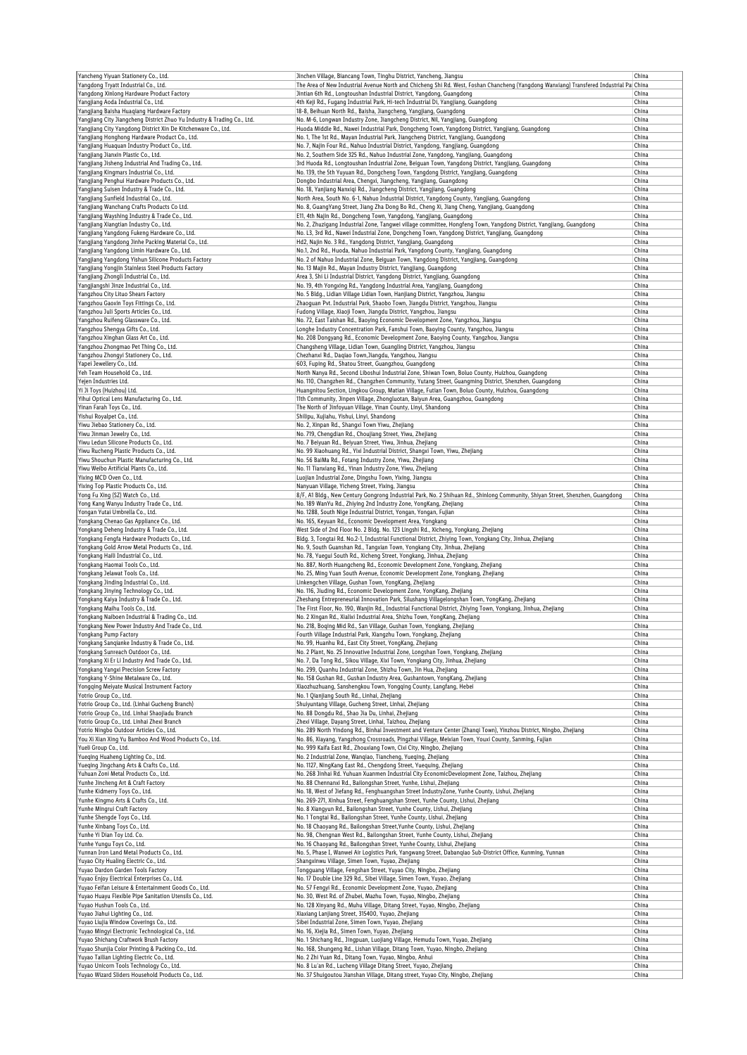| Yancheng Yiyuan Stationery Co., Ltd.                                                                                                                                                                                                                                                                                                                                                                                                                                                                                                                                                                                                                                                                                                                                                                                                                                                                                                                                                                                                                                                                                                                                                                                                                                                                                                                                                                                                                                                                                                                                                                                                                                                                                                                                                                                                                                                                  | Jinchen Village, Biancang Town, Tinghu District, Yancheng, Jiangsu                                                                                                                           | China          |
|-------------------------------------------------------------------------------------------------------------------------------------------------------------------------------------------------------------------------------------------------------------------------------------------------------------------------------------------------------------------------------------------------------------------------------------------------------------------------------------------------------------------------------------------------------------------------------------------------------------------------------------------------------------------------------------------------------------------------------------------------------------------------------------------------------------------------------------------------------------------------------------------------------------------------------------------------------------------------------------------------------------------------------------------------------------------------------------------------------------------------------------------------------------------------------------------------------------------------------------------------------------------------------------------------------------------------------------------------------------------------------------------------------------------------------------------------------------------------------------------------------------------------------------------------------------------------------------------------------------------------------------------------------------------------------------------------------------------------------------------------------------------------------------------------------------------------------------------------------------------------------------------------------|----------------------------------------------------------------------------------------------------------------------------------------------------------------------------------------------|----------------|
| Yangdong Tryatt Industrial Co., Ltd.                                                                                                                                                                                                                                                                                                                                                                                                                                                                                                                                                                                                                                                                                                                                                                                                                                                                                                                                                                                                                                                                                                                                                                                                                                                                                                                                                                                                                                                                                                                                                                                                                                                                                                                                                                                                                                                                  | The Area of New Industrial Avenue North and Chicheng Shi Rd. West, Foshan Chancheng (Yangdong Wanxiang) Transfered Industrial Pal China                                                      | China          |
| Yangdong Xinlong Hardware Product Factory<br>Yangjiang Aoda Industrial Co., Ltd.                                                                                                                                                                                                                                                                                                                                                                                                                                                                                                                                                                                                                                                                                                                                                                                                                                                                                                                                                                                                                                                                                                                                                                                                                                                                                                                                                                                                                                                                                                                                                                                                                                                                                                                                                                                                                      | Jintian 6th Rd., Longtoushan Industrial District, Yangdong, Guangdong<br>4th Keji Rd., Fugang Industrial Park, Hi-tech Industrial Di, Yangjiang, Guangdong                                   | China          |
| Yangjiang Baisha Huaqiang Hardware Factory                                                                                                                                                                                                                                                                                                                                                                                                                                                                                                                                                                                                                                                                                                                                                                                                                                                                                                                                                                                                                                                                                                                                                                                                                                                                                                                                                                                                                                                                                                                                                                                                                                                                                                                                                                                                                                                            | 18-8, Beihuan North Rd., Baisha, Jiangcheng, Yangjiang, Guangdong                                                                                                                            | China          |
| Yangjiang City Jiangcheng District Zhuo Yu Industry & Trading Co., Ltd.                                                                                                                                                                                                                                                                                                                                                                                                                                                                                                                                                                                                                                                                                                                                                                                                                                                                                                                                                                                                                                                                                                                                                                                                                                                                                                                                                                                                                                                                                                                                                                                                                                                                                                                                                                                                                               | No. M-6, Longwan Industry Zone, Jiangcheng District, Nil, Yangjiang, Guangdong                                                                                                               | China          |
| Yangjiang City Yangdong District Xin De Kitchenware Co., Ltd.<br>Yangjiang Honghong Hardware Product Co., Ltd.                                                                                                                                                                                                                                                                                                                                                                                                                                                                                                                                                                                                                                                                                                                                                                                                                                                                                                                                                                                                                                                                                                                                                                                                                                                                                                                                                                                                                                                                                                                                                                                                                                                                                                                                                                                        | Huoda Middle Rd., Nawei Industrial Park, Dongcheng Town, Yangdong District, Yangjiang, Guangdong                                                                                             | China          |
| Yangjiang Huaquan Industry Product Co., Ltd.                                                                                                                                                                                                                                                                                                                                                                                                                                                                                                                                                                                                                                                                                                                                                                                                                                                                                                                                                                                                                                                                                                                                                                                                                                                                                                                                                                                                                                                                                                                                                                                                                                                                                                                                                                                                                                                          | No. 1, The 1st Rd., Mayan Industrial Park, Jiangcheng District, Yangjiang, Guangdong<br>No. 7, Najin Four Rd., Nahuo Industrial District, Yangdong, Yangjiang, Guangdong                     | China<br>China |
| Yangjiang Jianxin Plastic Co., Ltd.                                                                                                                                                                                                                                                                                                                                                                                                                                                                                                                                                                                                                                                                                                                                                                                                                                                                                                                                                                                                                                                                                                                                                                                                                                                                                                                                                                                                                                                                                                                                                                                                                                                                                                                                                                                                                                                                   | No. 2, Southern Side 325 Rd., Nahuo Industrial Zone, Yangdong, Yangjiang, Guangdong                                                                                                          | China          |
| Yangjiang Jisheng Industrial And Trading Co., Ltd.                                                                                                                                                                                                                                                                                                                                                                                                                                                                                                                                                                                                                                                                                                                                                                                                                                                                                                                                                                                                                                                                                                                                                                                                                                                                                                                                                                                                                                                                                                                                                                                                                                                                                                                                                                                                                                                    | 3rd Huoda Rd., Longtoushan Industrial Zone, Beiguan Town, Yangdong District, Yangjiang, Guangdong                                                                                            | China          |
| Yangjiang Kingmars Industrial Co., Ltd.                                                                                                                                                                                                                                                                                                                                                                                                                                                                                                                                                                                                                                                                                                                                                                                                                                                                                                                                                                                                                                                                                                                                                                                                                                                                                                                                                                                                                                                                                                                                                                                                                                                                                                                                                                                                                                                               | No. 139, the 5th Yuyuan Rd., Dongcheng Town, Yangdong District, Yangjiang, Guangdong                                                                                                         | China          |
| Yangjiang Penghui Hardware Products Co., Ltd.                                                                                                                                                                                                                                                                                                                                                                                                                                                                                                                                                                                                                                                                                                                                                                                                                                                                                                                                                                                                                                                                                                                                                                                                                                                                                                                                                                                                                                                                                                                                                                                                                                                                                                                                                                                                                                                         | Dongbo Industrial Area, Chengxi, Jiangcheng, Yangjiang, Guangdong                                                                                                                            | China<br>China |
| Yangjiang Suisen Industry & Trade Co., Ltd.<br>Yangjiang Sunfield Industrial Co., Ltd.                                                                                                                                                                                                                                                                                                                                                                                                                                                                                                                                                                                                                                                                                                                                                                                                                                                                                                                                                                                                                                                                                                                                                                                                                                                                                                                                                                                                                                                                                                                                                                                                                                                                                                                                                                                                                | No. 18, Yanjiang Nanxiqi Rd., Jiangcheng District, Yangjiang, Guangdong<br>North Area, South No. 6-1, Nahuo Industrial District, Yangdong County, Yangjiang, Guangdong                       | China          |
| Yangjiang Wanchang Crafts Products Co Ltd.                                                                                                                                                                                                                                                                                                                                                                                                                                                                                                                                                                                                                                                                                                                                                                                                                                                                                                                                                                                                                                                                                                                                                                                                                                                                                                                                                                                                                                                                                                                                                                                                                                                                                                                                                                                                                                                            | No. 8, GuangYang Street, Jiang Zha Dong Bo Rd., Cheng Xi, Jiang Cheng, Yangjiang, Guangdong                                                                                                  | China          |
| Yangjiang Wayshing Industry & Trade Co., Ltd.                                                                                                                                                                                                                                                                                                                                                                                                                                                                                                                                                                                                                                                                                                                                                                                                                                                                                                                                                                                                                                                                                                                                                                                                                                                                                                                                                                                                                                                                                                                                                                                                                                                                                                                                                                                                                                                         | E11, 4th Najin Rd., Dongcheng Town, Yangdong, Yangjiang, Guangdong                                                                                                                           | China          |
| Yangjiang Xiangtian Industry Co., Ltd.                                                                                                                                                                                                                                                                                                                                                                                                                                                                                                                                                                                                                                                                                                                                                                                                                                                                                                                                                                                                                                                                                                                                                                                                                                                                                                                                                                                                                                                                                                                                                                                                                                                                                                                                                                                                                                                                | No. 2, Zhuzigang Industrial Zone, Tangwei village committee, Hongfeng Town, Yangdong District, Yangjiang, Guangdong                                                                          | China          |
| Yangjiang Yangdong Fukeng Hardware Co., Ltd.                                                                                                                                                                                                                                                                                                                                                                                                                                                                                                                                                                                                                                                                                                                                                                                                                                                                                                                                                                                                                                                                                                                                                                                                                                                                                                                                                                                                                                                                                                                                                                                                                                                                                                                                                                                                                                                          | No. L3, 3rd Rd., Nawei Industrial Zone, Dongcheng Town, Yangdong District, Yangjiang, Guangdong                                                                                              | China          |
| Yangjiang Yangdong Jinhe Packing Material Co., Ltd.                                                                                                                                                                                                                                                                                                                                                                                                                                                                                                                                                                                                                                                                                                                                                                                                                                                                                                                                                                                                                                                                                                                                                                                                                                                                                                                                                                                                                                                                                                                                                                                                                                                                                                                                                                                                                                                   | Hd2, Najin No. 3 Rd., Yangdong District, Yangjiang, Guangdong                                                                                                                                | China          |
| Yangjiang Yangdong Limin Hardware Co., Ltd.<br>Yangjiang Yangdong Yishun Silicone Products Factory                                                                                                                                                                                                                                                                                                                                                                                                                                                                                                                                                                                                                                                                                                                                                                                                                                                                                                                                                                                                                                                                                                                                                                                                                                                                                                                                                                                                                                                                                                                                                                                                                                                                                                                                                                                                    | No.1, 2nd Rd., Huoda, Nahuo Industrial Park, Yangdong County, Yangjiang, Guangdong<br>No. 2 of Nahuo Industrial Zone, Beiguan Town, Yangdong District, Yangjiang, Guangdong                  | China<br>China |
| Yangjiang Yongjin Stainless Steel Products Factory                                                                                                                                                                                                                                                                                                                                                                                                                                                                                                                                                                                                                                                                                                                                                                                                                                                                                                                                                                                                                                                                                                                                                                                                                                                                                                                                                                                                                                                                                                                                                                                                                                                                                                                                                                                                                                                    | No. 13 Majin Rd., Mayan Industry District, Yangjiang, Guangdong                                                                                                                              | China          |
| Yangjiang Zhongli Industrial Co., Ltd.                                                                                                                                                                                                                                                                                                                                                                                                                                                                                                                                                                                                                                                                                                                                                                                                                                                                                                                                                                                                                                                                                                                                                                                                                                                                                                                                                                                                                                                                                                                                                                                                                                                                                                                                                                                                                                                                | Area 3, Shi Li Industrial District, Yangdong District, Yangjiang, Guangdong                                                                                                                  | China          |
| Yangjiangshi Jinze Industrial Co., Ltd.                                                                                                                                                                                                                                                                                                                                                                                                                                                                                                                                                                                                                                                                                                                                                                                                                                                                                                                                                                                                                                                                                                                                                                                                                                                                                                                                                                                                                                                                                                                                                                                                                                                                                                                                                                                                                                                               | No. 19, 4th Yongxing Rd., Yangdong Industrial Area, Yangjiang, Guangdong                                                                                                                     | China          |
| Yangzhou City Lituo Shears Factory                                                                                                                                                                                                                                                                                                                                                                                                                                                                                                                                                                                                                                                                                                                                                                                                                                                                                                                                                                                                                                                                                                                                                                                                                                                                                                                                                                                                                                                                                                                                                                                                                                                                                                                                                                                                                                                                    | No. 5 Bldg., Lidian Village Lidian Town, Hanjiang District, Yangzhou, Jiangsu                                                                                                                | China          |
| Yangzhou Gaoxin Toys Fittings Co., Ltd.                                                                                                                                                                                                                                                                                                                                                                                                                                                                                                                                                                                                                                                                                                                                                                                                                                                                                                                                                                                                                                                                                                                                                                                                                                                                                                                                                                                                                                                                                                                                                                                                                                                                                                                                                                                                                                                               | Zhaoguan Pvt. Industrial Park, Shaobo Town, Jiangdu District, Yangzhou, Jiangsu                                                                                                              | China          |
| Yangzhou Juli Sports Articles Co., Ltd.<br>Yangzhou Ruifeng Glassware Co., Ltd.                                                                                                                                                                                                                                                                                                                                                                                                                                                                                                                                                                                                                                                                                                                                                                                                                                                                                                                                                                                                                                                                                                                                                                                                                                                                                                                                                                                                                                                                                                                                                                                                                                                                                                                                                                                                                       | Fudong Village, Xiaoji Town, Jiangdu District, Yangzhou, Jiangsu<br>No. 72, East Taishan Rd., Baoying Economic Development Zone, Yangzhou, Jiangsu                                           | China<br>China |
| Yangzhou Shengya Gifts Co., Ltd.                                                                                                                                                                                                                                                                                                                                                                                                                                                                                                                                                                                                                                                                                                                                                                                                                                                                                                                                                                                                                                                                                                                                                                                                                                                                                                                                                                                                                                                                                                                                                                                                                                                                                                                                                                                                                                                                      | Longhe Industry Concentration Park, Fanshui Town, Baoying County, Yangzhou, Jiangsu                                                                                                          | China          |
| Yangzhou Xinghan Glass Art Co., Ltd.                                                                                                                                                                                                                                                                                                                                                                                                                                                                                                                                                                                                                                                                                                                                                                                                                                                                                                                                                                                                                                                                                                                                                                                                                                                                                                                                                                                                                                                                                                                                                                                                                                                                                                                                                                                                                                                                  | No. 208 Dongyang Rd., Economic Development Zone, Baoying County, Yangzhou, Jiangsu                                                                                                           | China          |
| Yangzhou Zhongmao Pet Thing Co., Ltd.                                                                                                                                                                                                                                                                                                                                                                                                                                                                                                                                                                                                                                                                                                                                                                                                                                                                                                                                                                                                                                                                                                                                                                                                                                                                                                                                                                                                                                                                                                                                                                                                                                                                                                                                                                                                                                                                 | Changsheng Village, Lidian Town, Guangling District, Yangzhou, Jiangsu                                                                                                                       | China          |
| Yangzhou Zhongyi Stationery Co., Ltd.                                                                                                                                                                                                                                                                                                                                                                                                                                                                                                                                                                                                                                                                                                                                                                                                                                                                                                                                                                                                                                                                                                                                                                                                                                                                                                                                                                                                                                                                                                                                                                                                                                                                                                                                                                                                                                                                 | Chezhanxi Rd., Daqiao Town, Jiangdu, Yangzhou, Jiangsu                                                                                                                                       | China          |
| Yapei Jewellery Co., Ltd.                                                                                                                                                                                                                                                                                                                                                                                                                                                                                                                                                                                                                                                                                                                                                                                                                                                                                                                                                                                                                                                                                                                                                                                                                                                                                                                                                                                                                                                                                                                                                                                                                                                                                                                                                                                                                                                                             | 603, Fuping Rd., Shatou Street, Guangzhou, Guangdong                                                                                                                                         | China          |
| Yeh Team Household Co., Ltd.                                                                                                                                                                                                                                                                                                                                                                                                                                                                                                                                                                                                                                                                                                                                                                                                                                                                                                                                                                                                                                                                                                                                                                                                                                                                                                                                                                                                                                                                                                                                                                                                                                                                                                                                                                                                                                                                          | North Nanya Rd., Second Liboshui Industrial Zone, Shiwan Town, Boluo County, Huizhou, Guangdong                                                                                              | China          |
| Yejen Industries Ltd.                                                                                                                                                                                                                                                                                                                                                                                                                                                                                                                                                                                                                                                                                                                                                                                                                                                                                                                                                                                                                                                                                                                                                                                                                                                                                                                                                                                                                                                                                                                                                                                                                                                                                                                                                                                                                                                                                 | No. 110, Changzhen Rd., Changzhen Community, Yutang Street, Guangming District, Shenzhen, Guangdong                                                                                          | China          |
| Yi Ji Toys (Huizhou) Ltd.<br>Yihui Optical Lens Manufacturing Co., Ltd.                                                                                                                                                                                                                                                                                                                                                                                                                                                                                                                                                                                                                                                                                                                                                                                                                                                                                                                                                                                                                                                                                                                                                                                                                                                                                                                                                                                                                                                                                                                                                                                                                                                                                                                                                                                                                               | Huangnitou Section, Lingkou Group, Matian Village, Futian Town, Boluo County, Huizhou, Guangdong<br>11th Community, Jinpen Village, Zhongluotan, Baiyun Area, Guangzhou, Guangdong           | China<br>China |
| Yinan Farah Toys Co., Ltd                                                                                                                                                                                                                                                                                                                                                                                                                                                                                                                                                                                                                                                                                                                                                                                                                                                                                                                                                                                                                                                                                                                                                                                                                                                                                                                                                                                                                                                                                                                                                                                                                                                                                                                                                                                                                                                                             | The North of Jinfoyuan Village, Yinan County, Linyi, Shandong                                                                                                                                | China          |
| Yishui Royalpet Co., Ltd.                                                                                                                                                                                                                                                                                                                                                                                                                                                                                                                                                                                                                                                                                                                                                                                                                                                                                                                                                                                                                                                                                                                                                                                                                                                                                                                                                                                                                                                                                                                                                                                                                                                                                                                                                                                                                                                                             | Shilipu, Xujiahu, Yishui, Linyi, Shandong                                                                                                                                                    | China          |
| Yiwu Jiebao Stationery Co., Ltd.                                                                                                                                                                                                                                                                                                                                                                                                                                                                                                                                                                                                                                                                                                                                                                                                                                                                                                                                                                                                                                                                                                                                                                                                                                                                                                                                                                                                                                                                                                                                                                                                                                                                                                                                                                                                                                                                      | No. 2, Xinpan Rd., Shanqxi Town Yiwu, Zhejianq                                                                                                                                               | China          |
| Yiwu Jinman Jewelry Co., Ltd.                                                                                                                                                                                                                                                                                                                                                                                                                                                                                                                                                                                                                                                                                                                                                                                                                                                                                                                                                                                                                                                                                                                                                                                                                                                                                                                                                                                                                                                                                                                                                                                                                                                                                                                                                                                                                                                                         | No. 719, Chengdian Rd., Choujiang Street, Yiwu, Zhejiang                                                                                                                                     | China          |
| Yiwu Ledun Silicone Products Co., Ltd.                                                                                                                                                                                                                                                                                                                                                                                                                                                                                                                                                                                                                                                                                                                                                                                                                                                                                                                                                                                                                                                                                                                                                                                                                                                                                                                                                                                                                                                                                                                                                                                                                                                                                                                                                                                                                                                                | No. 7 Beiyuan Rd., Beiyuan Street, Yiwu, Jinhua, Zhejiang                                                                                                                                    | China          |
| Yiwu Rucheng Plastic Products Co., Ltd.                                                                                                                                                                                                                                                                                                                                                                                                                                                                                                                                                                                                                                                                                                                                                                                                                                                                                                                                                                                                                                                                                                                                                                                                                                                                                                                                                                                                                                                                                                                                                                                                                                                                                                                                                                                                                                                               | No. 99 Xiaohuang Rd., Yixi Industrial District, Shangxi Town, Yiwu, Zhejiang                                                                                                                 | China<br>China |
| Yiwu Shouchun Plastic Manufacturing Co., Ltd.<br>Yiwu Weibo Artificial Plants Co., Ltd.                                                                                                                                                                                                                                                                                                                                                                                                                                                                                                                                                                                                                                                                                                                                                                                                                                                                                                                                                                                                                                                                                                                                                                                                                                                                                                                                                                                                                                                                                                                                                                                                                                                                                                                                                                                                               | No. 56 BaiMa Rd., Fotang Industry Zone, Yiwu, Zhejiang<br>No. 11 Tianxiang Rd., Yinan Industry Zone, Yiwu, Zhejiang                                                                          | China          |
| Yixing MCD Oven Co., Ltd.                                                                                                                                                                                                                                                                                                                                                                                                                                                                                                                                                                                                                                                                                                                                                                                                                                                                                                                                                                                                                                                                                                                                                                                                                                                                                                                                                                                                                                                                                                                                                                                                                                                                                                                                                                                                                                                                             | Luojian Industrial Zone, Dingshu Town, Yixing, Jiangsu                                                                                                                                       | China          |
| Yixing Top Plastic Products Co., Ltd.                                                                                                                                                                                                                                                                                                                                                                                                                                                                                                                                                                                                                                                                                                                                                                                                                                                                                                                                                                                                                                                                                                                                                                                                                                                                                                                                                                                                                                                                                                                                                                                                                                                                                                                                                                                                                                                                 | Nanyuan Village, Yicheng Street, Yixing, Jiangsu                                                                                                                                             | China          |
| Yong Fu Xing (SZ) Watch Co., Ltd.                                                                                                                                                                                                                                                                                                                                                                                                                                                                                                                                                                                                                                                                                                                                                                                                                                                                                                                                                                                                                                                                                                                                                                                                                                                                                                                                                                                                                                                                                                                                                                                                                                                                                                                                                                                                                                                                     | 8/F, A1 Bldg., New Century Gongrong Industrial Park, No. 2 Shihuan Rd., Shinlong Community, Shiyan Street, Shenzhen, Guangdong                                                               | China          |
| Yong Kang Wanyu Industry Trade Co., Ltd.                                                                                                                                                                                                                                                                                                                                                                                                                                                                                                                                                                                                                                                                                                                                                                                                                                                                                                                                                                                                                                                                                                                                                                                                                                                                                                                                                                                                                                                                                                                                                                                                                                                                                                                                                                                                                                                              | No. 189 WanYu Rd., Zhiying 2nd Industry Zone, YongKang, Zhejiang                                                                                                                             | China          |
| Yongan Yutai Umbrella Co., Ltd.                                                                                                                                                                                                                                                                                                                                                                                                                                                                                                                                                                                                                                                                                                                                                                                                                                                                                                                                                                                                                                                                                                                                                                                                                                                                                                                                                                                                                                                                                                                                                                                                                                                                                                                                                                                                                                                                       | No. 1288, South Nige Industrial District, Yongan, Yongan, Fujian                                                                                                                             | China          |
| Yongkang Chenao Gas Appliance Co., Ltd.                                                                                                                                                                                                                                                                                                                                                                                                                                                                                                                                                                                                                                                                                                                                                                                                                                                                                                                                                                                                                                                                                                                                                                                                                                                                                                                                                                                                                                                                                                                                                                                                                                                                                                                                                                                                                                                               | No. 165, Keyuan Rd., Economic Development Area, Yongkang<br>West Side of 2nd Floor No. 2 Bldg. No. 123 Lingshi Rd., Xicheng, Yongkang, Zhejiang                                              | China<br>China |
| Yongkang Deheng Industry & Trade Co., Ltd.<br>Yongkang Fengfa Hardware Products Co., Ltd.                                                                                                                                                                                                                                                                                                                                                                                                                                                                                                                                                                                                                                                                                                                                                                                                                                                                                                                                                                                                                                                                                                                                                                                                                                                                                                                                                                                                                                                                                                                                                                                                                                                                                                                                                                                                             | Bldg. 3, Tongtai Rd. No.2-1, Industrial Functional District, Zhiying Town, Yongkang City, Jinhua, Zhejiang                                                                                   | China          |
| Yongkang Gold Arrow Metal Products Co., Ltd.                                                                                                                                                                                                                                                                                                                                                                                                                                                                                                                                                                                                                                                                                                                                                                                                                                                                                                                                                                                                                                                                                                                                                                                                                                                                                                                                                                                                                                                                                                                                                                                                                                                                                                                                                                                                                                                          | No. 9, South Guanshan Rd., Tangxian Town, Yongkang City, Jinhua, Zhejiang                                                                                                                    | China          |
| Yongkang Haili Industrial Co., Ltd.                                                                                                                                                                                                                                                                                                                                                                                                                                                                                                                                                                                                                                                                                                                                                                                                                                                                                                                                                                                                                                                                                                                                                                                                                                                                                                                                                                                                                                                                                                                                                                                                                                                                                                                                                                                                                                                                   | No. 78, Yuegui South Rd., Xicheng Street, Yongkang, Jinhua, Zhejiang                                                                                                                         | China          |
| Yongkang Haomai Tools Co., Ltd.                                                                                                                                                                                                                                                                                                                                                                                                                                                                                                                                                                                                                                                                                                                                                                                                                                                                                                                                                                                                                                                                                                                                                                                                                                                                                                                                                                                                                                                                                                                                                                                                                                                                                                                                                                                                                                                                       | No. 887, North Huangcheng Rd., Economic Development Zone, Yongkang, Zhejiang                                                                                                                 | China          |
| Yongkang Jelawat Tools Co., Ltd.                                                                                                                                                                                                                                                                                                                                                                                                                                                                                                                                                                                                                                                                                                                                                                                                                                                                                                                                                                                                                                                                                                                                                                                                                                                                                                                                                                                                                                                                                                                                                                                                                                                                                                                                                                                                                                                                      | No. 25, Ming Yuan South Avenue, Economic Development Zone, Yongkang, Zhejiang                                                                                                                | China          |
| Yongkang Jinding Industrial Co., Ltd.                                                                                                                                                                                                                                                                                                                                                                                                                                                                                                                                                                                                                                                                                                                                                                                                                                                                                                                                                                                                                                                                                                                                                                                                                                                                                                                                                                                                                                                                                                                                                                                                                                                                                                                                                                                                                                                                 | Linkengchen Village, Gushan Town, YongKang, Zhejiang                                                                                                                                         | China          |
|                                                                                                                                                                                                                                                                                                                                                                                                                                                                                                                                                                                                                                                                                                                                                                                                                                                                                                                                                                                                                                                                                                                                                                                                                                                                                                                                                                                                                                                                                                                                                                                                                                                                                                                                                                                                                                                                                                       | No. 116, Jiuding Rd., Economic Development Zone, YongKang, Zhejiang                                                                                                                          |                |
|                                                                                                                                                                                                                                                                                                                                                                                                                                                                                                                                                                                                                                                                                                                                                                                                                                                                                                                                                                                                                                                                                                                                                                                                                                                                                                                                                                                                                                                                                                                                                                                                                                                                                                                                                                                                                                                                                                       |                                                                                                                                                                                              | China          |
|                                                                                                                                                                                                                                                                                                                                                                                                                                                                                                                                                                                                                                                                                                                                                                                                                                                                                                                                                                                                                                                                                                                                                                                                                                                                                                                                                                                                                                                                                                                                                                                                                                                                                                                                                                                                                                                                                                       | Zheshang Entrepreneurial Innovation Park, Silushang Villagelongshan Town, YongKang, Zhejiang                                                                                                 | China          |
|                                                                                                                                                                                                                                                                                                                                                                                                                                                                                                                                                                                                                                                                                                                                                                                                                                                                                                                                                                                                                                                                                                                                                                                                                                                                                                                                                                                                                                                                                                                                                                                                                                                                                                                                                                                                                                                                                                       | The First Floor, No. 190, Wanjin Rd., Industrial Functional District, Zhiying Town, Yongkang, Jinhua, Zhejiang<br>No. 2 Xingan Rd., Xialixi Industrial Area, Shizhu Town, YongKang, Zhejiang | China<br>China |
|                                                                                                                                                                                                                                                                                                                                                                                                                                                                                                                                                                                                                                                                                                                                                                                                                                                                                                                                                                                                                                                                                                                                                                                                                                                                                                                                                                                                                                                                                                                                                                                                                                                                                                                                                                                                                                                                                                       | No. 218, Boging Mid Rd., San Village, Gushan Town, Yongkang, Zhejiang                                                                                                                        | China          |
|                                                                                                                                                                                                                                                                                                                                                                                                                                                                                                                                                                                                                                                                                                                                                                                                                                                                                                                                                                                                                                                                                                                                                                                                                                                                                                                                                                                                                                                                                                                                                                                                                                                                                                                                                                                                                                                                                                       | Fourth Village Industrial Park, Xiangzhu Town, Yongkang, Zhejiang                                                                                                                            | China          |
|                                                                                                                                                                                                                                                                                                                                                                                                                                                                                                                                                                                                                                                                                                                                                                                                                                                                                                                                                                                                                                                                                                                                                                                                                                                                                                                                                                                                                                                                                                                                                                                                                                                                                                                                                                                                                                                                                                       | No. 99, Huanhu Rd., East City Street, YongKang, Zhejiang                                                                                                                                     | China          |
|                                                                                                                                                                                                                                                                                                                                                                                                                                                                                                                                                                                                                                                                                                                                                                                                                                                                                                                                                                                                                                                                                                                                                                                                                                                                                                                                                                                                                                                                                                                                                                                                                                                                                                                                                                                                                                                                                                       | No. 2 Plant, No. 25 Innovative Industrial Zone, Longshan Town, Yongkang, Zhejiang                                                                                                            | China          |
|                                                                                                                                                                                                                                                                                                                                                                                                                                                                                                                                                                                                                                                                                                                                                                                                                                                                                                                                                                                                                                                                                                                                                                                                                                                                                                                                                                                                                                                                                                                                                                                                                                                                                                                                                                                                                                                                                                       | No. 7, Da Tong Rd., Sikou Village, Xixi Town, Yongkang City, Jinhua, Zhejiang                                                                                                                | China          |
|                                                                                                                                                                                                                                                                                                                                                                                                                                                                                                                                                                                                                                                                                                                                                                                                                                                                                                                                                                                                                                                                                                                                                                                                                                                                                                                                                                                                                                                                                                                                                                                                                                                                                                                                                                                                                                                                                                       | No. 299, Quanhu Industrial Zone, Shizhu Town, Jin Hua, Zhejiang                                                                                                                              | China          |
|                                                                                                                                                                                                                                                                                                                                                                                                                                                                                                                                                                                                                                                                                                                                                                                                                                                                                                                                                                                                                                                                                                                                                                                                                                                                                                                                                                                                                                                                                                                                                                                                                                                                                                                                                                                                                                                                                                       | No. 158 Gushan Rd., Gushan Industry Area, Gushantown, YongKang, Zhejiang<br>Xiaozhuzhuang, Sanshengkou Town, Yongqing County, Langfang, Hebei                                                | China<br>China |
|                                                                                                                                                                                                                                                                                                                                                                                                                                                                                                                                                                                                                                                                                                                                                                                                                                                                                                                                                                                                                                                                                                                                                                                                                                                                                                                                                                                                                                                                                                                                                                                                                                                                                                                                                                                                                                                                                                       | No. 1 Qianjiang South Rd., Linhai, Zhejiang                                                                                                                                                  | China          |
|                                                                                                                                                                                                                                                                                                                                                                                                                                                                                                                                                                                                                                                                                                                                                                                                                                                                                                                                                                                                                                                                                                                                                                                                                                                                                                                                                                                                                                                                                                                                                                                                                                                                                                                                                                                                                                                                                                       | Shuiyuntang Village, Gucheng Street, Linhai, Zhejiang                                                                                                                                        | China          |
|                                                                                                                                                                                                                                                                                                                                                                                                                                                                                                                                                                                                                                                                                                                                                                                                                                                                                                                                                                                                                                                                                                                                                                                                                                                                                                                                                                                                                                                                                                                                                                                                                                                                                                                                                                                                                                                                                                       | No. 88 Dongdu Rd., Shao Jia Du, Linhai, Zhejiang                                                                                                                                             | China          |
|                                                                                                                                                                                                                                                                                                                                                                                                                                                                                                                                                                                                                                                                                                                                                                                                                                                                                                                                                                                                                                                                                                                                                                                                                                                                                                                                                                                                                                                                                                                                                                                                                                                                                                                                                                                                                                                                                                       | Zhexi Village, Dayang Street, Linhai, Taizhou, Zhejiang                                                                                                                                      | China          |
|                                                                                                                                                                                                                                                                                                                                                                                                                                                                                                                                                                                                                                                                                                                                                                                                                                                                                                                                                                                                                                                                                                                                                                                                                                                                                                                                                                                                                                                                                                                                                                                                                                                                                                                                                                                                                                                                                                       | No. 289 North Yindong Rd., Binhai Investment and Venture Center (Zhangi Town), Yinzhou District, Ningbo, Zhejiang                                                                            | China          |
|                                                                                                                                                                                                                                                                                                                                                                                                                                                                                                                                                                                                                                                                                                                                                                                                                                                                                                                                                                                                                                                                                                                                                                                                                                                                                                                                                                                                                                                                                                                                                                                                                                                                                                                                                                                                                                                                                                       | No. 86, Xiayang, Yangzhong Crossroads, Pingzhai Village, Meixian Town, Youxi County, Sanming, Fujian<br>No. 999 Kaifa East Rd., Zhouxiang Town, Cixi City, Ningbo, Zhejiang                  | China<br>China |
|                                                                                                                                                                                                                                                                                                                                                                                                                                                                                                                                                                                                                                                                                                                                                                                                                                                                                                                                                                                                                                                                                                                                                                                                                                                                                                                                                                                                                                                                                                                                                                                                                                                                                                                                                                                                                                                                                                       | No. 2 Industrial Zone, Wangiao, Tiancheng, Yueging, Zhejiang                                                                                                                                 | China          |
|                                                                                                                                                                                                                                                                                                                                                                                                                                                                                                                                                                                                                                                                                                                                                                                                                                                                                                                                                                                                                                                                                                                                                                                                                                                                                                                                                                                                                                                                                                                                                                                                                                                                                                                                                                                                                                                                                                       | No. 1127, NingKang East Rd., Chengdong Street, Yueguing, Zhejiang                                                                                                                            | China          |
|                                                                                                                                                                                                                                                                                                                                                                                                                                                                                                                                                                                                                                                                                                                                                                                                                                                                                                                                                                                                                                                                                                                                                                                                                                                                                                                                                                                                                                                                                                                                                                                                                                                                                                                                                                                                                                                                                                       | No. 268 Jinhai Rd. Yuhuan Xuanmen Industrial City EconomicDevelopment Zone, Taizhou, Zhejiang                                                                                                | China          |
|                                                                                                                                                                                                                                                                                                                                                                                                                                                                                                                                                                                                                                                                                                                                                                                                                                                                                                                                                                                                                                                                                                                                                                                                                                                                                                                                                                                                                                                                                                                                                                                                                                                                                                                                                                                                                                                                                                       | No. 88 Chennanxi Rd., Bailongshan Street, Yunhe, Lishui, Zhejiang                                                                                                                            | China          |
|                                                                                                                                                                                                                                                                                                                                                                                                                                                                                                                                                                                                                                                                                                                                                                                                                                                                                                                                                                                                                                                                                                                                                                                                                                                                                                                                                                                                                                                                                                                                                                                                                                                                                                                                                                                                                                                                                                       | No. 18, West of Jiefang Rd., Fenghuangshan Street IndustryZone, Yunhe County, Lishui, Zhejiang                                                                                               | China          |
|                                                                                                                                                                                                                                                                                                                                                                                                                                                                                                                                                                                                                                                                                                                                                                                                                                                                                                                                                                                                                                                                                                                                                                                                                                                                                                                                                                                                                                                                                                                                                                                                                                                                                                                                                                                                                                                                                                       | No. 269-271, Xinhua Street, Fenghuangshan Street, Yunhe County, Lishui, Zhejiang                                                                                                             | China          |
|                                                                                                                                                                                                                                                                                                                                                                                                                                                                                                                                                                                                                                                                                                                                                                                                                                                                                                                                                                                                                                                                                                                                                                                                                                                                                                                                                                                                                                                                                                                                                                                                                                                                                                                                                                                                                                                                                                       | No. 8 Xiangyun Rd., Bailongshan Street, Yunhe County, Lishui, Zhejiang<br>No. 1 Tongtai Rd., Bailongshan Street, Yunhe County, Lishui, Zhejiang                                              | China<br>China |
|                                                                                                                                                                                                                                                                                                                                                                                                                                                                                                                                                                                                                                                                                                                                                                                                                                                                                                                                                                                                                                                                                                                                                                                                                                                                                                                                                                                                                                                                                                                                                                                                                                                                                                                                                                                                                                                                                                       | No. 18 Chaoyang Rd., Bailongshan Street, Yunhe County, Lishui, Zhejiang                                                                                                                      | China          |
|                                                                                                                                                                                                                                                                                                                                                                                                                                                                                                                                                                                                                                                                                                                                                                                                                                                                                                                                                                                                                                                                                                                                                                                                                                                                                                                                                                                                                                                                                                                                                                                                                                                                                                                                                                                                                                                                                                       | No. 98, Chengnan West Rd., Bailongshan Street, Yunhe County, Lishui, Zhejiang                                                                                                                | China          |
|                                                                                                                                                                                                                                                                                                                                                                                                                                                                                                                                                                                                                                                                                                                                                                                                                                                                                                                                                                                                                                                                                                                                                                                                                                                                                                                                                                                                                                                                                                                                                                                                                                                                                                                                                                                                                                                                                                       | No. 16 Chaoyang Rd., Bailongshan Street, Yunhe County, Lishui, Zhejiang                                                                                                                      | China          |
|                                                                                                                                                                                                                                                                                                                                                                                                                                                                                                                                                                                                                                                                                                                                                                                                                                                                                                                                                                                                                                                                                                                                                                                                                                                                                                                                                                                                                                                                                                                                                                                                                                                                                                                                                                                                                                                                                                       | No. 5, Phase I, Wanwei Air Logistics Park, Yangwang Street, Dabanqiao Sub-District Office, Kunming, Yunnan                                                                                   | China          |
|                                                                                                                                                                                                                                                                                                                                                                                                                                                                                                                                                                                                                                                                                                                                                                                                                                                                                                                                                                                                                                                                                                                                                                                                                                                                                                                                                                                                                                                                                                                                                                                                                                                                                                                                                                                                                                                                                                       | Shangxinwu Village, Simen Town, Yuyao, Zhejiang                                                                                                                                              | China          |
|                                                                                                                                                                                                                                                                                                                                                                                                                                                                                                                                                                                                                                                                                                                                                                                                                                                                                                                                                                                                                                                                                                                                                                                                                                                                                                                                                                                                                                                                                                                                                                                                                                                                                                                                                                                                                                                                                                       | Tongguang Village, Fengshan Street, Yuyao City, Ningbo, Zhejiang                                                                                                                             | China          |
|                                                                                                                                                                                                                                                                                                                                                                                                                                                                                                                                                                                                                                                                                                                                                                                                                                                                                                                                                                                                                                                                                                                                                                                                                                                                                                                                                                                                                                                                                                                                                                                                                                                                                                                                                                                                                                                                                                       | No. 17 Double Line 329 Rd., Sibei Village, Simen Town, Yuyao, Zhejiang                                                                                                                       | China          |
|                                                                                                                                                                                                                                                                                                                                                                                                                                                                                                                                                                                                                                                                                                                                                                                                                                                                                                                                                                                                                                                                                                                                                                                                                                                                                                                                                                                                                                                                                                                                                                                                                                                                                                                                                                                                                                                                                                       | No. 57 Fengyi Rd., Economic Development Zone, Yuyao, Zhejiang<br>No. 30, West Rd. of Zhubei, Mazhu Town, Yuyao, Ningbo, Zhejiang                                                             | China<br>China |
|                                                                                                                                                                                                                                                                                                                                                                                                                                                                                                                                                                                                                                                                                                                                                                                                                                                                                                                                                                                                                                                                                                                                                                                                                                                                                                                                                                                                                                                                                                                                                                                                                                                                                                                                                                                                                                                                                                       | No. 128 Xinyang Rd., Muhu Village, Ditang Street, Yuyao, Ningbo, Zhejiang                                                                                                                    | China          |
|                                                                                                                                                                                                                                                                                                                                                                                                                                                                                                                                                                                                                                                                                                                                                                                                                                                                                                                                                                                                                                                                                                                                                                                                                                                                                                                                                                                                                                                                                                                                                                                                                                                                                                                                                                                                                                                                                                       | Xiaxiang Lanjiang Street, 315400, Yuyao, Zhejiang                                                                                                                                            | China          |
|                                                                                                                                                                                                                                                                                                                                                                                                                                                                                                                                                                                                                                                                                                                                                                                                                                                                                                                                                                                                                                                                                                                                                                                                                                                                                                                                                                                                                                                                                                                                                                                                                                                                                                                                                                                                                                                                                                       | Sibei Industrial Zone, Simen Town, Yuyao, Zhejiang                                                                                                                                           | China          |
|                                                                                                                                                                                                                                                                                                                                                                                                                                                                                                                                                                                                                                                                                                                                                                                                                                                                                                                                                                                                                                                                                                                                                                                                                                                                                                                                                                                                                                                                                                                                                                                                                                                                                                                                                                                                                                                                                                       | No. 16, Xiejia Rd., Simen Town, Yuyao, Zhejiang                                                                                                                                              | China          |
|                                                                                                                                                                                                                                                                                                                                                                                                                                                                                                                                                                                                                                                                                                                                                                                                                                                                                                                                                                                                                                                                                                                                                                                                                                                                                                                                                                                                                                                                                                                                                                                                                                                                                                                                                                                                                                                                                                       | No. 1 Shichang Rd., Jingpuan, Luojiang Village, Hemudu Town, Yuyao, Zhejiang                                                                                                                 | China          |
|                                                                                                                                                                                                                                                                                                                                                                                                                                                                                                                                                                                                                                                                                                                                                                                                                                                                                                                                                                                                                                                                                                                                                                                                                                                                                                                                                                                                                                                                                                                                                                                                                                                                                                                                                                                                                                                                                                       | No. 168, Shungeng Rd., Lishan Village, Ditang Town, Yuyao, Ningbo, Zhejiang                                                                                                                  | China          |
| Yongkang Jinying Technology Co., Ltd.<br>Yongkang Kaiya Industry & Trade Co., Ltd.<br>Yongkang Maihu Tools Co., Ltd.<br>Yongkang Naiboen Industrial & Trading Co., Ltd.<br>Yongkang New Power Industry And Trade Co., Ltd.<br>rongkang Pump Factory<br>Yongkang Sanqianke Industry & Trade Co., Ltd.<br>Yongkang Sunreach Outdoor Co., Ltd.<br>Yongkang Xi Er Li Industry And Trade Co., Ltd.<br>Yongkang Yangxi Precision Screw Factory<br>Yongkang Y-Shine Metalware Co., Ltd.<br>Yongqing Meiyate Musical Instrument Factory<br>Yotrio Group Co., Ltd.<br>Yotrio Group Co., Ltd. (Linhai Gucheng Branch)<br>Yotrio Group Co., Ltd. Linhai Shaojiadu Branch<br>Yotrio Group Co., Ltd. Linhai Zhexi Branch<br>Yotrio Ningbo Outdoor Articles Co., Ltd.<br>You Xi Xian Xing Yu Bamboo And Wood Products Co., Ltd.<br>Yueli Group Co., Ltd.<br>Yueqing Huaheng Lighting Co., Ltd.<br>Yueqing Jingchang Arts & Crafts Co., Ltd.<br>Yuhuan Zoni Metal Products Co., Ltd.<br>Yunhe Jincheng Art & Craft Factory<br>Yunhe Kidmerry Toys Co., Ltd.<br>Yunhe Kingmo Arts & Crafts Co., Ltd.<br>Yunhe Mingrui Craft Factory<br>Yunhe Shengde Toys Co., Ltd.<br>Yunhe Xinbang Toys Co., Ltd.<br>Yunhe Yi Dian Toy Ltd. Co.<br>Yunhe Yungu Toys Co., Ltd.<br>Yunnan Iron Land Metal Products Co., Ltd.<br>Yuyao City Hualing Electric Co., Ltd.<br>Yuyao Dardon Garden Tools Factory<br>Yuyao Enjoy Electrical Enterprises Co., Ltd.<br>Yuyao Feifan Leisure & Entertainment Goods Co., Ltd.<br>Yuyao Huayu Flexible Pipe Sanitation Utensils Co., Ltd.<br>Yuyao Hushun Tools Co., Ltd.<br>Yuyao Jiahui Lighting Co., Ltd.<br>Yuyao Liujia Window Coverings Co., Ltd.<br>Yuyao Mingyi Electronic Technological Co., Ltd.<br>Yuyao Shichang Craftwork Brush Factory<br>Yuyao Shunjia Color Printing & Packing Co., Ltd.<br>Yuyao Tailian Lighting Electric Co., Ltd.<br>Yuyao Unicorn Tools Technology Co., Ltd. | No. 2 Zhi Yuan Rd., Ditang Town, Yuyao, Ningbo, Anhui<br>No. 8 Lu'an Rd., Lucheng Village Ditang Street, Yuyao, Zhejiang                                                                     | China<br>China |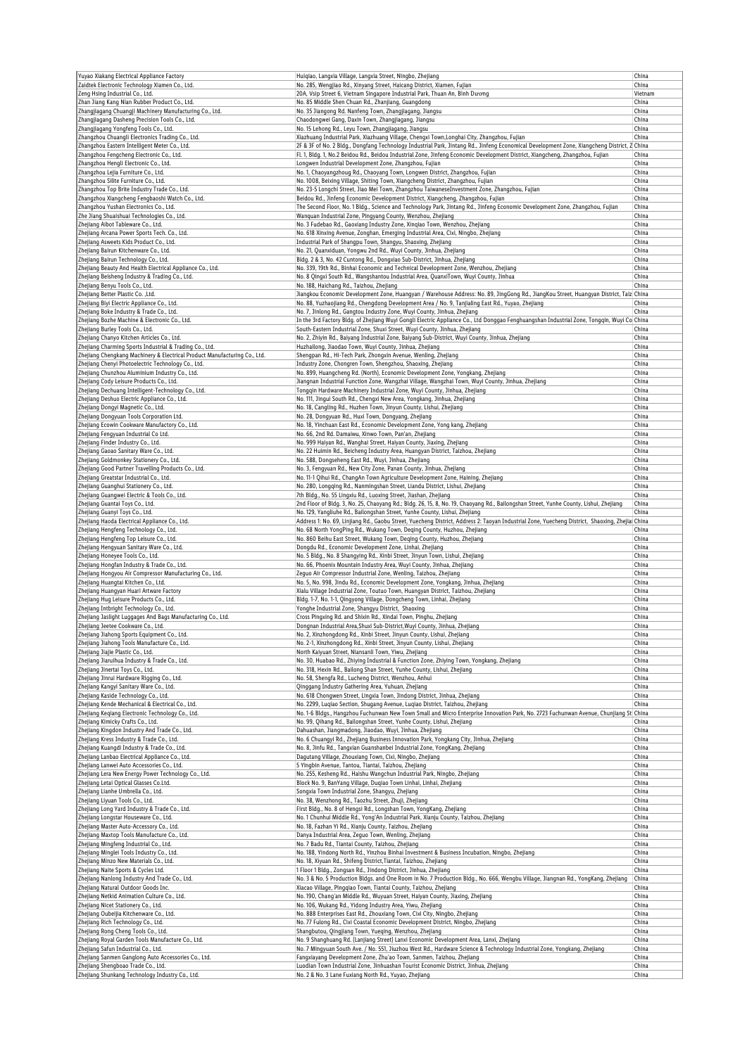| Yuyao Xiakang Electrical Appliance Factory                                                                                           | Huiqiao, Langxia Village, Langxia Street, Ningbo, Zhejiang                                                                                                                                                                 | China          |
|--------------------------------------------------------------------------------------------------------------------------------------|----------------------------------------------------------------------------------------------------------------------------------------------------------------------------------------------------------------------------|----------------|
| Zaidtek Electronic Technology Xiamen Co., Ltd.                                                                                       | No. 285, Wengjiao Rd., Xinyang Street, Haicang District, Xiamen, Fujian                                                                                                                                                    | China          |
| Zeng Hsing Industrial Co., Ltd.                                                                                                      | 20A, Vsip Street 6, Vietnam Singapore Industrial Park, Thuan An, Bình Dương                                                                                                                                                | Vietnam        |
| Zhan Jiang Kang Nian Rubber Product Co., Ltd.                                                                                        | No. 85 Middle Shen Chuan Rd., Zhanjiang, Guangdong                                                                                                                                                                         | China<br>China |
| Zhangjiagang Chuangji Machinery Manufacturing Co., Ltd.<br>Zhangjiagang Dasheng Precision Tools Co., Ltd.                            | No. 35 Jiangong Rd. Nanfeng Town, Zhangjiagang, Jiangsu<br>Chaodongwei Gang, Daxin Town, Zhangjiagang, Jiangsu                                                                                                             | China          |
| Zhangjiagang Yongfeng Tools Co., Ltd.                                                                                                | No. 15 Lehong Rd., Leyu Town, Zhangjiagang, Jiangsu                                                                                                                                                                        | China          |
| Zhangzhou Chuangli Electronics Trading Co., Ltd.                                                                                     | Xiazhuang Industrial Park, Xiazhuang Village, Chengxi Town, Longhai City, Zhangzhou, Fujian                                                                                                                                | China          |
| Zhangzhou Eastern Intelligent Meter Co., Ltd.                                                                                        | 2F & 3F of No. 2 Bldg., Dongfang Technology Industrial Park, Jintang Rd., Jinfeng Economical Development Zone, Xiangcheng District, Z  China                                                                               |                |
| Zhangzhou Fengcheng Electronic Co., Ltd.                                                                                             | Fl. 1, Bldg. 1, No.2 Beidou Rd., Beidou Industrial Zone, Jinfeng Economic Development District, Xiangcheng, Zhangzhou, Fujian                                                                                              | China          |
| Zhangzhou Hengli Electronic Co., Ltd.                                                                                                | Longwen Industrial Development Zone, Zhangzhou, Fujian                                                                                                                                                                     | China          |
| Zhangzhou Lejia Furniture Co., Ltd.                                                                                                  | No. 1, Chaoyangzhoug Rd., Chaoyang Town, Longwen District, Zhangzhou, Fujian                                                                                                                                               | China          |
| Zhangzhou Silite Furniture Co., Ltd.<br>Zhangzhou Top Brite Industry Trade Co., Ltd.                                                 | No. 1008, Beixing Village, Shiting Town, Xiangcheng District, Zhangzhou, Fujian<br>No. 23-5 Longchi Street, Jiao Mei Town, Zhangzhou TaiwaneseInvestment Zone, Zhangzhou, Fujian                                           | China<br>China |
| Zhangzhou Xiangcheng Fengbaoshi Watch Co., Ltd.                                                                                      | Beidou Rd., Jinfeng Economic Development District, Xiangcheng, Zhangzhou, Fujian                                                                                                                                           | China          |
| Zhangzhou Yushan Electronics Co., Ltd.                                                                                               | The Second Floor, No. 1 Bldg., Science and Technology Park, Jintang Rd., Jinfeng Economic Development Zone, Zhangzhou, Fujian                                                                                              | China          |
| Zhe Jiang Shuaishuai Technologies Co., Ltd.                                                                                          | Wanquan Industrial Zone, Pingyang County, Wenzhou, Zhejiang                                                                                                                                                                | China          |
| Zhejiang Aibot Tableware Co., Ltd.                                                                                                   | No. 3 Fudebao Rd., Gaoxiang Industry Zone, Xingiao Town, Wenzhou, Zhejiang                                                                                                                                                 | China          |
| Zhejiang Arcana Power Sports Tech. Co., Ltd.                                                                                         | No. 618 Xinxing Avenue, Zonghan, Emerging Industrial Area, Cixi, Ningbo, Zhejiang                                                                                                                                          | China          |
| Zhejiang Asweets Kids Product Co., Ltd.                                                                                              | Industrial Park of Shangpu Town, Shangyu, Shaoxing, Zhejiang                                                                                                                                                               | China          |
| Zhejiang Bairun Kitchenware Co., Ltd.                                                                                                | No. 21, Quanxiduan, Yongwu 2nd Rd., Wuyi County, Jinhua, Zhejiang                                                                                                                                                          | China          |
| Zhejiang Bairun Technology Co., Ltd.<br>Zhejiang Beauty And Health Electrical Appliance Co., Ltd.                                    | Bldg. 2 & 3, No. 42 Cuntong Rd., Dongxiao Sub-District, Jinhua, Zhejiang<br>No. 339, 19th Rd., Binhai Economic and Technical Development Zone, Wenzhou, Zhejiang                                                           | China<br>China |
| Zhejiang Beisheng Industry & Trading Co., Ltd.                                                                                       | No. 8 Qingxi South Rd., Wangshantou Industrial Area, QuanxiTown, Wuyi County, Jinhua                                                                                                                                       | China          |
| Zhejiang Benyu Tools Co., Ltd.                                                                                                       | No. 188, Haichang Rd., Taizhou, Zhejiang                                                                                                                                                                                   | China          |
| Zhejiang Better Plastic Co., Ltd.                                                                                                    | Jiangkou Economic Development Zone, Huangyan / Warehouse Address: No. 89, JingGong Rd., JiangKou Street, Huangyan District, Taiz China                                                                                     |                |
| Zhejiang Biyi Electric Appliance Co., Ltd.                                                                                           | No. 88, Yuzhaojiang Rd., Chengdong Development Area / No. 9, Tanjialing East Rd., Yuyao, Zhejiang                                                                                                                          | China          |
| Zhejiang Boke Industry & Trade Co., Ltd.                                                                                             | No. 7, Jinlong Rd., Gangtou Industry Zone, Wuyi County, Jinhua, Zhejiang                                                                                                                                                   | China          |
| Zhejiang Bozhe Machine & Electronic Co., Ltd.                                                                                        | In the 3rd Factory Bldg. of Zhejiang Wuyi Gongli Electric Appliance Co., Ltd Donggao Fenghuangshan Industrial Zone, Tongqin, Wuyi Co China                                                                                 |                |
| Zhejiang Burley Tools Co., Ltd.                                                                                                      | South-Eastern Industrial Zone, Shuxi Street, Wuyi County, Jinhua, Zhejiang                                                                                                                                                 | China          |
| Zhejiang Chanyo Kitchen Articles Co., Ltd.                                                                                           | No. 2, Zhiyin Rd., Baiyang Industrial Zone, Baiyang Sub-District, Wuyi County, Jinhua, Zhejiang                                                                                                                            | China          |
| Zhejiang Charming Sports Industrial & Trading Co., Ltd.<br>Zhejiang Chengkang Machinery & Electrical Product Manufacturing Co., Ltd. | Huzhailong, Jiaodao Town, Wuyi County, Jinhua, Zhejiang                                                                                                                                                                    | China<br>China |
| Zhejiang Chenyi Photoelectric Technology Co., Ltd.                                                                                   | Shengpan Rd., Hi-Tech Park, Zhongxin Avenue, Wenling, Zhejiang<br>Industry Zone, Chongren Town, Shengzhou, Shaoxing, Zhejiang                                                                                              | China          |
| Zhejiang Chunzhou Aluminium Industry Co., Ltd.                                                                                       | No. 899, Huangcheng Rd. (North), Economic Development Zone, Yongkang, Zhejiang                                                                                                                                             | China          |
| Zhejiang Cody Leisure Products Co., Ltd.                                                                                             | Jiangnan Industrial Function Zone, Wangzhai Village, Wangzhai Town, Wuyi County, Jinhua, Zhejiang                                                                                                                          | China          |
| Zhejiang Dechuang Intelligent-Technology Co., Ltd.                                                                                   | Tongqin Hardware Machinery Industrial Zone, Wuyi County, Jinhua, Zhejiang                                                                                                                                                  | China          |
| Zhejiang Deshuo Electric Appliance Co., Ltd.                                                                                         | No. 111, Jingui South Rd., Chengxi New Area, Yongkang, Jinhua, Zhejiang                                                                                                                                                    | China          |
| Zhejiang Dongyi Magnetic Co., Ltd.                                                                                                   | No. 18, Cangling Rd., Huzhen Town, Jinyun County, Lishui, Zhejiang                                                                                                                                                         | China          |
| Zhejiang Dongyuan Tools Corporation Ltd.                                                                                             | No. 28, Dongyuan Rd., Huxi Town, Dongyang, Zhejiang                                                                                                                                                                        | China          |
| Zhejiang Ecowin Cookware Manufactory Co., Ltd.                                                                                       | No. 18, Yinchuan East Rd., Economic Development Zone, Yong kang, Zhejiang                                                                                                                                                  | China          |
| Zhejiang Fengyuan Industrial Co Ltd.                                                                                                 | No. 66, 2nd Rd. Damaiwu, Xinwo Town, Pan'an, Zhejiang                                                                                                                                                                      | China          |
| Zhejiang Finder Industry Co., Ltd.<br>Zhejiang Gaoao Sanitary Ware Co., Ltd.                                                         | No. 999 Haiyan Rd., Wanghai Street, Haiyan County, Jiaxing, Zhejiang<br>No. 22 Huimin Rd., Beicheng Industry Area, Huangyan District, Taizhou, Zhejiang                                                                    | China<br>China |
| Zhejiang Goldmonkey Stationery Co., Ltd.                                                                                             | No. 588, Dongseheng East Rd., Wuyi, Jinhua, Zhejiang                                                                                                                                                                       | China          |
| Zhejiang Good Partner Travelling Products Co., Ltd.                                                                                  | No. 3, Fengyuan Rd., New City Zone, Panan County, Jinhua, Zhejiang                                                                                                                                                         | China          |
| Zhejiang Greatstar Industrial Co., Ltd.                                                                                              | No. 11-1 Qihui Rd., ChangAn Town Agriculture Development Zone, Haining, Zhejiang                                                                                                                                           | China          |
| Zhejiang Guanghui Stationery Co., Ltd.                                                                                               | No. 280, Longqing Rd., Nanmingshan Street, Liandu District, Lishui, Zhejiang                                                                                                                                               | China          |
| Zhejiang Guangwei Electric & Tools Co., Ltd.                                                                                         | 7th Bldg., No. 55 Lingxiu Rd., Luoxing Street, Jiashan, Zhejiang                                                                                                                                                           | China          |
| Zhejiang Guantai Toys Co., Ltd.                                                                                                      | 2nd Floor of Bldg. 3, No. 25, Chaoyang Rd.; Bldg. 26, 15, 8, No. 19, Chaoyang Rd., Bailongshan Street, Yunhe County, Lishui, Zhejiang                                                                                      | China          |
| Zhejiang Guanyi Toys Co., Ltd.                                                                                                       | No. 129, Yangliuhe Rd., Bailongshan Street, Yunhe County, Lishui, Zhejiang                                                                                                                                                 | China          |
| Zhejiang Haoda Electrical Appliance Co., Ltd.<br>Zhejiang Hengfeng Technology Co., Ltd.                                              | Address 1: No. 69, Linjiang Rd., Gaobu Street, Yuecheng District, Address 2: Taoyan Industrial Zone, Yuecheng District, Shaoxing, Zhejial China<br>No. 68 North YongPing Rd., Wukang Town, Deqing County, Huzhou, Zhejiang | China          |
| Zhejiang Hengfeng Top Leisure Co., Ltd.                                                                                              | No. 860 Beihu East Street, Wukang Town, Deging County, Huzhou, Zhejiang                                                                                                                                                    | China          |
| Zhejiang Hengyuan Sanitary Ware Co., Ltd.                                                                                            | Dongdu Rd., Economic Development Zone, Linhai, Zhejiang                                                                                                                                                                    | China          |
| Zhejiang Honeyee Tools Co., Ltd.                                                                                                     | No. 5 Bldg., No. 8 Shangying Rd., Xinbi Street, Jinyun Town, Lishui, Zhejiang                                                                                                                                              | China          |
| Zhejiang Hongfan Industry & Trade Co., Ltd.                                                                                          | No. 66, Phoenix Mountain Industry Area, Wuyi County, Jinhua, Zhejiang                                                                                                                                                      | China          |
| Zhejiang Hongyou Air Compressor Manufacturing Co., Ltd.                                                                              | Zeguo Air Compressor Industrial Zone, Wenling, Taizhou, Zhejiang                                                                                                                                                           | China          |
| Zhejiang Huangtai Kitchen Co., Ltd.                                                                                                  | No. 5, No. 998, Jindu Rd., Economic Development Zone, Yongkang, Jinhua, Zhejiang                                                                                                                                           | China          |
| Zhejiang Huangyan Huari Artware Factory                                                                                              | Xialu Village Industrial Zone, Toutuo Town, Huangyan District, Taizhou, Zhejiang                                                                                                                                           | China          |
| Zhejiang Hug Leisure Products Co., Ltd.<br>Zhejiang Intbright Technology Co., Ltd.                                                   | Bldg. 1-7, No. 1-1, Qingyong Village, Dongcheng Town, Linhai, Zhejiang<br>Yonghe Industrial Zone, Shangyu District, Shaoxing                                                                                               | China<br>China |
| Zhejiang Jaslight Luggages And Bags Manufacturing Co., Ltd.                                                                          | Cross Pingxing Rd. and Shixin Rd., Xindai Town, Pinghu, Zhejiang                                                                                                                                                           | China          |
| Zhejiang Jeetee Cookware Co., Ltd.                                                                                                   | Dongnan Industrial Area, Shuxi Sub-District, Wuyi County, Jinhua, Zhejiang                                                                                                                                                 | China          |
| Zhejiang Jiahong Sports Equipment Co., Ltd.                                                                                          | No. 2, Xinzhongdong Rd., Xinbi Street, Jinyun County, Lishui, Zhejiang                                                                                                                                                     | China          |
| Zhejiang Jiahong Tools Manufacture Co., Ltd.                                                                                         | No. 2-1, Xinzhongdong Rd., Xinbi Street, Jinyun County, Lishui, Zhejiang                                                                                                                                                   | China          |
| Zhejiang Jiajie Plastic Co., Ltd.                                                                                                    | North Kaiyuan Street, Niansanli Town, Yiwu, Zhejiang                                                                                                                                                                       | China          |
| Zhejiang Jiaruihua Industry & Trade Co., Ltd.                                                                                        | No. 30, Huabao Rd., Zhiying Industrial & Function Zone, Zhiying Town, Yongkang, Zhejiang                                                                                                                                   | China          |
| Zhejiang Jinertai Toys Co., Ltd.<br>Zhejiang Jinrui Hardware Rigging Co., Ltd.                                                       | No. 318, Hexin Rd., Bailong Shan Street, Yunhe County, Lishui, Zhejiang<br>No. 58, Shengfa Rd., Lucheng District, Wenzhou, Anhui                                                                                           | China          |
| Zhejiang Kangyi Sanitary Ware Co., Ltd.                                                                                              | Oinggang Industry Gathering Area, Yuhuan, Zhejiang                                                                                                                                                                         | China<br>China |
| Zhejiang Kaside Technology Co., Ltd.                                                                                                 | No. 618 Chongwen Street, Lingxia Town, Jindong District, Jinhua, Zhejiang                                                                                                                                                  | China          |
| Zhejiang Kende Mechanical & Electrical Co., Ltd.                                                                                     | No. 2299, Lugiao Section, Shugang Avenue, Lugiao District, Taizhou, Zhejiang                                                                                                                                               | China          |
| Zhejiang Keqiang Electronic Technology Co., Ltd.                                                                                     | No. 1-6 Bldgs., Hangzhou Fuchunwan New Town Small and Micro Enterprise Innovation Park, No. 2723 Fuchunwan Avenue, Chunjiang St China                                                                                      |                |
| Zhejiang Kimicky Crafts Co., Ltd.                                                                                                    | No. 99, Qihang Rd., Bailongshan Street, Yunhe County, Lishui, Zhejiang                                                                                                                                                     | China          |
| Zhejiang Kingdon Industry And Trade Co., Ltd.                                                                                        | Dahuashan, Jiangmadong, Jiaodao, Wuyi, Jinhua, Zhejiang                                                                                                                                                                    | China          |
| Zhejiang Kress Industry & Trade Co., Ltd.                                                                                            | No. 6 Chuangyi Rd., Zhejiang Business Innovation Park, Yongkang City, Jinhua, Zhejiang                                                                                                                                     | China          |
| Zhejiang Kuangdi Industry & Trade Co., Ltd.<br>Zhejiang Lanbao Electrical Appliance Co., Ltd.                                        | No. 8, Jinfu Rd., Tangxian Guanshanbei Industrial Zone, YongKang, Zhejiang<br>Dagutang Village, Zhouxiang Town, Cixi, Ningbo, Zhejiang                                                                                     | China<br>China |
| Zhejiang Lanwei Auto Accessories Co., Ltd.                                                                                           | 5 Yingbin Avenue, Tantou, Tiantai, Taizhou, Zhejiang                                                                                                                                                                       | China          |
| Zhejiang Lera New Energy Power Technology Co., Ltd.                                                                                  | No. 255, Kesheng Rd., Haishu Wangchun Industrial Park, Ningbo, Zhejiang                                                                                                                                                    | China          |
| Zhejiang Letai Optical Glasses Co.Ltd.                                                                                               | Block No. 9, BanYang Village, Dugiao Town Linhai, Linhai, Zhejiang                                                                                                                                                         | China          |
| Zhejiang Lianhe Umbrella Co., Ltd.                                                                                                   | Songxia Town Industrial Zone, Shangyu, Zhejiang                                                                                                                                                                            | China          |
| Zhejiang Liyuan Tools Co., Ltd.                                                                                                      | No. 38, Wenzhong Rd., Taozhu Street, Zhuji, Zhejiang                                                                                                                                                                       | China          |
| Zhejiang Long Yard Industry & Trade Co., Ltd.                                                                                        | First Bldg., No. 8 of Hengsi Rd., Longshan Town, YongKang, Zhejiang                                                                                                                                                        | China          |
| Zhejiang Longstar Houseware Co., Ltd.                                                                                                | No. 1 Chunhui Middle Rd., Yong'An Industrial Park, Xianju County, Taizhou, Zhejiang                                                                                                                                        | China          |
| Zhejiang Master Auto-Accessory Co., Ltd.<br>Zhejiang Maxtop Tools Manufacture Co., Ltd.                                              | No. 18, Fazhan Yi Rd., Xianju County, Taizhou, Zhejiang<br>Danya Industrial Area, Zeguo Town, Wenling, Zhejiang                                                                                                            | China<br>China |
| Zhejiang Mingfeng Industrial Co., Ltd.                                                                                               | No. 7 Badu Rd., Tiantai County, Taizhou, Zhejiang                                                                                                                                                                          | China          |
| Zhejiang Minglei Tools Industry Co., Ltd.                                                                                            | No. 188, Yindong North Rd., Yinzhou Binhai Investment & Business Incubation, Ningbo, Zhejiang                                                                                                                              | China          |
| Zhejiang Minzo New Materials Co., Ltd.                                                                                               | No. 18, Xiyuan Rd., Shifeng District, Tiantai, Taizhou, Zhejiang                                                                                                                                                           | China          |
| Zhejiang Naite Sports & Cycles Ltd.                                                                                                  | 1 Floor 1 Bldg., Zongsan Rd., Jindong District, Jinhua, Zhejiang                                                                                                                                                           | China          |
| Zhejiang Nanlong Industry And Trade Co., Ltd.                                                                                        | No. 3 & No. 5 Production Bldgs. and One Room in No. 7 Production Bldg., No. 666, Wengbu Village, Jiangnan Rd., YongKang, Zhejiang                                                                                          | China          |
| Zhejiang Natural Outdoor Goods Inc.                                                                                                  | Xiacao Village, Pingqiao Town, Tiantai County, Taizhou, Zhejiang                                                                                                                                                           | China          |
| Zhejiang Netkid Animation Culture Co., Ltd.                                                                                          | No. 190, Chang'an Middle Rd., Wuyuan Street, Haiyan County, Jiaxing, Zhejiang                                                                                                                                              | China          |
| Zhejiang Nicet Stationery Co., Ltd.                                                                                                  | No. 106, Wukang Rd., Yidong Industry Area, Yiwu, Zhejiang                                                                                                                                                                  | China          |
| Zhejiang Oubeijia Kitchenware Co., Ltd.<br>Zhejiang Rich Technology Co., Ltd.                                                        | No. 888 Enterprises East Rd., Zhouxiang Town, Cixi City, Ningbo, Zhejiang<br>No. 77 Fulong Rd., Cixi Coastal Economic Development District, Ningbo, Zhejiang                                                               | China<br>China |
| Zhejiang Rong Cheng Tools Co., Ltd.                                                                                                  | Shangbutou, Qingjiang Town, Yueqing, Wenzhou, Zhejiang                                                                                                                                                                     | China          |
| Zhejiang Royal Garden Tools Manufacture Co., Ltd.                                                                                    | No. 9 Shanghuang Rd. (Lanjiang Street) Lanxi Economic Development Area, Lanxi, Zhejiang                                                                                                                                    | China          |
| Zhejiang Safun Industrial Co., Ltd.                                                                                                  | No. 7 Mingyuan South Ave. / No. 551, Jiuzhou West Rd., Hardware Science & Technology Industrial Zone, Yongkang, Zhejiang                                                                                                   | China          |
| Zhejiang Sanmen Ganglong Auto Accessories Co., Ltd.                                                                                  | Fangxiayang Development Zone, Zhu'ao Town, Sanmen, Taizhou, Zhejiang                                                                                                                                                       | China          |
| Zhejiang Shengboao Trade Co., Ltd.                                                                                                   | Luodian Town Industrial Zone, Jinhuashan Tourist Economic District, Jinhua, Zhejiang                                                                                                                                       | China          |
| Zhejiang Shunkang Technology Industry Co., Ltd.                                                                                      | No. 2 & No. 3 Lane Fuxiang North Rd., Yuyao, Zhejiang                                                                                                                                                                      | China          |